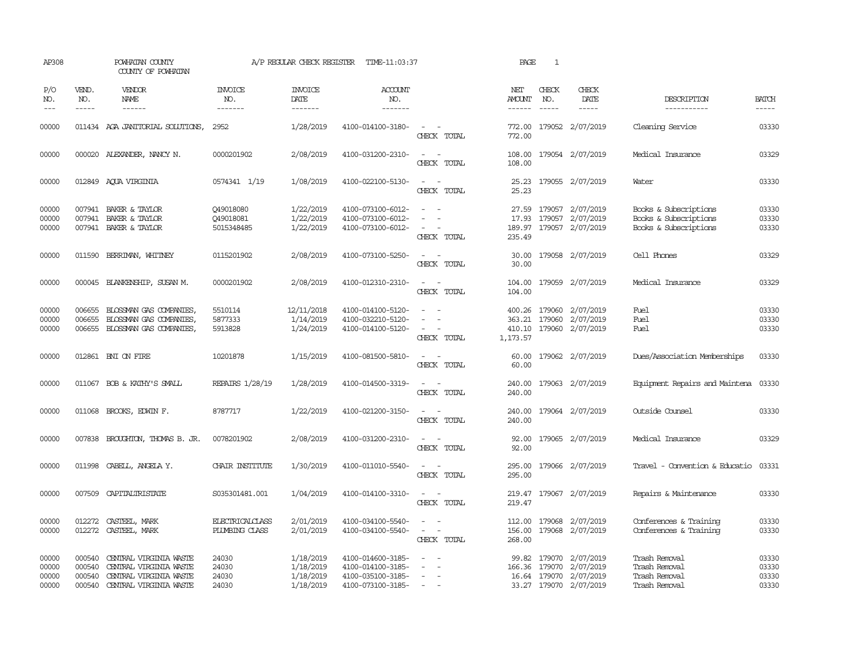| AP308                            |                                      | POWHATAN COUNTY<br>COUNTY OF POWHATAN                                                                |                                      | A/P REGULAR CHECK REGISTER                       | TIME-11:03:37                                                                    |                                                                                                                             | PAGE                           | 1                             |                                                                                   |                                                                         |                                  |
|----------------------------------|--------------------------------------|------------------------------------------------------------------------------------------------------|--------------------------------------|--------------------------------------------------|----------------------------------------------------------------------------------|-----------------------------------------------------------------------------------------------------------------------------|--------------------------------|-------------------------------|-----------------------------------------------------------------------------------|-------------------------------------------------------------------------|----------------------------------|
| P/O<br>NO.<br>$---$              | VEND.<br>NO.<br>$- - - - -$          | VENDOR<br>NAME<br>$- - - - - -$                                                                      | <b>INVOICE</b><br>NO.<br>-------     | <b>INVOICE</b><br>DATE<br>-------                | <b>ACCOUNT</b><br>NO.<br>-------                                                 |                                                                                                                             | NET<br><b>AMOUNT</b><br>------ | CHECK<br>NO.<br>$\frac{1}{2}$ | CHECK<br>DATE<br>-----                                                            | DESCRIPTION<br>-----------                                              | <b>BATCH</b><br>-----            |
| 00000                            |                                      | 011434 AGA JANITORIAL SOLUTIONS,                                                                     | 2952                                 | 1/28/2019                                        | 4100-014100-3180-                                                                | $\omega_{\rm{max}}$ and $\omega_{\rm{max}}$<br>CHECK TOTAL                                                                  | 772.00<br>772.00               |                               | 179052 2/07/2019                                                                  | Cleaning Service                                                        | 03330                            |
| 00000                            |                                      | 000020 ALEXANDER, NANCY N.                                                                           | 0000201902                           | 2/08/2019                                        | 4100-031200-2310-                                                                | $\frac{1}{2} \left( \frac{1}{2} \right) \left( \frac{1}{2} \right) = \frac{1}{2} \left( \frac{1}{2} \right)$<br>CHECK TOTAL | 108.00<br>108.00               |                               | 179054 2/07/2019                                                                  | Medical Insurance                                                       | 03329                            |
| 00000                            |                                      | 012849 AQUA VIRGINIA                                                                                 | 0574341 1/19                         | 1/08/2019                                        | 4100-022100-5130-                                                                | $\sim$<br>CHECK TOTAL                                                                                                       | 25.23                          |                               | 25.23 179055 2/07/2019                                                            | Water                                                                   | 03330                            |
| 00000<br>00000<br>00000          |                                      | 007941 BAKER & TAYLOR<br>007941 BAKER & TAYLOR<br>007941 BAKER & TAYLOR                              | Q49018080<br>Q49018081<br>5015348485 | 1/22/2019<br>1/22/2019<br>1/22/2019              | 4100-073100-6012-<br>4100-073100-6012-<br>4100-073100-6012-                      | $\sim$<br>$\overline{\phantom{a}}$<br>$\overline{\phantom{a}}$<br>CHECK TOTAL                                               | 17.93<br>189.97<br>235.49      |                               | 27.59 179057 2/07/2019<br>179057 2/07/2019<br>179057 2/07/2019                    | Books & Subscriptions<br>Books & Subscriptions<br>Books & Subscriptions | 03330<br>03330<br>03330          |
| 00000                            | 011590                               | BERRIMAN, WHITNEY                                                                                    | 0115201902                           | 2/08/2019                                        | 4100-073100-5250-                                                                | $\sim$<br>CHECK TOTAL                                                                                                       | 30.00<br>30.00                 |                               | 179058 2/07/2019                                                                  | Cell Phones                                                             | 03329                            |
| 00000                            |                                      | 000045 BLANKENSHIP, SUSAN M.                                                                         | 0000201902                           | 2/08/2019                                        | 4100-012310-2310-                                                                | $\overline{\phantom{a}}$<br>CHECK TOTAL                                                                                     | 104.00<br>104.00               |                               | 179059 2/07/2019                                                                  | Medical Insurance                                                       | 03329                            |
| 00000<br>00000<br>00000          | 006655<br>006655                     | BLOSSMAN GAS COMPANIES<br>BLOSSMAN GAS COMPANIES,<br>006655 BLOSSMAN GAS COMPANIES,                  | 5510114<br>5877333<br>5913828        | 12/11/2018<br>1/14/2019<br>1/24/2019             | 4100-014100-5120-<br>4100-032210-5120-<br>4100-014100-5120-                      | $\sim$<br>$\sim$<br>CHECK TOTAL                                                                                             | 363.21<br>1,173.57             | 179060                        | 400.26 179060 2/07/2019<br>2/07/2019<br>410.10 179060 2/07/2019                   | Fuel<br>Fuel<br>Fuel                                                    | 03330<br>03330<br>03330          |
| 00000                            |                                      | 012861 BNI ON FIRE                                                                                   | 10201878                             | 1/15/2019                                        | 4100-081500-5810-                                                                | CHECK TOTAL                                                                                                                 | 60.00<br>60.00                 |                               | 179062 2/07/2019                                                                  | Dues/Association Memberships                                            | 03330                            |
| 00000                            |                                      | 011067 BOB & KATHY'S SMALL                                                                           | REPAIRS 1/28/19                      | 1/28/2019                                        | 4100-014500-3319-                                                                | $\sim$<br>CHECK TOTAL                                                                                                       | 240.00<br>240.00               |                               | 179063 2/07/2019                                                                  | Equipment Repairs and Maintena                                          | 03330                            |
| 00000                            |                                      | 011068 BROOKS, EDWIN F.                                                                              | 8787717                              | 1/22/2019                                        | 4100-021200-3150-                                                                | $\overline{\phantom{a}}$<br>CHECK TOTAL                                                                                     | 240.00<br>240.00               |                               | 179064 2/07/2019                                                                  | Outside Counsel                                                         | 03330                            |
| 00000                            |                                      | 007838 BROUGHTON, THOMAS B. JR.                                                                      | 0078201902                           | 2/08/2019                                        | 4100-031200-2310-                                                                | $\sim$ 10 $\pm$<br>CHECK TOTAL                                                                                              | 92.00                          |                               | 92.00 179065 2/07/2019                                                            | Medical Insurance                                                       | 03329                            |
| 00000                            |                                      | 011998 CABELL, ANGELA Y.                                                                             | CHAIR INSTITUTE                      | 1/30/2019                                        | 4100-011010-5540-                                                                | CHECK TOTAL                                                                                                                 | 295.00<br>295.00               |                               | 179066 2/07/2019                                                                  | Travel - Convention & Educatio                                          | 03331                            |
| 00000                            |                                      | 007509 CAPITALIRISTATE                                                                               | S035301481.001                       | 1/04/2019                                        | 4100-014100-3310-                                                                | $\sim$ $\sim$<br>CHECK TOTAL                                                                                                | 219.47                         |                               | 219.47 179067 2/07/2019                                                           | Repairs & Maintenance                                                   | 03330                            |
| 00000<br>00000                   | 012272                               | CASTEEL, MARK<br>012272 CASTEEL, MARK                                                                | ELECTRICALCLASS<br>PLUMBING CLASS    | 2/01/2019<br>2/01/2019                           | 4100-034100-5540-<br>4100-034100-5540-                                           | $\overline{\phantom{a}}$<br>$\equiv$<br>$\overline{\phantom{a}}$<br>CHECK TOTAL                                             | 156.00<br>268.00               |                               | 112.00 179068 2/07/2019<br>179068 2/07/2019                                       | Conferences & Training<br>Conferences & Training                        | 03330<br>03330                   |
| 00000<br>00000<br>00000<br>00000 | 000540<br>000540<br>000540<br>000540 | CENTRAL VIRGINIA WASTE<br>CENTRAL VIRGINIA WASTE<br>CENTRAL VIRGINIA WASTE<br>CENTRAL VIRGINIA WASTE | 24030<br>24030<br>24030<br>24030     | 1/18/2019<br>1/18/2019<br>1/18/2019<br>1/18/2019 | 4100-014600-3185-<br>4100-014100-3185-<br>4100-035100-3185-<br>4100-073100-3185- | $\equiv$<br>$\overline{\phantom{a}}$<br>$\sim$ $ \sim$                                                                      | 99.82<br>166.36                | 179070                        | 179070 2/07/2019<br>2/07/2019<br>16.64 179070 2/07/2019<br>33.27 179070 2/07/2019 | Trash Removal<br>Trash Removal<br>Trash Removal<br>Trash Removal        | 03330<br>03330<br>03330<br>03330 |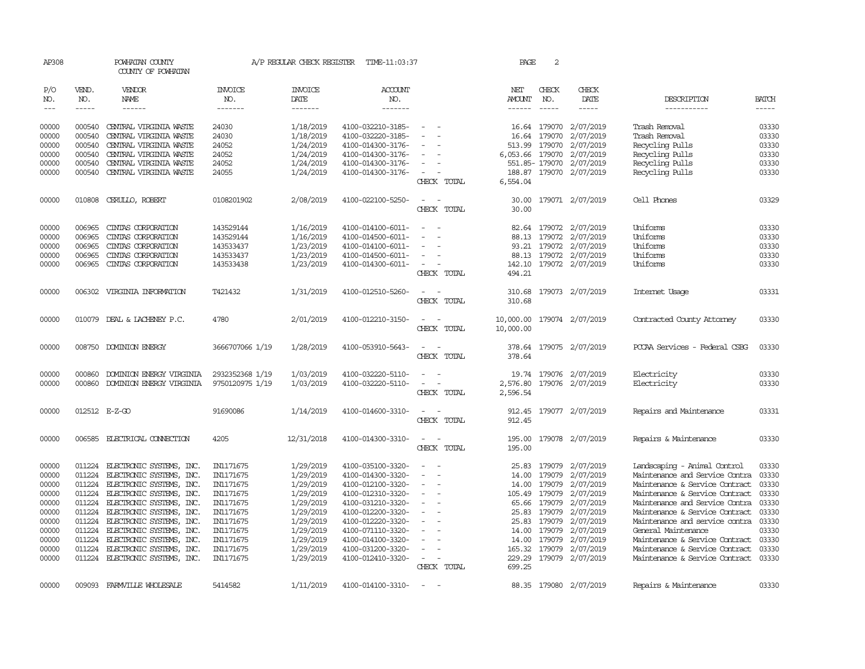| AP308         |              | POWHATAN COUNTY<br>COUNTY OF POWHATAN |                       | A/P REGULAR CHECK REGISTER | TIME-11:03:37         |                                      | PAGE            | $\overline{c}$ |                         |                                |              |
|---------------|--------------|---------------------------------------|-----------------------|----------------------------|-----------------------|--------------------------------------|-----------------|----------------|-------------------------|--------------------------------|--------------|
| P/O<br>NO.    | VEND.<br>NO. | VENDOR<br>NAME                        | <b>INVOICE</b><br>NO. | <b>INVOICE</b><br>DATE     | <b>ACCOUNT</b><br>NO. |                                      | NET<br>AMOUNT   | CHECK<br>NO.   | CHECK<br>DATE           | DESCRIPTION                    | <b>BATCH</b> |
| $\frac{1}{2}$ | $- - - - -$  | ------                                | -------               | -------                    | -------               |                                      | $- - - - - -$   | $- - - - -$    | -----                   | -----------                    | $- - - - -$  |
| 00000         | 000540       | CENTRAL VIRGINIA WASTE                | 24030                 | 1/18/2019                  | 4100-032210-3185-     | $\overline{\phantom{a}}$             |                 |                | 16.64 179070 2/07/2019  | Trash Removal                  | 03330        |
| 00000         | 000540       | CENTRAL VIRGINIA WASTE                | 24030                 | 1/18/2019                  | 4100-032220-3185-     |                                      | 16.64           | 179070         | 2/07/2019               | Trash Removal                  | 03330        |
| 00000         | 000540       | CENTRAL VIRGINIA WASTE                | 24052                 | 1/24/2019                  | 4100-014300-3176-     |                                      | 513.99          | 179070         | 2/07/2019               | Recycling Pulls                | 03330        |
| 00000         | 000540       | CENTRAL VIRGINIA WASTE                | 24052                 | 1/24/2019                  | 4100-014300-3176-     |                                      | 6,053.66 179070 |                | 2/07/2019               | Recycling Pulls                | 03330        |
| 00000         | 000540       | CENTRAL VIRGINIA WASTE                | 24052                 | 1/24/2019                  | 4100-014300-3176-     |                                      |                 |                | 551.85-179070 2/07/2019 | Recycling Pulls                | 03330        |
| 00000         | 000540       | CENTRAL VIRGINIA WASTE                | 24055                 | 1/24/2019                  | 4100-014300-3176-     | $\sim$                               |                 |                | 188.87 179070 2/07/2019 | Recycling Pulls                | 03330        |
|               |              |                                       |                       |                            |                       | CHECK TOTAL                          | 6,554.04        |                |                         |                                |              |
| 00000         | 010808       | CERULLO, ROBERT                       | 0108201902            | 2/08/2019                  | 4100-022100-5250-     |                                      | 30.00           |                | 179071 2/07/2019        | Cell Phones                    | 03329        |
|               |              |                                       |                       |                            |                       | CHECK TOTAL                          | 30.00           |                |                         |                                |              |
| 00000         | 006965       | CINIAS CORPORATION                    | 143529144             | 1/16/2019                  | 4100-014100-6011-     |                                      |                 |                | 82.64 179072 2/07/2019  | Uniforms                       | 03330        |
| 00000         | 006965       | CINIAS CORPORATION                    | 143529144             | 1/16/2019                  | 4100-014500-6011-     |                                      |                 |                | 88.13 179072 2/07/2019  | Uniforms                       | 03330        |
| 00000         | 006965       | CINIAS CORPORATION                    | 143533437             | 1/23/2019                  | 4100-014100-6011-     |                                      |                 |                | 93.21 179072 2/07/2019  | Uniforms                       | 03330        |
| 00000         | 006965       | CINIAS CORPORATION                    | 143533437             | 1/23/2019                  | 4100-014500-6011-     | $\equiv$                             | 88.13           |                | 179072 2/07/2019        | Uniforms                       | 03330        |
| 00000         | 006965       | CINIAS CORPORATION                    | 143533438             | 1/23/2019                  | 4100-014300-6011-     | $\sim$                               |                 |                | 142.10 179072 2/07/2019 | Uniforms                       | 03330        |
|               |              |                                       |                       |                            |                       | CHECK TOTAL                          | 494.21          |                |                         |                                |              |
| 00000         | 006302       | VIRGINIA INFORMATION                  | T421432               | 1/31/2019                  | 4100-012510-5260-     | $\sim$<br>$\sim$                     | 310.68          |                | 179073 2/07/2019        | Internet Usage                 | 03331        |
|               |              |                                       |                       |                            |                       | CHECK TOTAL                          | 310.68          |                |                         |                                |              |
| 00000         |              | 010079 DEAL & LACHENEY P.C.           | 4780                  | 2/01/2019                  | 4100-012210-3150-     |                                      | 10,000.00       |                | 179074 2/07/2019        | Contracted County Attomey      | 03330        |
|               |              |                                       |                       |                            |                       | CHECK TOTAL                          | 10,000.00       |                |                         |                                |              |
| 00000         |              | 008750 DOMINION ENERGY                | 3666707066 1/19       | 1/28/2019                  | 4100-053910-5643-     |                                      |                 |                | 378.64 179075 2/07/2019 | PCCAA Services - Federal CSBG  | 03330        |
|               |              |                                       |                       |                            |                       | CHECK TOTAL                          | 378.64          |                |                         |                                |              |
| 00000         | 000860       | DOMINION ENERGY VIRGINIA              | 2932352368 1/19       | 1/03/2019                  | 4100-032220-5110-     |                                      |                 |                | 19.74 179076 2/07/2019  | Electricity                    | 03330        |
| 00000         | 000860       | DOMINION ENERGY VIRGINIA              | 9750120975 1/19       | 1/03/2019                  | 4100-032220-5110-     | $\equiv$<br>$\overline{\phantom{0}}$ | 2,576.80        |                | 179076 2/07/2019        | Electricity                    | 03330        |
|               |              |                                       |                       |                            |                       | CHECK TOTAL                          | 2,596.54        |                |                         |                                |              |
| 00000         |              | 012512 E-Z-GO                         | 91690086              | 1/14/2019                  | 4100-014600-3310-     | $\equiv$                             | 912.45          |                | 179077 2/07/2019        | Repairs and Maintenance        | 03331        |
|               |              |                                       |                       |                            |                       | CHECK TOTAL                          | 912.45          |                |                         |                                |              |
| 00000         |              | 006585 ELECTRICAL CONNECTION          | 4205                  | 12/31/2018                 | 4100-014300-3310-     |                                      |                 |                | 195.00 179078 2/07/2019 | Repairs & Maintenance          | 03330        |
|               |              |                                       |                       |                            |                       | CHECK TOTAL                          | 195.00          |                |                         |                                |              |
| 00000         |              | 011224 ELECTRONIC SYSTEMS, INC.       | IN1171675             | 1/29/2019                  | 4100-035100-3320-     |                                      | 25.83           |                | 179079 2/07/2019        | Landscaping - Animal Control   | 03330        |
| 00000         | 011224       | ELECTRONIC SYSTEMS, INC.              | IN1171675             | 1/29/2019                  | 4100-014300-3320-     |                                      | 14.00           | 179079         | 2/07/2019               | Maintenance and Service Contra | 03330        |
| 00000         | 011224       | ELECTRONIC SYSTEMS, INC.              | IN1171675             | 1/29/2019                  | 4100-012100-3320-     | $\equiv$                             | 14.00           | 179079         | 2/07/2019               | Maintenance & Service Contract | 03330        |
| 00000         | 011224       | ELECTRONIC SYSTEMS, INC.              | IN1171675             | 1/29/2019                  | 4100-012310-3320-     |                                      |                 | 105.49 179079  | 2/07/2019               | Maintenance & Service Contract | 03330        |
| 00000         | 011224       | ELECTRONIC SYSTEMS, INC.              | IN1171675             | 1/29/2019                  | 4100-031210-3320-     | $\sim$                               |                 | 65.66 179079   | 2/07/2019               | Maintenance and Service Contra | 03330        |
| 00000         | 011224       | ELECTRONIC SYSTEMS, INC.              | IN1171675             | 1/29/2019                  | 4100-012200-3320-     |                                      | 25.83           | 179079         | 2/07/2019               | Maintenance & Service Contract | 03330        |
| 00000         | 011224       | ELECTRONIC SYSTEMS, INC.              | IN1171675             | 1/29/2019                  | 4100-012220-3320-     |                                      | 25.83           | 179079         | 2/07/2019               | Maintenance and service contra | 03330        |
| 00000         | 011224       | ELECTRONIC SYSTEMS, INC.              | IN1171675             | 1/29/2019                  | 4100-071110-3320-     |                                      |                 | 14.00 179079   | 2/07/2019               | General Maintenance            | 03330        |
| 00000         | 011224       | ELECTRONIC SYSTEMS, INC.              | IN1171675             | 1/29/2019                  | 4100-014100-3320-     |                                      | 14.00           | 179079         | 2/07/2019               | Maintenance & Service Contract | 03330        |
| 00000         | 011224       | ELECTRONIC SYSTEMS, INC.              | IN1171675             | 1/29/2019                  | 4100-031200-3320-     |                                      |                 | 165.32 179079  | 2/07/2019               | Maintenance & Service Contract | 03330        |
| 00000         |              | 011224 ELECTRONIC SYSTEMS, INC.       | IN1171675             | 1/29/2019                  | 4100-012410-3320-     | $\overline{\phantom{a}}$             |                 |                | 229.29 179079 2/07/2019 | Maintenance & Service Contract | 03330        |
|               |              |                                       |                       |                            |                       | CHECK TOTAL                          | 699.25          |                |                         |                                |              |
| 00000         | 009093       | FARMVILLE WHOLESALE                   | 5414582               | 1/11/2019                  | 4100-014100-3310-     |                                      |                 |                | 88.35 179080 2/07/2019  | Repairs & Maintenance          | 03330        |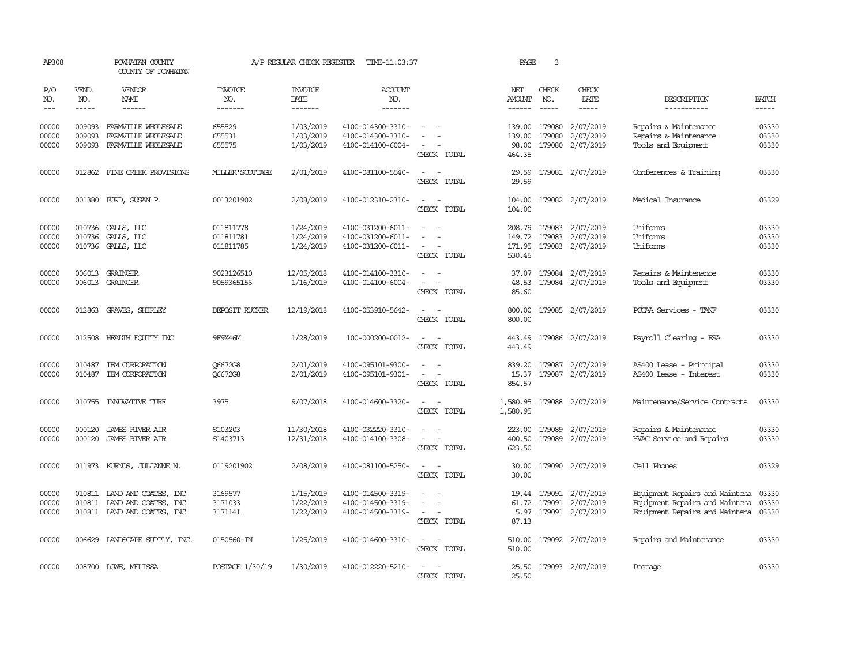| AP308                   |                             | POWHATAN COUNTY<br>COUNTY OF POWHATAN                                                     |                                     | A/P REGULAR CHECK REGISTER          | TIME-11:03:37                                               |                                                                           | PAGE                                 | 3                           |                                                   |                                                                                                    |                         |
|-------------------------|-----------------------------|-------------------------------------------------------------------------------------------|-------------------------------------|-------------------------------------|-------------------------------------------------------------|---------------------------------------------------------------------------|--------------------------------------|-----------------------------|---------------------------------------------------|----------------------------------------------------------------------------------------------------|-------------------------|
| P/O<br>NO.<br>$- - -$   | VEND.<br>NO.<br>$- - - - -$ | VENDOR<br><b>NAME</b><br>------                                                           | INVOICE<br>NO.<br>-------           | <b>INVOICE</b><br>DATE<br>-------   | <b>ACCOUNT</b><br>NO.<br>-------                            |                                                                           | NET<br>AMOUNT<br>$- - - - - -$       | CHECK<br>NO.<br>$- - - - -$ | CHECK<br>DATE<br>$- - - - -$                      | DESCRIPTION<br>-----------                                                                         | <b>BATCH</b><br>-----   |
| 00000<br>00000<br>00000 | 009093<br>009093<br>009093  | FARMVILLE WHOLESALE<br>FARMVILLE WHOLESALE<br>FARMVILLE WHOLESALE                         | 655529<br>655531<br>655575          | 1/03/2019<br>1/03/2019<br>1/03/2019 | 4100-014300-3310-<br>4100-014300-3310-<br>4100-014100-6004- | $\equiv$<br>CHECK TOTAL                                                   | 139.00<br>139.00<br>98.00<br>464.35  | 179080<br>179080            | 2/07/2019<br>2/07/2019<br>179080 2/07/2019        | Repairs & Maintenance<br>Repairs & Maintenance<br>Tools and Equipment                              | 03330<br>03330<br>03330 |
| 00000                   |                             | 012862 FINE CREEK PROVISIONS                                                              | MILLER'SCOTTAGE                     | 2/01/2019                           | 4100-081100-5540-                                           | $\sim$ $-$<br>CHECK TOTAL                                                 | 29.59<br>29.59                       |                             | 179081 2/07/2019                                  | Conferences & Training                                                                             | 03330                   |
| 00000                   |                             | 001380 FORD, SUSAN P.                                                                     | 0013201902                          | 2/08/2019                           | 4100-012310-2310-                                           | $\sim$ $\sim$<br>CHECK TOTAL                                              | 104.00<br>104.00                     |                             | 179082 2/07/2019                                  | Medical Insurance                                                                                  | 03329                   |
| 00000<br>00000<br>00000 | 010736<br>010736<br>010736  | GALLS, LLC<br>GALLS, LLC<br>GALLS, LLC                                                    | 011811778<br>011811781<br>011811785 | 1/24/2019<br>1/24/2019<br>1/24/2019 | 4100-031200-6011-<br>4100-031200-6011-<br>4100-031200-6011- | $\equiv$<br>$\overline{\phantom{a}}$<br>CHECK TOTAL                       | 208.79<br>149.72<br>171.95<br>530.46 | 179083                      | 179083 2/07/2019<br>2/07/2019<br>179083 2/07/2019 | Uniforms<br>Uniforms<br>Uniforms                                                                   | 03330<br>03330<br>03330 |
| 00000<br>00000          |                             | 006013 GRAINGER<br>006013 GRAINGER                                                        | 9023126510<br>9059365156            | 12/05/2018<br>1/16/2019             | 4100-014100-3310-<br>4100-014100-6004-                      | CHECK TOTAL                                                               | 37.07<br>48.53<br>85.60              |                             | 179084 2/07/2019<br>179084 2/07/2019              | Repairs & Maintenance<br>Tools and Equipment                                                       | 03330<br>03330          |
| 00000                   |                             | 012863 GRAVES, SHIRLEY                                                                    | DEPOSIT RUCKER                      | 12/19/2018                          | 4100-053910-5642-                                           | CHECK TOTAL                                                               | 800.00<br>800.00                     |                             | 179085 2/07/2019                                  | PCCAA Services - TANF                                                                              | 03330                   |
| 00000                   | 012508                      | HEALTH ECUTTY INC                                                                         | 9F9X46M                             | 1/28/2019                           | 100-000200-0012-                                            | $\overline{\phantom{a}}$<br>CHECK TOTAL                                   | 443.49<br>443.49                     |                             | 179086 2/07/2019                                  | Payroll Clearing - FSA                                                                             | 03330                   |
| 00000<br>00000          | 010487<br>010487            | IBM CORPORATION<br>IBM CORPORATION                                                        | Q6672G8<br>Q6672G8                  | 2/01/2019<br>2/01/2019              | 4100-095101-9300-<br>4100-095101-9301-                      | $\sim$ 100 $\mu$<br>$\sim$ $-$<br>$\overline{\phantom{a}}$<br>CHECK TOTAL | 839.20<br>15.37<br>854.57            |                             | 179087 2/07/2019<br>179087 2/07/2019              | AS400 Lease - Principal<br>AS400 Lease - Interest                                                  | 03330<br>03330          |
| 00000                   |                             | 010755 INNOVATIVE TURF                                                                    | 3975                                | 9/07/2018                           | 4100-014600-3320-                                           | $\sim$<br>CHECK TOTAL                                                     | 1,580.95                             |                             | 1,580.95 179088 2/07/2019                         | Maintenance/Service Contracts                                                                      | 03330                   |
| 00000<br>00000          | 000120<br>000120            | <b>JAMES RIVER AIR</b><br><b>JAMES RIVER AIR</b>                                          | S103203<br>S1403713                 | 11/30/2018<br>12/31/2018            | 4100-032220-3310-<br>4100-014100-3308-                      | CHECK TOTAL                                                               | 223.00<br>400.50<br>623.50           |                             | 179089 2/07/2019<br>179089 2/07/2019              | Repairs & Maintenance<br>HVAC Service and Repairs                                                  | 03330<br>03330          |
| 00000                   | 011973                      | KURNOS, JULIANNE N.                                                                       | 0119201902                          | 2/08/2019                           | 4100-081100-5250-                                           | CHECK TOTAL                                                               | 30.00<br>30.00                       |                             | 179090 2/07/2019                                  | Cell Phones                                                                                        | 03329                   |
| 00000<br>00000<br>00000 |                             | 010811 IAND AND COATES, INC<br>010811 LAND AND COATES, INC<br>010811 IAND AND COATES, INC | 3169577<br>3171033<br>3171141       | 1/15/2019<br>1/22/2019<br>1/22/2019 | 4100-014500-3319-<br>4100-014500-3319-<br>4100-014500-3319- | $\equiv$<br>CHECK TOTAL                                                   | 61.72<br>5.97<br>87.13               | 19.44 179091<br>179091      | 2/07/2019<br>2/07/2019<br>179091 2/07/2019        | Equipment Repairs and Maintena<br>Equipment Repairs and Maintena<br>Equipment Repairs and Maintena | 03330<br>03330<br>03330 |
| 00000                   |                             | 006629 LANDSCAPE SUPPLY, INC.                                                             | 0150560-IN                          | 1/25/2019                           | 4100-014600-3310-                                           | $\sim$ $\sim$<br>CHECK TOTAL                                              | 510.00<br>510.00                     |                             | 179092 2/07/2019                                  | Repairs and Maintenance                                                                            | 03330                   |
| 00000                   |                             | 008700 LOWE, MELISSA                                                                      | POSTAGE 1/30/19                     | 1/30/2019                           | 4100-012220-5210-                                           | CHECK TOTAL                                                               | 25.50                                |                             | 25.50 179093 2/07/2019                            | Postage                                                                                            | 03330                   |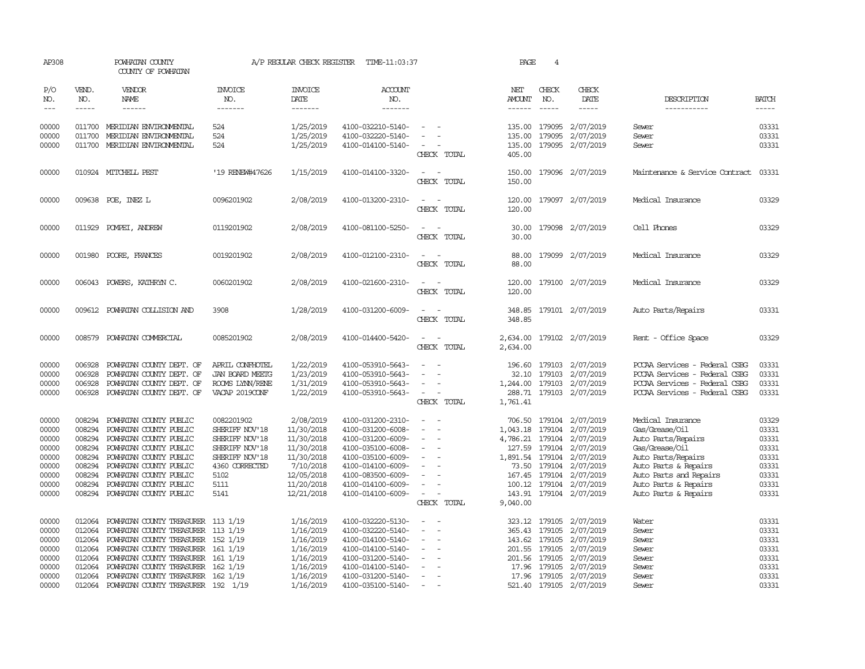| AP308                                                                         |                                                                                                                                                                                                                                                                                                                                                                                                                                                                         | POWHATAN COUNTY<br>COUNTY OF POWHATAN                                                                                                                                                                                                                                                                                                           |                                                                                                                              | A/P REGULAR CHECK REGISTER                                                                                               | TIME-11:03:37                                                                                                                                                                             |                                                                                                                                              | PAGE                                                                                                   | 4                           |                                                                                                                                                            |                                                                                                                                                                                                     |                                                                               |
|-------------------------------------------------------------------------------|-------------------------------------------------------------------------------------------------------------------------------------------------------------------------------------------------------------------------------------------------------------------------------------------------------------------------------------------------------------------------------------------------------------------------------------------------------------------------|-------------------------------------------------------------------------------------------------------------------------------------------------------------------------------------------------------------------------------------------------------------------------------------------------------------------------------------------------|------------------------------------------------------------------------------------------------------------------------------|--------------------------------------------------------------------------------------------------------------------------|-------------------------------------------------------------------------------------------------------------------------------------------------------------------------------------------|----------------------------------------------------------------------------------------------------------------------------------------------|--------------------------------------------------------------------------------------------------------|-----------------------------|------------------------------------------------------------------------------------------------------------------------------------------------------------|-----------------------------------------------------------------------------------------------------------------------------------------------------------------------------------------------------|-------------------------------------------------------------------------------|
| P/O<br>NO.<br>$---$                                                           | VEND.<br>NO.<br>$\begin{tabular}{ccccc} \multicolumn{2}{c }{\multicolumn{2}{c }{\multicolumn{2}{c }{\multicolumn{2}{c}}{\hspace{-2.2cm}}}} \multicolumn{2}{c }{\multicolumn{2}{c }{\hspace{-2.2cm}}\hline} \multicolumn{2}{c }{\hspace{-2.2cm}}\hline \multicolumn{2}{c }{\hspace{-2.2cm}}\hline \multicolumn{2}{c }{\hspace{-2.2cm}}\hline \multicolumn{2}{c }{\hspace{-2.2cm}}\hline \multicolumn{2}{c }{\hspace{-2.2cm}}\hline \multicolumn{2}{c }{\hspace{-2.2cm}}$ | <b>VENDOR</b><br>NAME                                                                                                                                                                                                                                                                                                                           | <b>INVOICE</b><br>NO.<br>-------                                                                                             | <b>INVOICE</b><br><b>DATE</b><br>-------                                                                                 | <b>ACCOUNT</b><br>NO.<br>-------                                                                                                                                                          |                                                                                                                                              | NET<br>AMOUNT                                                                                          | CHECK<br>NO.<br>$- - - - -$ | CHECK<br>DATE<br>-----                                                                                                                                     | DESCRIPTION<br>-----------                                                                                                                                                                          | <b>BATCH</b><br>-----                                                         |
| 00000<br>00000<br>00000                                                       | 011700                                                                                                                                                                                                                                                                                                                                                                                                                                                                  | 011700 MERIDIAN ENVIRONMENTAL<br>MERIDIAN ENVIRONMENTAL<br>011700 MERIDIAN ENVIRONMENTAL                                                                                                                                                                                                                                                        | 524<br>524<br>524                                                                                                            | 1/25/2019<br>1/25/2019<br>1/25/2019                                                                                      | 4100-032210-5140-<br>4100-032220-5140-<br>4100-014100-5140-                                                                                                                               | $\overline{\phantom{a}}$<br>CHECK TOTAL                                                                                                      | 405.00                                                                                                 |                             | 135.00 179095 2/07/2019<br>135.00 179095 2/07/2019<br>135.00 179095 2/07/2019                                                                              | Sewer<br>Sewer<br>Sewer                                                                                                                                                                             | 03331<br>03331<br>03331                                                       |
| 00000                                                                         |                                                                                                                                                                                                                                                                                                                                                                                                                                                                         | 010924 MITCHELL PEST                                                                                                                                                                                                                                                                                                                            | '19 RENEW#47626                                                                                                              | 1/15/2019                                                                                                                | 4100-014100-3320-                                                                                                                                                                         | CHECK TOTAL                                                                                                                                  | 150.00                                                                                                 |                             | 150.00 179096 2/07/2019                                                                                                                                    | Maintenance & Service Contract                                                                                                                                                                      | 03331                                                                         |
| 00000                                                                         |                                                                                                                                                                                                                                                                                                                                                                                                                                                                         | 009638 POE, INEZ L                                                                                                                                                                                                                                                                                                                              | 0096201902                                                                                                                   | 2/08/2019                                                                                                                | 4100-013200-2310-                                                                                                                                                                         | $\overline{\phantom{a}}$<br>CHECK TOTAL                                                                                                      | 120.00                                                                                                 |                             | 120.00 179097 2/07/2019                                                                                                                                    | Medical Insurance                                                                                                                                                                                   | 03329                                                                         |
| 00000                                                                         |                                                                                                                                                                                                                                                                                                                                                                                                                                                                         | 011929 POMPEI, ANDREW                                                                                                                                                                                                                                                                                                                           | 0119201902                                                                                                                   | 2/08/2019                                                                                                                | 4100-081100-5250-                                                                                                                                                                         | CHECK TOTAL                                                                                                                                  | 30.00<br>30.00                                                                                         |                             | 179098 2/07/2019                                                                                                                                           | Cell Phones                                                                                                                                                                                         | 03329                                                                         |
| 00000                                                                         | 001980                                                                                                                                                                                                                                                                                                                                                                                                                                                                  | POORE, FRANCES                                                                                                                                                                                                                                                                                                                                  | 0019201902                                                                                                                   | 2/08/2019                                                                                                                | 4100-012100-2310-                                                                                                                                                                         | CHECK TOTAL                                                                                                                                  | 88.00<br>88.00                                                                                         |                             | 179099 2/07/2019                                                                                                                                           | Medical Insurance                                                                                                                                                                                   | 03329                                                                         |
| 00000                                                                         |                                                                                                                                                                                                                                                                                                                                                                                                                                                                         | 006043 POWERS, KATHRYN C.                                                                                                                                                                                                                                                                                                                       | 0060201902                                                                                                                   | 2/08/2019                                                                                                                | 4100-021600-2310-                                                                                                                                                                         | $\overline{\phantom{a}}$<br>$\overline{\phantom{a}}$<br>CHECK TOTAL                                                                          | 120.00<br>120.00                                                                                       |                             | 179100 2/07/2019                                                                                                                                           | Medical Insurance                                                                                                                                                                                   | 03329                                                                         |
| 00000                                                                         |                                                                                                                                                                                                                                                                                                                                                                                                                                                                         | 009612 POWHATAN COLLISION AND                                                                                                                                                                                                                                                                                                                   | 3908                                                                                                                         | 1/28/2019                                                                                                                | 4100-031200-6009-                                                                                                                                                                         | $\sim$<br>$\overline{\phantom{0}}$<br>CHECK TOTAL                                                                                            | 348.85                                                                                                 |                             | 348.85 179101 2/07/2019                                                                                                                                    | Auto Parts/Repairs                                                                                                                                                                                  | 03331                                                                         |
| 00000                                                                         |                                                                                                                                                                                                                                                                                                                                                                                                                                                                         | 008579 POWHATAN COMMERCIAL                                                                                                                                                                                                                                                                                                                      | 0085201902                                                                                                                   | 2/08/2019                                                                                                                | 4100-014400-5420-                                                                                                                                                                         | $\sim$<br>$\overline{\phantom{a}}$<br>CHECK TOTAL                                                                                            | 2,634.00                                                                                               |                             | 2,634.00 179102 2/07/2019                                                                                                                                  | Rent - Office Space                                                                                                                                                                                 | 03329                                                                         |
| 00000<br>00000<br>00000<br>00000                                              | 006928<br>006928<br>006928                                                                                                                                                                                                                                                                                                                                                                                                                                              | POWHATAN COUNTY DEPT. OF<br>POWHATAN COUNTY DEPT. OF<br>POWHATAN COUNTY DEPT. OF<br>006928 POWHATAN COUNTY DEPT. OF                                                                                                                                                                                                                             | APRIL CONFHOTEL<br>JAN BOARD MEETG<br>ROOMS LYNN/RENE<br>VACAP 2019CONF                                                      | 1/22/2019<br>1/23/2019<br>1/31/2019<br>1/22/2019                                                                         | 4100-053910-5643-<br>4100-053910-5643-<br>4100-053910-5643-<br>4100-053910-5643-                                                                                                          | $\overline{\phantom{a}}$<br>$\sim$ $-$<br>CHECK TOTAL                                                                                        | 32.10<br>1,244.00<br>288.71<br>1,761.41                                                                | 179103<br>179103            | 196.60 179103 2/07/2019<br>2/07/2019<br>2/07/2019<br>179103 2/07/2019                                                                                      | PCCAA Services - Federal CSBG<br>PCCAA Services - Federal CSBG<br>PCCAA Services - Federal CSBG<br>PCCAA Services - Federal CSBG                                                                    | 03331<br>03331<br>03331<br>03331                                              |
| 00000<br>00000<br>00000<br>00000<br>00000<br>00000<br>00000<br>00000<br>00000 | 008294<br>008294<br>008294<br>008294                                                                                                                                                                                                                                                                                                                                                                                                                                    | POWHATAN COUNTY PUBLIC<br>POWHATAN COUNTY PUBLIC<br>008294 POWHATAN COUNTY PUBLIC<br>008294 POWHATAN COUNTY PUBLIC<br>008294 POWHATAN COUNTY PUBLIC<br>008294 POWHATAN COUNTY PUBLIC<br>POWHATAN COUNTY PUBLIC<br>POWHATAN COUNTY PUBLIC<br>008294 POWHATAN COUNTY PUBLIC                                                                       | 0082201902<br>SHERIFF NOV'18<br>SHERIFF NOV'18<br>SHERIFF NOV'18<br>SHERIFF NOV'18<br>4360 CORRECTED<br>5102<br>5111<br>5141 | 2/08/2019<br>11/30/2018<br>11/30/2018<br>11/30/2018<br>11/30/2018<br>7/10/2018<br>12/05/2018<br>11/20/2018<br>12/21/2018 | 4100-031200-2310-<br>4100-031200-6008-<br>4100-031200-6009-<br>4100-035100-6008-<br>4100-035100-6009-<br>4100-014100-6009-<br>4100-083500-6009-<br>4100-014100-6009-<br>4100-014100-6009- | $\overline{\phantom{a}}$<br>$\overline{\phantom{a}}$<br>$\sim$<br>$\sim$<br>$\sim$<br>$\overline{\phantom{a}}$<br>$\sim$<br>CHECK TOTAL      | 1,043.18<br>4,786.21 179104<br>127.59<br>1,891.54 179104<br>167.45 179104<br>100.12 179104<br>9,040.00 | 179104<br>179104            | 706.50 179104 2/07/2019<br>2/07/2019<br>2/07/2019<br>2/07/2019<br>2/07/2019<br>73.50 179104 2/07/2019<br>2/07/2019<br>2/07/2019<br>143.91 179104 2/07/2019 | Medical Insurance<br>Gas/Grease/Oil<br>Auto Parts/Repairs<br>Gas/Grease/Oil<br>Auto Parts/Repairs<br>Auto Parts & Repairs<br>Auto Parts and Repairs<br>Auto Parts & Repairs<br>Auto Parts & Repairs | 03329<br>03331<br>03331<br>03331<br>03331<br>03331<br>03331<br>03331<br>03331 |
| 00000<br>00000<br>00000<br>00000<br>00000<br>00000<br>00000<br>00000          | 012064<br>012064<br>012064                                                                                                                                                                                                                                                                                                                                                                                                                                              | POWHATAN COUNTY TREASURER 113 1/19<br>012064 POWHATAN COUNTY TREASURER 113 1/19<br>POWHATAN COUNTY TREASURER 152 1/19<br>012064 POWHATAN COUNTY TREASURER 161 1/19<br>012064 POWHATAN COUNTY TREASURER 161 1/19<br>012064 POWHATAN COUNTY TREASURER 162 1/19<br>012064 POWHATAN COUNTY TREASURER 162 1/19<br>POWHATAN COUNTY TREASURER 192 1/19 |                                                                                                                              | 1/16/2019<br>1/16/2019<br>1/16/2019<br>1/16/2019<br>1/16/2019<br>1/16/2019<br>1/16/2019<br>1/16/2019                     | 4100-032220-5130-<br>4100-032220-5140-<br>4100-014100-5140-<br>4100-014100-5140-<br>4100-031200-5140-<br>4100-014100-5140-<br>4100-031200-5140-<br>4100-035100-5140-                      | $\sim$<br>$\sim$<br>$\overline{\phantom{a}}$<br>$\overline{\phantom{a}}$<br>$\overline{\phantom{a}}$<br>$\equiv$<br>$\sim$<br>$\overline{a}$ | 365.43 179105<br>143.62<br>201.55 179105<br>201.56 179105                                              | 179105<br>17.96 179105      | 323.12 179105 2/07/2019<br>2/07/2019<br>2/07/2019<br>2/07/2019<br>2/07/2019<br>2/07/2019<br>17.96 179105 2/07/2019<br>521.40 179105 2/07/2019              | Water<br>Sewer<br>Sewer<br>Sewer<br>Sewer<br>Sewer<br>Sewer<br>Sewer                                                                                                                                | 03331<br>03331<br>03331<br>03331<br>03331<br>03331<br>03331<br>03331          |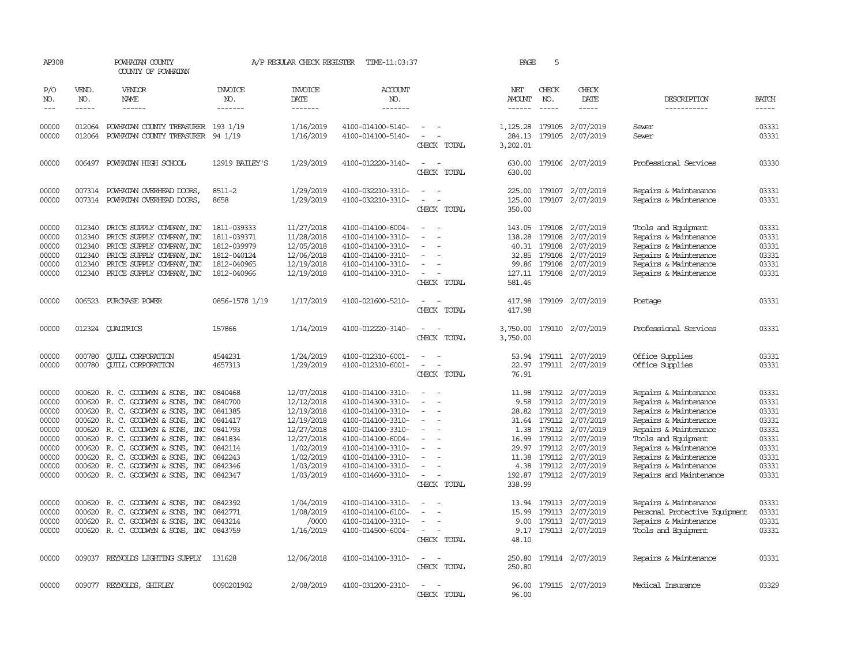| AP308                                                                                  |                                        | POWHATAN COUNTY<br>COUNTY OF POWHATAN                                                                                                                                                                                                                                                                                                                       |                                                                                                            | A/P REGULAR CHECK REGISTER                                                                                                           | TIME-11:03:37                                                                                                                                                                                                  |                                                                                                 | PAGE                                              | 5                                |                                                                                                                                                                                                         |                                                                                                                                                                                                                                                        |                                                                                        |
|----------------------------------------------------------------------------------------|----------------------------------------|-------------------------------------------------------------------------------------------------------------------------------------------------------------------------------------------------------------------------------------------------------------------------------------------------------------------------------------------------------------|------------------------------------------------------------------------------------------------------------|--------------------------------------------------------------------------------------------------------------------------------------|----------------------------------------------------------------------------------------------------------------------------------------------------------------------------------------------------------------|-------------------------------------------------------------------------------------------------|---------------------------------------------------|----------------------------------|---------------------------------------------------------------------------------------------------------------------------------------------------------------------------------------------------------|--------------------------------------------------------------------------------------------------------------------------------------------------------------------------------------------------------------------------------------------------------|----------------------------------------------------------------------------------------|
| P/O<br>NO.<br>$---$                                                                    | VEND.<br>NO.<br>$\cdots \cdots \cdots$ | <b>VENDOR</b><br>NAME<br>$- - - - - -$                                                                                                                                                                                                                                                                                                                      | <b>INVOICE</b><br>NO.<br>-------                                                                           | <b>INVOICE</b><br>DATE<br>-------                                                                                                    | ACCOUNT<br>NO.<br>-------                                                                                                                                                                                      |                                                                                                 | NET<br><b>AMOUNT</b><br>------                    | CHECK<br>NO.<br>$- - - - -$      | CHECK<br>DATE<br>$- - - - -$                                                                                                                                                                            | DESCRIPTION<br>-----------                                                                                                                                                                                                                             | <b>BATCH</b><br>$- - - - -$                                                            |
| 00000<br>00000                                                                         | 012064                                 | 012064 POWHATAN COUNTY TREASURER 193 1/19<br>POWHATAN COUNTY TREASURER                                                                                                                                                                                                                                                                                      | 94 1/19                                                                                                    | 1/16/2019<br>1/16/2019                                                                                                               | 4100-014100-5140-<br>4100-014100-5140-                                                                                                                                                                         | $\sim$ $ \sim$<br>$\sim$<br>$\sim$<br>CHECK TOTAL                                               | 284.13<br>3,202.01                                | 179105                           | 1, 125.28 179105 2/07/2019<br>2/07/2019                                                                                                                                                                 | Sewer<br>Sewer                                                                                                                                                                                                                                         | 03331<br>03331                                                                         |
| 00000                                                                                  |                                        | 006497 POWHATAN HIGH SCHOOL                                                                                                                                                                                                                                                                                                                                 | 12919 BAILEY'S                                                                                             | 1/29/2019                                                                                                                            | 4100-012220-3140-                                                                                                                                                                                              | $\equiv$<br>CHECK TOTAL                                                                         | 630.00<br>630.00                                  |                                  | 179106 2/07/2019                                                                                                                                                                                        | Professional Services                                                                                                                                                                                                                                  | 03330                                                                                  |
| 00000<br>00000                                                                         |                                        | 007314 POWHATAN OVERHEAD DOORS,<br>007314 POWHATAN OVERHEAD DOORS,                                                                                                                                                                                                                                                                                          | 8511-2<br>8658                                                                                             | 1/29/2019<br>1/29/2019                                                                                                               | 4100-032210-3310-<br>4100-032210-3310-                                                                                                                                                                         | $\sim$<br>$\sim$<br>$\sim$<br>CHECK TOTAL                                                       | 225.00<br>125.00<br>350.00                        |                                  | 179107 2/07/2019<br>179107 2/07/2019                                                                                                                                                                    | Repairs & Maintenance<br>Repairs & Maintenance                                                                                                                                                                                                         | 03331<br>03331                                                                         |
| 00000<br>00000<br>00000<br>00000<br>00000<br>00000                                     | 012340<br>012340<br>012340<br>012340   | 012340 PRICE SUPPLY COMPANY, INC<br>PRICE SUPPLY COMPANY, INC<br>PRICE SUPPLY COMPANY, INC<br>PRICE SUPPLY COMPANY, INC<br>PRICE SUPPLY COMPANY, INC<br>012340 PRICE SUPPLY COMPANY, INC                                                                                                                                                                    | 1811-039333<br>1811-039371<br>1812-039979<br>1812-040124<br>1812-040965<br>1812-040966                     | 11/27/2018<br>11/28/2018<br>12/05/2018<br>12/06/2018<br>12/19/2018<br>12/19/2018                                                     | 4100-014100-6004-<br>4100-014100-3310-<br>4100-014100-3310-<br>4100-014100-3310-<br>4100-014100-3310-<br>4100-014100-3310-                                                                                     | $\sim$<br>$\sim$<br>$\equiv$<br>CHECK TOTAL                                                     | 138.28<br>40.31<br>127.11<br>581.46               | 179108                           | 143.05 179108 2/07/2019<br>2/07/2019<br>179108 2/07/2019<br>32.85 179108 2/07/2019<br>99.86 179108 2/07/2019<br>179108 2/07/2019                                                                        | Tools and Equipment<br>Repairs & Maintenance<br>Repairs & Maintenance<br>Repairs & Maintenance<br>Repairs & Maintenance<br>Repairs & Maintenance                                                                                                       | 03331<br>03331<br>03331<br>03331<br>03331<br>03331                                     |
| 00000                                                                                  |                                        | 006523 PURCHASE POWER                                                                                                                                                                                                                                                                                                                                       | 0856-1578 1/19                                                                                             | 1/17/2019                                                                                                                            | 4100-021600-5210-                                                                                                                                                                                              | $\overline{\phantom{a}}$<br>CHECK TOTAL                                                         | 417.98<br>417.98                                  |                                  | 179109 2/07/2019                                                                                                                                                                                        | Postage                                                                                                                                                                                                                                                | 03331                                                                                  |
| 00000                                                                                  |                                        | 012324 CUALTRICS                                                                                                                                                                                                                                                                                                                                            | 157866                                                                                                     | 1/14/2019                                                                                                                            | 4100-012220-3140-                                                                                                                                                                                              | $\overline{\phantom{a}}$<br>CHECK TOTAL                                                         | 3,750.00<br>3,750.00                              |                                  | 179110 2/07/2019                                                                                                                                                                                        | Professional Services                                                                                                                                                                                                                                  | 03331                                                                                  |
| 00000<br>00000                                                                         | 000780<br>000780                       | <b>OUILL CORPORATION</b><br><b>QUILL CORPORATION</b>                                                                                                                                                                                                                                                                                                        | 4544231<br>4657313                                                                                         | 1/24/2019<br>1/29/2019                                                                                                               | 4100-012310-6001-<br>4100-012310-6001-                                                                                                                                                                         | $\equiv$<br>CHECK TOTAL                                                                         | 22.97<br>76.91                                    |                                  | 53.94 179111 2/07/2019<br>179111 2/07/2019                                                                                                                                                              | Office Supplies<br>Office Supplies                                                                                                                                                                                                                     | 03331<br>03331                                                                         |
| 00000<br>00000<br>00000<br>00000<br>00000<br>00000<br>00000<br>00000<br>00000<br>00000 | 000620                                 | 000620 R. C. GOODWYN & SONS, INC<br>R. C. GOODWYN & SONS, INC<br>000620 R.C. GOODWYN & SONS, INC<br>000620 R. C. GOODWYN & SONS, INC<br>000620 R. C. GOODWYN & SONS, INC<br>000620 R. C. GOODWYN & SONS, INC<br>000620 R.C. GOODWYN & SONS, INC<br>000620 R. C. GOODWYN & SONS, INC<br>000620 R. C. GOODWYN & SONS, INC<br>000620 R. C. GOODWYN & SONS, INC | 0840468<br>0840700<br>0841385<br>0841417<br>0841793<br>0841834<br>0842114<br>0842243<br>0842346<br>0842347 | 12/07/2018<br>12/12/2018<br>12/19/2018<br>12/19/2018<br>12/27/2018<br>12/27/2018<br>1/02/2019<br>1/02/2019<br>1/03/2019<br>1/03/2019 | 4100-014100-3310-<br>4100-014300-3310-<br>4100-014100-3310-<br>4100-014100-3310-<br>4100-014100-3310-<br>4100-014100-6004-<br>4100-014100-3310-<br>4100-014100-3310-<br>4100-014100-3310-<br>4100-014600-3310- | $\equiv$<br>$\equiv$<br>$\equiv$<br>$\overline{\phantom{a}}$<br>$\sim$<br>$\sim$<br>CHECK TOTAL | 9.58<br>1.38<br>16.99<br>4.38<br>192.87<br>338.99 | 31.64 179112<br>179112<br>179112 | 11.98 179112 2/07/2019<br>179112 2/07/2019<br>28.82 179112 2/07/2019<br>2/07/2019<br>2/07/2019<br>2/07/2019<br>29.97 179112 2/07/2019<br>11.38 179112 2/07/2019<br>179112 2/07/2019<br>179112 2/07/2019 | Repairs & Maintenance<br>Repairs & Maintenance<br>Repairs & Maintenance<br>Repairs & Maintenance<br>Repairs & Maintenance<br>Tools and Equipment<br>Repairs & Maintenance<br>Repairs & Maintenance<br>Repairs & Maintenance<br>Repairs and Maintenance | 03331<br>03331<br>03331<br>03331<br>03331<br>03331<br>03331<br>03331<br>03331<br>03331 |
| 00000<br>00000<br>00000<br>00000                                                       | 000620<br>000620                       | R. C. GOODWYN & SONS, INC<br>R. C. GOODWYN & SONS, INC<br>000620 R. C. GOODWYN & SONS, INC<br>000620 R. C. GOODWYN & SONS, INC                                                                                                                                                                                                                              | 0842392<br>0842771<br>0843214<br>0843759                                                                   | 1/04/2019<br>1/08/2019<br>/0000<br>1/16/2019                                                                                         | 4100-014100-3310-<br>4100-014100-6100-<br>4100-014100-3310-<br>4100-014500-6004-                                                                                                                               | $\equiv$<br>$\overline{\phantom{a}}$<br>CHECK TOTAL                                             | 13.94<br>15.99<br>9.17<br>48.10                   |                                  | 179113 2/07/2019<br>179113 2/07/2019<br>9.00 179113 2/07/2019<br>179113 2/07/2019                                                                                                                       | Repairs & Maintenance<br>Personal Protective Equipment<br>Repairs & Maintenance<br>Tools and Equipment                                                                                                                                                 | 03331<br>03331<br>03331<br>03331                                                       |
| 00000                                                                                  |                                        | 009037 REYNOLDS LIGHTING SUPPLY                                                                                                                                                                                                                                                                                                                             | 131628                                                                                                     | 12/06/2018                                                                                                                           | 4100-014100-3310-                                                                                                                                                                                              | $\sim$<br>$\overline{\phantom{a}}$<br>CHECK TOTAL                                               | 250.80<br>250.80                                  |                                  | 179114 2/07/2019                                                                                                                                                                                        | Repairs & Maintenance                                                                                                                                                                                                                                  | 03331                                                                                  |
| 00000                                                                                  |                                        | 009077 REYNOLDS, SHIRLEY                                                                                                                                                                                                                                                                                                                                    | 0090201902                                                                                                 | 2/08/2019                                                                                                                            | 4100-031200-2310-                                                                                                                                                                                              | <b>CHECK</b><br><b>TOTAL</b>                                                                    | 96.00                                             |                                  | 96.00 179115 2/07/2019                                                                                                                                                                                  | Medical Insurance                                                                                                                                                                                                                                      | 03329                                                                                  |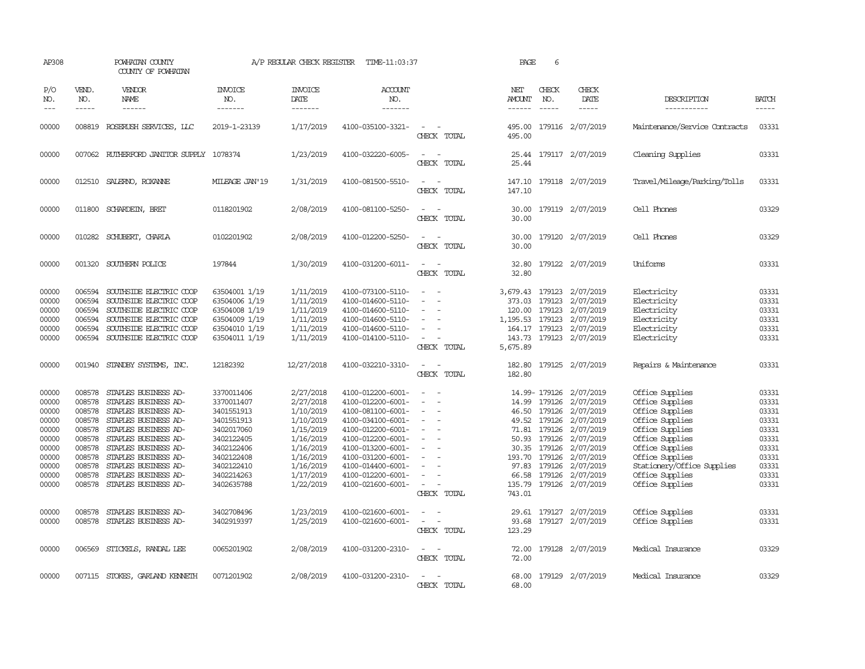| AP308                                                                                                             |                                                                                                                      | POWHATAN COUNTY<br>COUNTY OF POWHATAN                                                                                                                                                                                                                                                                                       |                                                                                                                                                                                    | A/P REGULAR CHECK REGISTER                                                                                                                                            | TIME-11:03:37                                                                                                                                                                                                                                                                 |                                                                                                                             | PAGE                               | 6                                                      |                                                                                                                                                                                                                                                                                 |                                                                                                                                                                                                                                                                |                                                                                                                   |
|-------------------------------------------------------------------------------------------------------------------|----------------------------------------------------------------------------------------------------------------------|-----------------------------------------------------------------------------------------------------------------------------------------------------------------------------------------------------------------------------------------------------------------------------------------------------------------------------|------------------------------------------------------------------------------------------------------------------------------------------------------------------------------------|-----------------------------------------------------------------------------------------------------------------------------------------------------------------------|-------------------------------------------------------------------------------------------------------------------------------------------------------------------------------------------------------------------------------------------------------------------------------|-----------------------------------------------------------------------------------------------------------------------------|------------------------------------|--------------------------------------------------------|---------------------------------------------------------------------------------------------------------------------------------------------------------------------------------------------------------------------------------------------------------------------------------|----------------------------------------------------------------------------------------------------------------------------------------------------------------------------------------------------------------------------------------------------------------|-------------------------------------------------------------------------------------------------------------------|
| P/O<br>NO.<br>$---$                                                                                               | VEND.<br>NO.<br>$- - - - -$                                                                                          | VENDOR<br>NAME<br>$- - - - - -$                                                                                                                                                                                                                                                                                             | <b>INVOICE</b><br>NO.<br>-------                                                                                                                                                   | <b>INVOICE</b><br>DATE<br>-------                                                                                                                                     | <b>ACCOUNT</b><br>NO.<br>-------                                                                                                                                                                                                                                              |                                                                                                                             | NET<br><b>AMOUNT</b><br>------     | CHECK<br>NO.<br>$- - - - -$                            | CHECK<br>DATE<br>$- - - - -$                                                                                                                                                                                                                                                    | DESCRIPTION<br>-----------                                                                                                                                                                                                                                     | <b>BATCH</b><br>-----                                                                                             |
| 00000                                                                                                             |                                                                                                                      | 008819 ROSERUSH SERVICES, LLC                                                                                                                                                                                                                                                                                               | 2019-1-23139                                                                                                                                                                       | 1/17/2019                                                                                                                                                             | 4100-035100-3321-                                                                                                                                                                                                                                                             | $\sim$<br>CHECK TOTAL                                                                                                       | 495.00<br>495.00                   |                                                        | 179116 2/07/2019                                                                                                                                                                                                                                                                | Maintenance/Service Contracts                                                                                                                                                                                                                                  | 03331                                                                                                             |
| 00000                                                                                                             |                                                                                                                      | 007062 RUIHERFORD JANITOR SUPPLY 1078374                                                                                                                                                                                                                                                                                    |                                                                                                                                                                                    | 1/23/2019                                                                                                                                                             | 4100-032220-6005-                                                                                                                                                                                                                                                             | $\equiv$<br>CHECK TOTAL                                                                                                     | 25.44                              |                                                        | 25.44 179117 2/07/2019                                                                                                                                                                                                                                                          | Cleaning Supplies                                                                                                                                                                                                                                              | 03331                                                                                                             |
| 00000                                                                                                             |                                                                                                                      | 012510 SALERNO, ROXANNE                                                                                                                                                                                                                                                                                                     | MILEAGE JAN'19                                                                                                                                                                     | 1/31/2019                                                                                                                                                             | 4100-081500-5510-                                                                                                                                                                                                                                                             | CHECK TOTAL                                                                                                                 | 147.10                             |                                                        | 147.10 179118 2/07/2019                                                                                                                                                                                                                                                         | Travel/Mileage/Parking/Tolls                                                                                                                                                                                                                                   | 03331                                                                                                             |
| 00000                                                                                                             |                                                                                                                      | 011800 SCHARDEIN, BRET                                                                                                                                                                                                                                                                                                      | 0118201902                                                                                                                                                                         | 2/08/2019                                                                                                                                                             | 4100-081100-5250-                                                                                                                                                                                                                                                             | $\overline{a}$<br>CHECK TOTAL                                                                                               | 30.00<br>30.00                     |                                                        | 179119 2/07/2019                                                                                                                                                                                                                                                                | Cell Phones                                                                                                                                                                                                                                                    | 03329                                                                                                             |
| 00000                                                                                                             | 010282                                                                                                               | SCHUBERT, CHARLA                                                                                                                                                                                                                                                                                                            | 0102201902                                                                                                                                                                         | 2/08/2019                                                                                                                                                             | 4100-012200-5250-                                                                                                                                                                                                                                                             | $\sim$ $\sim$<br>CHECK TOTAL                                                                                                | 30.00<br>30.00                     |                                                        | 179120 2/07/2019                                                                                                                                                                                                                                                                | Cell Phones                                                                                                                                                                                                                                                    | 03329                                                                                                             |
| 00000                                                                                                             | 001320                                                                                                               | SOUTHERN POLICE                                                                                                                                                                                                                                                                                                             | 197844                                                                                                                                                                             | 1/30/2019                                                                                                                                                             | 4100-031200-6011-                                                                                                                                                                                                                                                             | $\sim$<br>$\sim$<br>CHECK TOTAL                                                                                             | 32.80<br>32.80                     |                                                        | 179122 2/07/2019                                                                                                                                                                                                                                                                | Uniforms                                                                                                                                                                                                                                                       | 03331                                                                                                             |
| 00000<br>00000<br>00000<br>00000<br>00000<br>00000                                                                | 006594<br>006594<br>006594<br>006594<br>006594                                                                       | SOUTHSIDE ELECTRIC COOP<br>SOUTHSIDE ELECTRIC COOP<br>SOUTHSIDE ELECTRIC COOP<br>SOUTHSIDE ELECTRIC COOP<br>SOUTHSIDE ELECTRIC COOP<br>006594 SOUTHSIDE ELECTRIC COOP                                                                                                                                                       | 63504001 1/19<br>63504006 1/19<br>63504008 1/19<br>63504009 1/19<br>63504010 1/19<br>63504011 1/19                                                                                 | 1/11/2019<br>1/11/2019<br>1/11/2019<br>1/11/2019<br>1/11/2019<br>1/11/2019                                                                                            | 4100-073100-5110-<br>4100-014600-5110-<br>4100-014600-5110-<br>4100-014600-5110-<br>4100-014600-5110-<br>4100-014100-5110-                                                                                                                                                    | $\sim$<br>$\overline{\phantom{a}}$<br>CHECK TOTAL                                                                           | 373.03<br>1,195.53<br>5,675.89     | 179123<br>120.00 179123<br>179123                      | 3,679.43 179123 2/07/2019<br>2/07/2019<br>2/07/2019<br>2/07/2019<br>164.17 179123 2/07/2019<br>143.73 179123 2/07/2019                                                                                                                                                          | Electricity<br>Electricity<br>Electricity<br>Electricity<br>Electricity<br>Electricity                                                                                                                                                                         | 03331<br>03331<br>03331<br>03331<br>03331<br>03331                                                                |
| 00000                                                                                                             |                                                                                                                      | 001940 STANDBY SYSTEMS, INC.                                                                                                                                                                                                                                                                                                | 12182392                                                                                                                                                                           | 12/27/2018                                                                                                                                                            | 4100-032210-3310-                                                                                                                                                                                                                                                             | $\frac{1}{2} \left( \frac{1}{2} \right) \left( \frac{1}{2} \right) = \frac{1}{2} \left( \frac{1}{2} \right)$<br>CHECK TOTAL | 182.80<br>182.80                   |                                                        | 179125 2/07/2019                                                                                                                                                                                                                                                                | Repairs & Maintenance                                                                                                                                                                                                                                          | 03331                                                                                                             |
| 00000<br>00000<br>00000<br>00000<br>00000<br>00000<br>00000<br>00000<br>00000<br>00000<br>00000<br>00000<br>00000 | 008578<br>008578<br>008578<br>008578<br>008578<br>008578<br>008578<br>008578<br>008578<br>008578<br>008578<br>008578 | STAPLES BUSINESS AD-<br>STAPLES BUSINESS AD-<br>STAPLES BUSINESS AD-<br>STAPLES BUSINESS AD-<br>STAPLES BUSINESS AD-<br>STAPLES BUSINESS AD-<br>STAPLES BUSINESS AD-<br>STAPLES BUSINESS AD-<br>STAPLES BUSINESS AD-<br>STAPLES BUSINESS AD-<br>STAPLES BUSINESS AD-<br>STAPLES BUSINESS AD-<br>008578 STAPLES BUSINESS AD- | 3370011406<br>3370011407<br>3401551913<br>3401551913<br>3402017060<br>3402122405<br>3402122406<br>3402122408<br>3402122410<br>3402214263<br>3402635788<br>3402708496<br>3402919397 | 2/27/2018<br>2/27/2018<br>1/10/2019<br>1/10/2019<br>1/15/2019<br>1/16/2019<br>1/16/2019<br>1/16/2019<br>1/16/2019<br>1/17/2019<br>1/22/2019<br>1/23/2019<br>1/25/2019 | 4100-012200-6001-<br>4100-012200-6001-<br>4100-081100-6001-<br>4100-034100-6001-<br>4100-012200-6001-<br>4100-012200-6001-<br>4100-013200-6001-<br>4100-031200-6001-<br>4100-014400-6001-<br>4100-012200-6001-<br>4100-021600-6001-<br>4100-021600-6001-<br>4100-021600-6001- | $\equiv$<br>$\overline{\phantom{a}}$<br>$\equiv$<br>$\sim$<br>CHECK TOTAL                                                   | 66.58<br>135.79<br>743.01<br>93.68 | 71.81 179126<br>97.83 179126<br>179126<br>29.61 179127 | 14.99-179126 2/07/2019<br>14.99 179126 2/07/2019<br>46.50 179126 2/07/2019<br>49.52 179126 2/07/2019<br>2/07/2019<br>50.93 179126 2/07/2019<br>30.35 179126 2/07/2019<br>193.70 179126 2/07/2019<br>2/07/2019<br>2/07/2019<br>179126 2/07/2019<br>2/07/2019<br>179127 2/07/2019 | Office Supplies<br>Office Supplies<br>Office Supplies<br>Office Supplies<br>Office Supplies<br>Office Supplies<br>Office Supplies<br>Office Supplies<br>Stationery/Office Supplies<br>Office Supplies<br>Office Supplies<br>Office Supplies<br>Office Supplies | 03331<br>03331<br>03331<br>03331<br>03331<br>03331<br>03331<br>03331<br>03331<br>03331<br>03331<br>03331<br>03331 |
| 00000                                                                                                             |                                                                                                                      | 006569 STICKELS, RANDAL LEE                                                                                                                                                                                                                                                                                                 | 0065201902                                                                                                                                                                         | 2/08/2019                                                                                                                                                             | 4100-031200-2310-                                                                                                                                                                                                                                                             | CHECK TOTAL<br>$\sim$<br>$\sim$<br>CHECK TOTAL                                                                              | 123.29<br>72.00<br>72.00           |                                                        | 179128 2/07/2019                                                                                                                                                                                                                                                                | Medical Insurance                                                                                                                                                                                                                                              | 03329                                                                                                             |
| 00000                                                                                                             |                                                                                                                      | 007115 STOKES, GARLAND KENNETH                                                                                                                                                                                                                                                                                              | 0071201902                                                                                                                                                                         | 2/08/2019                                                                                                                                                             | 4100-031200-2310-                                                                                                                                                                                                                                                             | CHECK TOTAL                                                                                                                 | 68.00                              |                                                        | 68.00 179129 2/07/2019                                                                                                                                                                                                                                                          | Medical Insurance                                                                                                                                                                                                                                              | 03329                                                                                                             |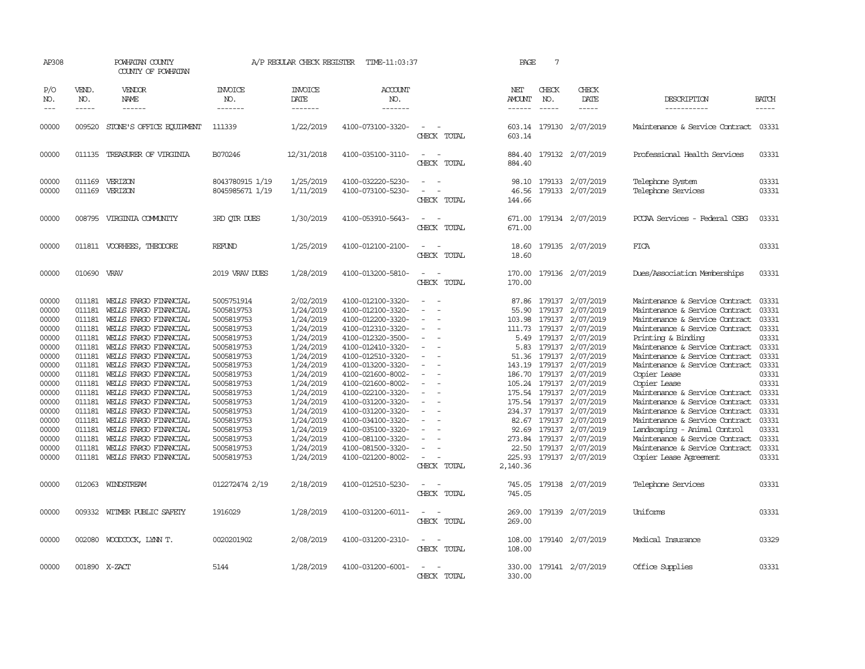| AP308                                                                                                                                                          |                                                                                                                                                                                  | POWHATAN COUNTY<br>COUNTY OF POWHATAN                                                                                                                                                                                                                                                                                                                                                                                                                          |                                                                                                                                                                                                                                                          | A/P REGULAR CHECK REGISTER                                                                                                                                                                                                             | TIME-11:03:37                                                                                                                                                                                                                                                                                                                                                                          |                       | PAGE                                                                                                                              | 7                                                                                                                                                                                                        |                                                                                                                                                                                                                                               |                                                                                                                                                                                                                                                                                                                                                                                                                                                                                                                                                                        |                                                                                                                                                                |
|----------------------------------------------------------------------------------------------------------------------------------------------------------------|----------------------------------------------------------------------------------------------------------------------------------------------------------------------------------|----------------------------------------------------------------------------------------------------------------------------------------------------------------------------------------------------------------------------------------------------------------------------------------------------------------------------------------------------------------------------------------------------------------------------------------------------------------|----------------------------------------------------------------------------------------------------------------------------------------------------------------------------------------------------------------------------------------------------------|----------------------------------------------------------------------------------------------------------------------------------------------------------------------------------------------------------------------------------------|----------------------------------------------------------------------------------------------------------------------------------------------------------------------------------------------------------------------------------------------------------------------------------------------------------------------------------------------------------------------------------------|-----------------------|-----------------------------------------------------------------------------------------------------------------------------------|----------------------------------------------------------------------------------------------------------------------------------------------------------------------------------------------------------|-----------------------------------------------------------------------------------------------------------------------------------------------------------------------------------------------------------------------------------------------|------------------------------------------------------------------------------------------------------------------------------------------------------------------------------------------------------------------------------------------------------------------------------------------------------------------------------------------------------------------------------------------------------------------------------------------------------------------------------------------------------------------------------------------------------------------------|----------------------------------------------------------------------------------------------------------------------------------------------------------------|
| P/O<br>NO.<br>$---$                                                                                                                                            | VEND.<br>NO.<br>$\frac{1}{2}$                                                                                                                                                    | VENDOR<br><b>NAME</b><br>$\frac{1}{2}$                                                                                                                                                                                                                                                                                                                                                                                                                         | <b>INVOICE</b><br>NO.<br>-------                                                                                                                                                                                                                         | <b>INVOICE</b><br><b>DATE</b><br>-------                                                                                                                                                                                               | ACCOUNT<br>NO.<br>-------                                                                                                                                                                                                                                                                                                                                                              |                       | NET<br><b>AMOUNT</b><br>$- - - - - -$                                                                                             | CHECK<br>NO.<br>$\frac{1}{2}$                                                                                                                                                                            | CHECK<br><b>DATE</b><br>-----                                                                                                                                                                                                                 | DESCRIPTION<br>-----------                                                                                                                                                                                                                                                                                                                                                                                                                                                                                                                                             | <b>BATCH</b><br>$\frac{1}{2}$                                                                                                                                  |
| 00000                                                                                                                                                          | 009520                                                                                                                                                                           | STONE'S OFFICE EQUIPMENT                                                                                                                                                                                                                                                                                                                                                                                                                                       | 111339                                                                                                                                                                                                                                                   | 1/22/2019                                                                                                                                                                                                                              | 4100-073100-3320-                                                                                                                                                                                                                                                                                                                                                                      | CHECK TOTAL           | 603.14<br>603.14                                                                                                                  |                                                                                                                                                                                                          | 179130 2/07/2019                                                                                                                                                                                                                              | Maintenance & Service Contract                                                                                                                                                                                                                                                                                                                                                                                                                                                                                                                                         | 03331                                                                                                                                                          |
| 00000                                                                                                                                                          | 011135                                                                                                                                                                           | TREASURER OF VIRGINIA                                                                                                                                                                                                                                                                                                                                                                                                                                          | B070246                                                                                                                                                                                                                                                  | 12/31/2018                                                                                                                                                                                                                             | 4100-035100-3110-                                                                                                                                                                                                                                                                                                                                                                      | CHECK TOTAL           | 884.40<br>884.40                                                                                                                  |                                                                                                                                                                                                          | 179132 2/07/2019                                                                                                                                                                                                                              | Professional Health Services                                                                                                                                                                                                                                                                                                                                                                                                                                                                                                                                           | 03331                                                                                                                                                          |
| 00000<br>00000                                                                                                                                                 | 011169                                                                                                                                                                           | 011169 VERIZON<br>VERIZON                                                                                                                                                                                                                                                                                                                                                                                                                                      | 8043780915 1/19<br>8045985671 1/19                                                                                                                                                                                                                       | 1/25/2019<br>1/11/2019                                                                                                                                                                                                                 | 4100-032220-5230-<br>4100-073100-5230-                                                                                                                                                                                                                                                                                                                                                 | CHECK TOTAL           | 98.10<br>46.56<br>144.66                                                                                                          |                                                                                                                                                                                                          | 179133 2/07/2019<br>179133 2/07/2019                                                                                                                                                                                                          | Telephone System<br>Telephone Services                                                                                                                                                                                                                                                                                                                                                                                                                                                                                                                                 | 03331<br>03331                                                                                                                                                 |
| 00000                                                                                                                                                          |                                                                                                                                                                                  | 008795 VIRGINIA COMUNITY                                                                                                                                                                                                                                                                                                                                                                                                                                       | 3RD OTR DUES                                                                                                                                                                                                                                             | 1/30/2019                                                                                                                                                                                                                              | 4100-053910-5643-                                                                                                                                                                                                                                                                                                                                                                      | CHECK TOTAL           | 671.00                                                                                                                            |                                                                                                                                                                                                          | 671.00 179134 2/07/2019                                                                                                                                                                                                                       | PCCAA Services - Federal CSBG                                                                                                                                                                                                                                                                                                                                                                                                                                                                                                                                          | 03331                                                                                                                                                          |
| 00000                                                                                                                                                          |                                                                                                                                                                                  | 011811 VOORHEES, THEODORE                                                                                                                                                                                                                                                                                                                                                                                                                                      | <b>REFUND</b>                                                                                                                                                                                                                                            | 1/25/2019                                                                                                                                                                                                                              | 4100-012100-2100-                                                                                                                                                                                                                                                                                                                                                                      | CHECK TOTAL           | 18.60<br>18.60                                                                                                                    |                                                                                                                                                                                                          | 179135 2/07/2019                                                                                                                                                                                                                              | FICA                                                                                                                                                                                                                                                                                                                                                                                                                                                                                                                                                                   | 03331                                                                                                                                                          |
| 00000                                                                                                                                                          | 010690                                                                                                                                                                           | VRAV                                                                                                                                                                                                                                                                                                                                                                                                                                                           | 2019 VRAV DUES                                                                                                                                                                                                                                           | 1/28/2019                                                                                                                                                                                                                              | 4100-013200-5810-                                                                                                                                                                                                                                                                                                                                                                      | CHECK TOTAL           | 170.00<br>170.00                                                                                                                  |                                                                                                                                                                                                          | 179136 2/07/2019                                                                                                                                                                                                                              | Dues/Association Memberships                                                                                                                                                                                                                                                                                                                                                                                                                                                                                                                                           | 03331                                                                                                                                                          |
| 00000<br>00000<br>00000<br>00000<br>00000<br>00000<br>00000<br>00000<br>00000<br>00000<br>00000<br>00000<br>00000<br>00000<br>00000<br>00000<br>00000<br>00000 | 011181<br>011181<br>011181<br>011181<br>011181<br>011181<br>011181<br>011181<br>011181<br>011181<br>011181<br>011181<br>011181<br>011181<br>011181<br>011181<br>011181<br>011181 | WELLS FARGO FINANCIAL<br>WELLS FARGO FINANCIAL<br>WELLS FARGO FINANCIAL<br>WEILS FARGO FINANCIAL<br>WELLS FARGO FINANCIAL<br>WELLS FARGO FINANCIAL<br>WELLS FARGO FINANCIAL<br>WELLS FARGO FINANCIAL<br>WEILS FARGO FINANCIAL<br>WELLS FARGO FINANCIAL<br>WELLS FARGO FINANCIAL<br>WELLS FARGO FINANCIAL<br>WELLS FARGO FINANCIAL<br>WEILS FARGO FINANCIAL<br>WELLS FARGO FINANCIAL<br>WELLS FARGO FINANCIAL<br>WEILS FARGO FINANCIAL<br>WELLS FARGO FINANCIAL | 5005751914<br>5005819753<br>5005819753<br>5005819753<br>5005819753<br>5005819753<br>5005819753<br>5005819753<br>5005819753<br>5005819753<br>5005819753<br>5005819753<br>5005819753<br>5005819753<br>5005819753<br>5005819753<br>5005819753<br>5005819753 | 2/02/2019<br>1/24/2019<br>1/24/2019<br>1/24/2019<br>1/24/2019<br>1/24/2019<br>1/24/2019<br>1/24/2019<br>1/24/2019<br>1/24/2019<br>1/24/2019<br>1/24/2019<br>1/24/2019<br>1/24/2019<br>1/24/2019<br>1/24/2019<br>1/24/2019<br>1/24/2019 | 4100-012100-3320-<br>4100-012100-3320-<br>4100-012200-3320-<br>4100-012310-3320-<br>4100-012320-3500-<br>4100-012410-3320-<br>4100-012510-3320-<br>4100-013200-3320-<br>4100-021600-8002-<br>4100-021600-8002-<br>4100-022100-3320-<br>4100-031200-3320-<br>4100-031200-3320-<br>4100-034100-3320-<br>4100-035100-3320-<br>4100-081100-3320-<br>4100-081500-3320-<br>4100-021200-8002- | CHECK TOTAL           | 87.86<br>55.90<br>103.98<br>111.73<br>5.49<br>5.83<br>51.36<br>186.70<br>105.24<br>175.54<br>92.69<br>22.50<br>225.93<br>2,140.36 | 179137<br>179137<br>179137<br>179137<br>179137<br>179137<br>179137<br>143.19 179137<br>179137<br>179137<br>179137<br>175.54 179137<br>234.37 179137<br>82.67 179137<br>179137<br>273.84 179137<br>179137 | 2/07/2019<br>2/07/2019<br>2/07/2019<br>2/07/2019<br>2/07/2019<br>2/07/2019<br>2/07/2019<br>2/07/2019<br>2/07/2019<br>2/07/2019<br>2/07/2019<br>2/07/2019<br>2/07/2019<br>2/07/2019<br>2/07/2019<br>2/07/2019<br>2/07/2019<br>179137 2/07/2019 | Maintenance & Service Contract<br>Maintenance & Service Contract<br>Maintenance & Service Contract<br>Maintenance & Service Contract<br>Printing & Binding<br>Maintenance & Service Contract<br>Maintenance & Service Contract<br>Maintenance & Service Contract<br>Copier Lease<br>Copier Lease<br>Maintenance & Service Contract<br>Maintenance & Service Contract<br>Maintenance & Service Contract<br>Maintenance & Service Contract<br>Landscaping - Animal Control<br>Maintenance & Service Contract<br>Maintenance & Service Contract<br>Copier Lease Agreement | 03331<br>03331<br>03331<br>03331<br>03331<br>03331<br>03331<br>03331<br>03331<br>03331<br>03331<br>03331<br>03331<br>03331<br>03331<br>03331<br>03331<br>03331 |
| 00000                                                                                                                                                          |                                                                                                                                                                                  | 012063 WINDSTREAM                                                                                                                                                                                                                                                                                                                                                                                                                                              | 012272474 2/19                                                                                                                                                                                                                                           | 2/18/2019                                                                                                                                                                                                                              | 4100-012510-5230-                                                                                                                                                                                                                                                                                                                                                                      | ۰.<br>CHECK TOTAL     | 745.05<br>745.05                                                                                                                  |                                                                                                                                                                                                          | 179138 2/07/2019                                                                                                                                                                                                                              | Telephone Services                                                                                                                                                                                                                                                                                                                                                                                                                                                                                                                                                     | 03331                                                                                                                                                          |
| 00000                                                                                                                                                          |                                                                                                                                                                                  | 009332 WITMER PUBLIC SAFETY                                                                                                                                                                                                                                                                                                                                                                                                                                    | 1916029                                                                                                                                                                                                                                                  | 1/28/2019                                                                                                                                                                                                                              | 4100-031200-6011-                                                                                                                                                                                                                                                                                                                                                                      | $\sim$<br>CHECK TOTAL | 269.00<br>269.00                                                                                                                  |                                                                                                                                                                                                          | 179139 2/07/2019                                                                                                                                                                                                                              | Uniforms                                                                                                                                                                                                                                                                                                                                                                                                                                                                                                                                                               | 03331                                                                                                                                                          |
| 00000                                                                                                                                                          |                                                                                                                                                                                  | 002080 WOODCOCK, LYNN T.                                                                                                                                                                                                                                                                                                                                                                                                                                       | 0020201902                                                                                                                                                                                                                                               | 2/08/2019                                                                                                                                                                                                                              | 4100-031200-2310-                                                                                                                                                                                                                                                                                                                                                                      | CHECK TOTAL           | 108.00<br>108.00                                                                                                                  |                                                                                                                                                                                                          | 179140 2/07/2019                                                                                                                                                                                                                              | Medical Insurance                                                                                                                                                                                                                                                                                                                                                                                                                                                                                                                                                      | 03329                                                                                                                                                          |
| 00000                                                                                                                                                          |                                                                                                                                                                                  | 001890 X-ZACT                                                                                                                                                                                                                                                                                                                                                                                                                                                  | 5144                                                                                                                                                                                                                                                     | 1/28/2019                                                                                                                                                                                                                              | 4100-031200-6001-                                                                                                                                                                                                                                                                                                                                                                      | CHECK TOTAL           | 330.00<br>330.00                                                                                                                  |                                                                                                                                                                                                          | 179141 2/07/2019                                                                                                                                                                                                                              | Office Supplies                                                                                                                                                                                                                                                                                                                                                                                                                                                                                                                                                        | 03331                                                                                                                                                          |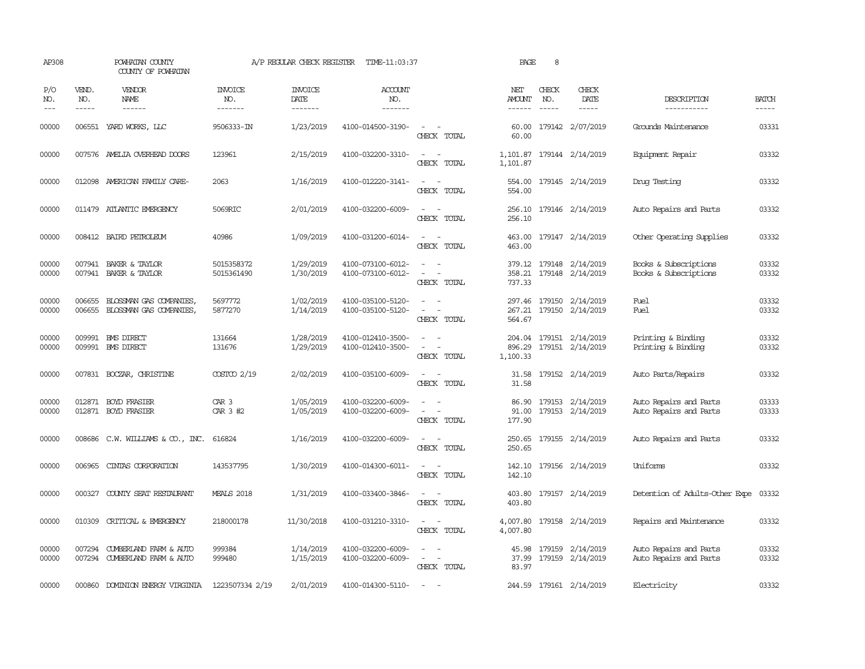| AP308               |                             | POWHATAN COUNTY<br>COUNTY OF POWHATAN                          |                                  | A/P REGULAR CHECK REGISTER        | TIME-11:03:37                          |                                                                                                                             | PAGE                           | 8            |                                             |                                                  |                       |
|---------------------|-----------------------------|----------------------------------------------------------------|----------------------------------|-----------------------------------|----------------------------------------|-----------------------------------------------------------------------------------------------------------------------------|--------------------------------|--------------|---------------------------------------------|--------------------------------------------------|-----------------------|
| P/O<br>NO.<br>$---$ | VEND.<br>NO.<br>$- - - - -$ | <b>VENDOR</b><br>NAME                                          | <b>INVOICE</b><br>NO.<br>------- | <b>INVOICE</b><br>DATE<br>------- | <b>ACCOUNT</b><br>NO.<br>-------       |                                                                                                                             | NET<br><b>AMOUNT</b><br>------ | CHECK<br>NO. | CHECK<br>DATE<br>-----                      | DESCRIPTION<br>-----------                       | <b>BATCH</b><br>----- |
| 00000               |                             | 006551 YARD WORKS, LLC                                         | 9506333-IN                       | 1/23/2019                         | 4100-014500-3190-                      | $\sim$<br>$\sim$<br>CHECK TOTAL                                                                                             | 60.00<br>60.00                 |              | 179142 2/07/2019                            | Grounds Maintenance                              | 03331                 |
| 00000               |                             | 007576 AMELIA OVERHEAD DOORS                                   | 123961                           | 2/15/2019                         | 4100-032200-3310-                      | $\frac{1}{2} \left( \frac{1}{2} \right) \left( \frac{1}{2} \right) = \frac{1}{2} \left( \frac{1}{2} \right)$<br>CHECK TOTAL | 1,101.87                       |              | 1,101.87 179144 2/14/2019                   | Equipment Repair                                 | 03332                 |
| 00000               |                             | 012098 AMERICAN FAMILY CARE-                                   | 2063                             | 1/16/2019                         | 4100-012220-3141-                      | $\sim$<br>CHECK TOTAL                                                                                                       | 554.00                         |              | 554.00 179145 2/14/2019                     | Drug Testing                                     | 03332                 |
| 00000               |                             | 011479 ATLANTIC EMERGENCY                                      | 5069RIC                          | 2/01/2019                         | 4100-032200-6009-                      | $ -$<br>CHECK TOTAL                                                                                                         | 256.10<br>256.10               |              | 179146 2/14/2019                            | Auto Repairs and Parts                           | 03332                 |
| 00000               |                             | 008412 BAIRD PETROLEUM                                         | 40986                            | 1/09/2019                         | 4100-031200-6014-                      | $\frac{1}{2} \left( \frac{1}{2} \right) \left( \frac{1}{2} \right) = \frac{1}{2} \left( \frac{1}{2} \right)$<br>CHECK TOTAL | 463.00<br>463.00               |              | 179147 2/14/2019                            | Other Operating Supplies                         | 03332                 |
| 00000<br>00000      |                             | 007941 BAKER & TAYLOR<br>007941 BAKER & TAYLOR                 | 5015358372<br>5015361490         | 1/29/2019<br>1/30/2019            | 4100-073100-6012-<br>4100-073100-6012- | $\equiv$<br>$\equiv$<br>CHECK TOTAL                                                                                         | 358.21<br>737.33               |              | 379.12 179148 2/14/2019<br>179148 2/14/2019 | Books & Subscriptions<br>Books & Subscriptions   | 03332<br>03332        |
| 00000<br>00000      | 006655<br>006655            | BLOSSMAN GAS COMPANIES,<br>BLOSSMAN GAS COMPANIES,             | 5697772<br>5877270               | 1/02/2019<br>1/14/2019            | 4100-035100-5120-<br>4100-035100-5120- | $\sim$<br>$\overline{\phantom{a}}$<br>CHECK TOTAL                                                                           | 297.46<br>267.21<br>564.67     |              | 179150 2/14/2019<br>179150 2/14/2019        | Fuel<br>Fuel                                     | 03332<br>03332        |
| 00000<br>00000      |                             | 009991 BMS DIRECT<br>009991 BMS DIRECT                         | 131664<br>131676                 | 1/28/2019<br>1/29/2019            | 4100-012410-3500-<br>4100-012410-3500- | $\equiv$<br>$\sim$<br>CHECK TOTAL                                                                                           | 204.04<br>896.29<br>1,100.33   |              | 179151 2/14/2019<br>179151 2/14/2019        | Printing & Binding<br>Printing & Binding         | 03332<br>03332        |
| 00000               |                             | 007831 BOCZAR, CHRISTINE                                       | $COSTCO$ $2/19$                  | 2/02/2019                         | 4100-035100-6009-                      | $\sim$<br>CHECK TOTAL                                                                                                       | 31.58<br>31.58                 |              | 179152 2/14/2019                            | Auto Parts/Repairs                               | 03332                 |
| 00000<br>00000      |                             | 012871 BOYD FRASIER<br>012871 BOYD FRASIER                     | CAR <sub>3</sub><br>CAR 3 #2     | 1/05/2019<br>1/05/2019            | 4100-032200-6009-<br>4100-032200-6009- | $\equiv$<br>CHECK TOTAL                                                                                                     | 86.90<br>91.00<br>177.90       |              | 179153 2/14/2019<br>179153 2/14/2019        | Auto Repairs and Parts<br>Auto Repairs and Parts | 03333<br>03333        |
| 00000               |                             | 008686 C.W. WILLIAMS & CO., INC.                               | 616824                           | 1/16/2019                         | 4100-032200-6009-                      | $\sim$ $\sim$<br>CHECK TOTAL                                                                                                | 250.65<br>250.65               |              | 179155 2/14/2019                            | Auto Repairs and Parts                           | 03332                 |
| 00000               | 006965                      | CINIAS CORPORATION                                             | 143537795                        | 1/30/2019                         | 4100-014300-6011-                      | $ -$<br>CHECK TOTAL                                                                                                         | 142.10<br>142.10               |              | 179156 2/14/2019                            | Uniforms                                         | 03332                 |
| 00000               |                             | 000327 COUNTY SEAT RESTAURANT                                  | <b>MEALS 2018</b>                | 1/31/2019                         | 4100-033400-3846-                      | $\frac{1}{2} \left( \frac{1}{2} \right) \left( \frac{1}{2} \right) = \frac{1}{2} \left( \frac{1}{2} \right)$<br>CHECK TOTAL | 403.80<br>403.80               |              | 179157 2/14/2019                            | Detention of Adults-Other Expe                   | 03332                 |
| 00000               |                             | 010309 CRITICAL & EMERGENCY                                    | 218000178                        | 11/30/2018                        | 4100-031210-3310-                      | $\frac{1}{2} \left( \frac{1}{2} \right) \left( \frac{1}{2} \right) = \frac{1}{2} \left( \frac{1}{2} \right)$<br>CHECK TOTAL | 4,007.80<br>4,007.80           |              | 179158 2/14/2019                            | Repairs and Maintenance                          | 03332                 |
| 00000<br>00000      |                             | 007294 CUMBERLAND FARM & AUTO<br>007294 CUMBERLAND FARM & AUTO | 999384<br>999480                 | 1/14/2019<br>1/15/2019            | 4100-032200-6009-<br>4100-032200-6009- | $\overline{\phantom{a}}$<br>$\overline{\phantom{a}}$<br>CHECK TOTAL                                                         | 37.99<br>83.97                 |              | 45.98 179159 2/14/2019<br>179159 2/14/2019  | Auto Repairs and Parts<br>Auto Repairs and Parts | 03332<br>03332        |
| 00000               | 000860                      | DOMINION ENERGY VIRGINIA                                       | 1223507334 2/19                  | 2/01/2019                         | 4100-014300-5110-                      | $\sim$                                                                                                                      |                                |              | 244.59 179161 2/14/2019                     | Electricity                                      | 03332                 |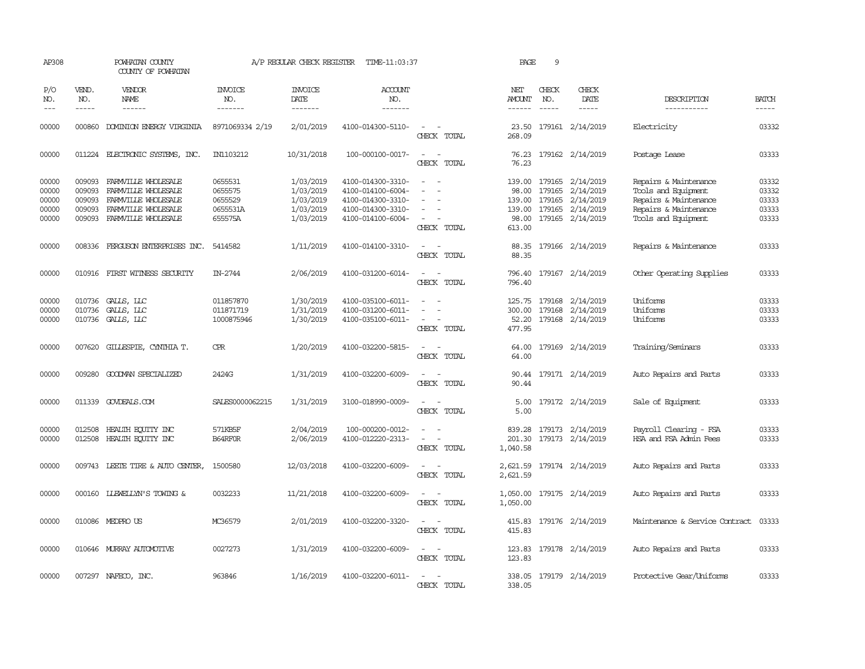| AP308                                     |                                                | POWHATAN COUNTY<br>COUNTY OF POWHATAN                                                                           |                                                      | A/P REGULAR CHECK REGISTER                                    | TIME-11:03:37                                                                                         |                                                                                                                                               | PAGE                                | 9                             |                                                                                                        |                                                                                                                       |                                           |
|-------------------------------------------|------------------------------------------------|-----------------------------------------------------------------------------------------------------------------|------------------------------------------------------|---------------------------------------------------------------|-------------------------------------------------------------------------------------------------------|-----------------------------------------------------------------------------------------------------------------------------------------------|-------------------------------------|-------------------------------|--------------------------------------------------------------------------------------------------------|-----------------------------------------------------------------------------------------------------------------------|-------------------------------------------|
| P/O<br>NO.<br>$---$                       | VEND.<br>NO.<br>-----                          | <b>VENDOR</b><br>NAME<br>------                                                                                 | <b>INVOICE</b><br>NO.<br>-------                     | <b>INVOICE</b><br>DATE<br>-------                             | ACCOUNT<br>NO.<br>-------                                                                             |                                                                                                                                               | NET<br>AMOUNT<br>------             | CHECK<br>NO.<br>$\frac{1}{2}$ | CHECK<br>DATE<br>-----                                                                                 | DESCRIPTION<br>-----------                                                                                            | <b>BATCH</b><br>-----                     |
| 00000                                     | 000860                                         | DOMINION ENERGY VIRGINIA                                                                                        | 8971069334 2/19                                      | 2/01/2019                                                     | 4100-014300-5110-                                                                                     | $\sim$<br>$\overline{\phantom{a}}$<br>CHECK TOTAL                                                                                             | 23.50<br>268.09                     |                               | 179161 2/14/2019                                                                                       | Electricity                                                                                                           | 03332                                     |
| 00000                                     |                                                | 011224 ELECTRONIC SYSTEMS, INC.                                                                                 | IN1103212                                            | 10/31/2018                                                    | 100-000100-0017-                                                                                      | $\sim$<br>$\sim$<br>CHECK TOTAL                                                                                                               | 76.23<br>76.23                      |                               | 179162 2/14/2019                                                                                       | Postage Lease                                                                                                         | 03333                                     |
| 00000<br>00000<br>00000<br>00000<br>00000 | 009093<br>009093<br>009093<br>009093<br>009093 | FARMVILLE WHOLESALE<br>FARMVILLE WHOLESALE<br>FARMVILLE WHOLESALE<br>FARMVILLE WHOLESALE<br>FARMVILLE WHOLESALE | 0655531<br>0655575<br>0655529<br>0655531A<br>655575A | 1/03/2019<br>1/03/2019<br>1/03/2019<br>1/03/2019<br>1/03/2019 | 4100-014300-3310-<br>4100-014100-6004-<br>4100-014300-3310-<br>4100-014300-3310-<br>4100-014100-6004- | $\overline{\phantom{a}}$<br>$\overline{\phantom{a}}$<br>$\overline{\phantom{a}}$<br>CHECK TOTAL                                               | 139.00<br>98.00<br>139.00<br>613.00 | 179165                        | 179165 2/14/2019<br>179165 2/14/2019<br>2/14/2019<br>139.00 179165 2/14/2019<br>98.00 179165 2/14/2019 | Repairs & Maintenance<br>Tools and Equipment<br>Repairs & Maintenance<br>Repairs & Maintenance<br>Tools and Equipment | 03332<br>03332<br>03333<br>03333<br>03333 |
| 00000                                     | 008336                                         | FERGUSON ENTERPRISES INC.                                                                                       | 5414582                                              | 1/11/2019                                                     | 4100-014100-3310-                                                                                     | $\overline{\phantom{a}}$<br>$\sim$<br>CHECK TOTAL                                                                                             | 88.35<br>88.35                      |                               | 179166 2/14/2019                                                                                       | Repairs & Maintenance                                                                                                 | 03333                                     |
| 00000                                     | 010916                                         | FIRST WITNESS SECURITY                                                                                          | IN-2744                                              | 2/06/2019                                                     | 4100-031200-6014-                                                                                     | $\sim$ $\sim$<br>CHECK TOTAL                                                                                                                  | 796.40<br>796.40                    |                               | 179167 2/14/2019                                                                                       | Other Operating Supplies                                                                                              | 03333                                     |
| 00000<br>00000<br>00000                   | 010736                                         | 010736 GALLS, LLC<br>GALLS, LLC<br>010736 GALLS, LLC                                                            | 011857870<br>011871719<br>1000875946                 | 1/30/2019<br>1/31/2019<br>1/30/2019                           | 4100-035100-6011-<br>4100-031200-6011-<br>4100-035100-6011-                                           | $\overline{\phantom{a}}$<br>$\overline{\phantom{a}}$<br>CHECK TOTAL                                                                           | 300.00<br>52.20<br>477.95           | 179168                        | 125.75 179168 2/14/2019<br>2/14/2019<br>179168 2/14/2019                                               | Uniforms<br>Uniforms<br>Uniforms                                                                                      | 03333<br>03333<br>03333                   |
| 00000                                     |                                                | 007620 GILLESPIE, CYNIHIA T.                                                                                    | <b>CPR</b>                                           | 1/20/2019                                                     | 4100-032200-5815-                                                                                     | CHECK TOTAL                                                                                                                                   | 64.00<br>64.00                      |                               | 179169 2/14/2019                                                                                       | Training/Seminars                                                                                                     | 03333                                     |
| 00000                                     | 009280                                         | GOODMAN SPECIALIZED                                                                                             | 2424G                                                | 1/31/2019                                                     | 4100-032200-6009-                                                                                     | $\sim$<br>CHECK TOTAL                                                                                                                         | 90.44<br>90.44                      |                               | 179171 2/14/2019                                                                                       | Auto Repairs and Parts                                                                                                | 03333                                     |
| 00000                                     |                                                | 011339 GOVDEALS.COM                                                                                             | SALES0000062215                                      | 1/31/2019                                                     | 3100-018990-0009-                                                                                     | CHECK TOTAL                                                                                                                                   | 5.00<br>5.00                        |                               | 179172 2/14/2019                                                                                       | Sale of Equipment                                                                                                     | 03333                                     |
| 00000<br>00000                            | 012508                                         | HEALTH EQUITY INC<br>012508 HEALTH EQUITY INC                                                                   | 571KB5F<br>B64RF0R                                   | 2/04/2019<br>2/06/2019                                        | 100-000200-0012-<br>4100-012220-2313-                                                                 | $\overline{a}$<br>$\frac{1}{2} \left( \frac{1}{2} \right) \left( \frac{1}{2} \right) = \frac{1}{2} \left( \frac{1}{2} \right)$<br>CHECK TOTAL | 201.30<br>1,040.58                  |                               | 839.28 179173 2/14/2019<br>179173 2/14/2019                                                            | Payroll Clearing - FSA<br>HSA and FSA Admin Fees                                                                      | 03333<br>03333                            |
| 00000                                     |                                                | 009743 LEETE TIRE & AUTO CENTER,                                                                                | 1500580                                              | 12/03/2018                                                    | 4100-032200-6009-                                                                                     | - -<br>CHECK TOTAL                                                                                                                            | 2,621.59                            |                               | 2,621.59 179174 2/14/2019                                                                              | Auto Repairs and Parts                                                                                                | 03333                                     |
| 00000                                     |                                                | 000160 LIEWELLYN'S TOWING &                                                                                     | 0032233                                              | 11/21/2018                                                    | 4100-032200-6009-                                                                                     | CHECK TOTAL                                                                                                                                   | 1,050.00                            |                               | 1,050.00 179175 2/14/2019                                                                              | Auto Repairs and Parts                                                                                                | 03333                                     |
| 00000                                     |                                                | 010086 MEDPROUS                                                                                                 | MC36579                                              | 2/01/2019                                                     | 4100-032200-3320-                                                                                     | $\overline{\phantom{a}}$<br>$\sim$<br>CHECK TOTAL                                                                                             | 415.83<br>415.83                    |                               | 179176 2/14/2019                                                                                       | Maintenance & Service Contract                                                                                        | 03333                                     |
| 00000                                     |                                                | 010646 MURRAY AUTOMOTTVE                                                                                        | 0027273                                              | 1/31/2019                                                     | 4100-032200-6009-                                                                                     | $\overline{\phantom{a}}$<br>$\overline{\phantom{a}}$<br>CHECK TOTAL                                                                           | 123.83<br>123.83                    |                               | 179178 2/14/2019                                                                                       | Auto Repairs and Parts                                                                                                | 03333                                     |
| 00000                                     |                                                | 007297 NAFECO, INC.                                                                                             | 963846                                               | 1/16/2019                                                     | 4100-032200-6011-                                                                                     | $\sim$<br>CHECK TOTAL                                                                                                                         | 338.05                              |                               | 338.05 179179 2/14/2019                                                                                | Protective Gear/Uniforms                                                                                              | 03333                                     |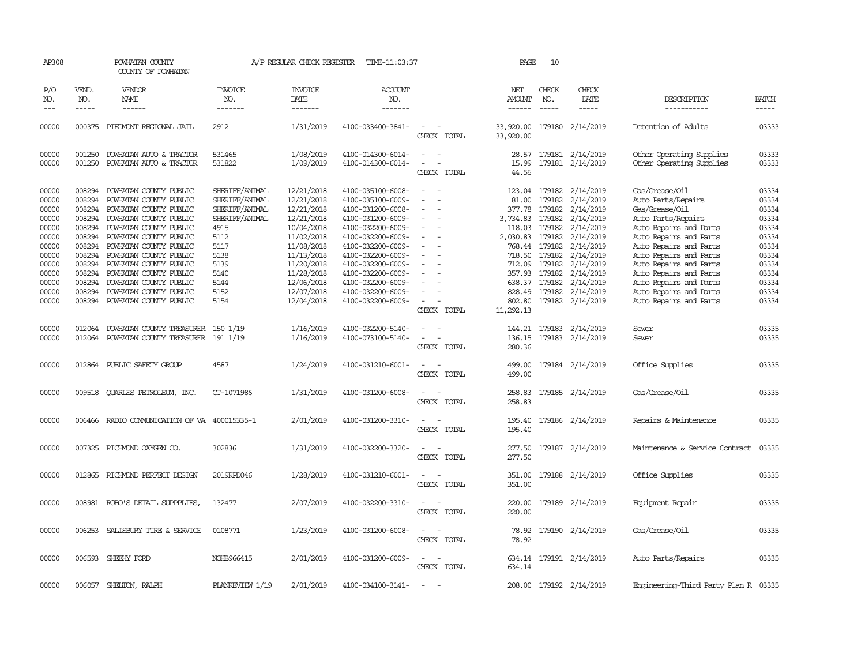| AP308                                                                                                             |                                                                                                                      | POWHATAN COUNTY<br>COUNTY OF POWHATAN                                                                                                                                                                                                                                                                                                                 |                                                                                                                                              | A/P REGULAR CHECK REGISTER                                                                                                                                                         | TIME-11:03:37                                                                                                                                                                                                                                                                 |                                                             | PAGE                                                                                                   | 10                                                                     |                                                                                                                                                                                                                                       |                                                                                                                                                                                                                                                                                                                        |                                                                                                                   |
|-------------------------------------------------------------------------------------------------------------------|----------------------------------------------------------------------------------------------------------------------|-------------------------------------------------------------------------------------------------------------------------------------------------------------------------------------------------------------------------------------------------------------------------------------------------------------------------------------------------------|----------------------------------------------------------------------------------------------------------------------------------------------|------------------------------------------------------------------------------------------------------------------------------------------------------------------------------------|-------------------------------------------------------------------------------------------------------------------------------------------------------------------------------------------------------------------------------------------------------------------------------|-------------------------------------------------------------|--------------------------------------------------------------------------------------------------------|------------------------------------------------------------------------|---------------------------------------------------------------------------------------------------------------------------------------------------------------------------------------------------------------------------------------|------------------------------------------------------------------------------------------------------------------------------------------------------------------------------------------------------------------------------------------------------------------------------------------------------------------------|-------------------------------------------------------------------------------------------------------------------|
| P/O<br>NO.<br>$---$                                                                                               | VEND.<br>NO.<br>$\frac{1}{2}$                                                                                        | VENDOR<br>NAME                                                                                                                                                                                                                                                                                                                                        | <b>INVOICE</b><br>NO.<br>-------                                                                                                             | <b>INVOICE</b><br>DATE<br>-------                                                                                                                                                  | <b>ACCOUNT</b><br>NO.<br>-------                                                                                                                                                                                                                                              |                                                             | NET<br>AMOUNT                                                                                          | CHECK<br>NO.<br>$\frac{1}{2}$                                          | CHECK<br>DATE<br>-----                                                                                                                                                                                                                | DESCRIPTION<br>-----------                                                                                                                                                                                                                                                                                             | <b>BATCH</b><br>-----                                                                                             |
| 00000                                                                                                             | 000375                                                                                                               | PIEDMONT REGIONAL JAIL                                                                                                                                                                                                                                                                                                                                | 2912                                                                                                                                         | 1/31/2019                                                                                                                                                                          | 4100-033400-3841-                                                                                                                                                                                                                                                             | $\overline{\phantom{a}}$<br>CHECK TOTAL                     | 33,920.00<br>33,920.00                                                                                 |                                                                        | 179180 2/14/2019                                                                                                                                                                                                                      | Detention of Adults                                                                                                                                                                                                                                                                                                    | 03333                                                                                                             |
| 00000<br>00000                                                                                                    | 001250<br>001250                                                                                                     | POWHATAN AUTO & TRACTOR<br>POWHATAN AUTO & TRACTOR                                                                                                                                                                                                                                                                                                    | 531465<br>531822                                                                                                                             | 1/08/2019<br>1/09/2019                                                                                                                                                             | 4100-014300-6014-<br>4100-014300-6014-                                                                                                                                                                                                                                        | $\overline{\phantom{a}}$<br>$\sim$<br>$\sim$<br>CHECK TOTAL | 15.99<br>44.56                                                                                         |                                                                        | 28.57 179181 2/14/2019<br>179181 2/14/2019                                                                                                                                                                                            | Other Operating Supplies<br>Other Operating Supplies                                                                                                                                                                                                                                                                   | 03333<br>03333                                                                                                    |
| 00000<br>00000<br>00000<br>00000<br>00000<br>00000<br>00000<br>00000<br>00000<br>00000<br>00000<br>00000<br>00000 | 008294<br>008294<br>008294<br>008294<br>008294<br>008294<br>008294<br>008294<br>008294<br>008294<br>008294<br>008294 | POWHATAN COUNTY PUBLIC<br>POWHATAN COUNTY PUBLIC<br>POWHATAN COUNTY PUBLIC<br>POWHATAN COUNTY PUBLIC<br>POWHATAN COUNTY PUBLIC<br>POWHATAN COUNTY PUBLIC<br>POWHATAN COUNTY PUBLIC<br>POWHATAN COUNTY PUBLIC<br>POWHATAN COUNTY PUBLIC<br>POWHATAN COUNTY PUBLIC<br>POWHATAN COUNTY PUBLIC<br>POWHATAN COUNTY PUBLIC<br>008294 POWHATAN COUNTY PUBLIC | SHERIFF/ANIMAL<br>SHERIFF/ANIMAL<br>SHERIFF/ANIMAL<br>SHERIFF/ANIMAL<br>4915<br>5112<br>5117<br>5138<br>5139<br>5140<br>5144<br>5152<br>5154 | 12/21/2018<br>12/21/2018<br>12/21/2018<br>12/21/2018<br>10/04/2018<br>11/02/2018<br>11/08/2018<br>11/13/2018<br>11/20/2018<br>11/28/2018<br>12/06/2018<br>12/07/2018<br>12/04/2018 | 4100-035100-6008-<br>4100-035100-6009-<br>4100-031200-6008-<br>4100-031200-6009-<br>4100-032200-6009-<br>4100-032200-6009-<br>4100-032200-6009-<br>4100-032200-6009-<br>4100-032200-6009-<br>4100-032200-6009-<br>4100-032200-6009-<br>4100-032200-6009-<br>4100-032200-6009- | $\equiv$<br>CHECK TOTAL                                     | 81.00<br>377.78<br>3,734.83<br>118.03<br>2,030.83<br>718.50<br>712.09<br>828.49<br>802.80<br>11,292.13 | 179182<br>179182<br>768.44 179182<br>179182<br>179182<br>357.93 179182 | 123.04 179182 2/14/2019<br>179182 2/14/2019<br>179182 2/14/2019<br>179182  2/14/2019<br>2/14/2019<br>2/14/2019<br>2/14/2019<br>2/14/2019<br>2/14/2019<br>2/14/2019<br>638.37 179182 2/14/2019<br>179182 2/14/2019<br>179182 2/14/2019 | Gas/Grease/Oil<br>Auto Parts/Repairs<br>Gas/Grease/0il<br>Auto Parts/Repairs<br>Auto Repairs and Parts<br>Auto Repairs and Parts<br>Auto Repairs and Parts<br>Auto Repairs and Parts<br>Auto Repairs and Parts<br>Auto Repairs and Parts<br>Auto Repairs and Parts<br>Auto Repairs and Parts<br>Auto Repairs and Parts | 03334<br>03334<br>03334<br>03334<br>03334<br>03334<br>03334<br>03334<br>03334<br>03334<br>03334<br>03334<br>03334 |
| 00000<br>00000                                                                                                    | 012064                                                                                                               | POWHATAN COUNTY TREASURER<br>012064 POWHATAN COUNTY TREASURER 191 1/19                                                                                                                                                                                                                                                                                | 150 1/19                                                                                                                                     | 1/16/2019<br>1/16/2019                                                                                                                                                             | 4100-032200-5140-<br>4100-073100-5140-                                                                                                                                                                                                                                        | $\overline{\phantom{a}}$<br>CHECK TOTAL                     | 144.21<br>136.15<br>280.36                                                                             |                                                                        | 179183 2/14/2019<br>179183 2/14/2019                                                                                                                                                                                                  | Sewer<br>Sewer                                                                                                                                                                                                                                                                                                         | 03335<br>03335                                                                                                    |
| 00000                                                                                                             |                                                                                                                      | 012864 PUBLIC SAFETY GROUP                                                                                                                                                                                                                                                                                                                            | 4587                                                                                                                                         | 1/24/2019                                                                                                                                                                          | 4100-031210-6001-                                                                                                                                                                                                                                                             | $ -$<br>CHECK TOTAL                                         | 499.00<br>499.00                                                                                       |                                                                        | 179184 2/14/2019                                                                                                                                                                                                                      | Office Supplies                                                                                                                                                                                                                                                                                                        | 03335                                                                                                             |
| 00000                                                                                                             |                                                                                                                      | 009518 CUARLES PETROLEUM, INC.                                                                                                                                                                                                                                                                                                                        | CT-1071986                                                                                                                                   | 1/31/2019                                                                                                                                                                          | 4100-031200-6008-                                                                                                                                                                                                                                                             | $\equiv$<br>$\sim$<br>CHECK TOTAL                           | 258.83<br>258.83                                                                                       |                                                                        | 179185 2/14/2019                                                                                                                                                                                                                      | Gas/Grease/Oil                                                                                                                                                                                                                                                                                                         | 03335                                                                                                             |
| 00000                                                                                                             |                                                                                                                      | 006466 RADIO COMMUNICATION OF VA 400015335-1                                                                                                                                                                                                                                                                                                          |                                                                                                                                              | 2/01/2019                                                                                                                                                                          | 4100-031200-3310-                                                                                                                                                                                                                                                             | $\sim$<br>CHECK TOTAL                                       | 195.40<br>195.40                                                                                       |                                                                        | 179186 2/14/2019                                                                                                                                                                                                                      | Repairs & Maintenance                                                                                                                                                                                                                                                                                                  | 03335                                                                                                             |
| 00000                                                                                                             |                                                                                                                      | 007325 RICHMOND OXYGEN CO.                                                                                                                                                                                                                                                                                                                            | 302836                                                                                                                                       | 1/31/2019                                                                                                                                                                          | 4100-032200-3320-                                                                                                                                                                                                                                                             | CHECK TOTAL                                                 | 277.50<br>277.50                                                                                       |                                                                        | 179187 2/14/2019                                                                                                                                                                                                                      | Maintenance & Service Contract                                                                                                                                                                                                                                                                                         | 03335                                                                                                             |
| 00000                                                                                                             | 012865                                                                                                               | RICHMOND PERFECT DESIGN                                                                                                                                                                                                                                                                                                                               | 2019RPD046                                                                                                                                   | 1/28/2019                                                                                                                                                                          | 4100-031210-6001-                                                                                                                                                                                                                                                             | $\equiv$<br>$\sim$<br>CHECK TOTAL                           | 351.00<br>351.00                                                                                       |                                                                        | 179188 2/14/2019                                                                                                                                                                                                                      | Office Supplies                                                                                                                                                                                                                                                                                                        | 03335                                                                                                             |
| 00000                                                                                                             |                                                                                                                      | 008981 ROBO'S DETAIL SUPPPLIES,                                                                                                                                                                                                                                                                                                                       | 132477                                                                                                                                       | 2/07/2019                                                                                                                                                                          | 4100-032200-3310-                                                                                                                                                                                                                                                             | $\equiv$<br>$\sim$<br>CHECK TOTAL                           | 220.00<br>220.00                                                                                       |                                                                        | 179189 2/14/2019                                                                                                                                                                                                                      | Equipment Repair                                                                                                                                                                                                                                                                                                       | 03335                                                                                                             |
| 00000                                                                                                             |                                                                                                                      | 006253 SALISBURY TIRE & SERVICE                                                                                                                                                                                                                                                                                                                       | 0108771                                                                                                                                      | 1/23/2019                                                                                                                                                                          | 4100-031200-6008-                                                                                                                                                                                                                                                             | CHECK TOTAL                                                 | 78.92                                                                                                  |                                                                        | 78.92 179190 2/14/2019                                                                                                                                                                                                                | Gas/Grease/Oil                                                                                                                                                                                                                                                                                                         | 03335                                                                                                             |
| 00000                                                                                                             |                                                                                                                      | 006593 SHEEHY FORD                                                                                                                                                                                                                                                                                                                                    | NOHB966415                                                                                                                                   | 2/01/2019                                                                                                                                                                          | 4100-031200-6009-                                                                                                                                                                                                                                                             | CHECK TOTAL                                                 | 634.14                                                                                                 |                                                                        | 634.14 179191 2/14/2019                                                                                                                                                                                                               | Auto Parts/Repairs                                                                                                                                                                                                                                                                                                     | 03335                                                                                                             |
| 00000                                                                                                             |                                                                                                                      | 006057 SHELTON, RALPH                                                                                                                                                                                                                                                                                                                                 | PLANREVIEW 1/19                                                                                                                              | 2/01/2019                                                                                                                                                                          | 4100-034100-3141-                                                                                                                                                                                                                                                             | $\sim$                                                      |                                                                                                        |                                                                        | 208.00 179192 2/14/2019                                                                                                                                                                                                               | Engineering-Third Party Plan R 03335                                                                                                                                                                                                                                                                                   |                                                                                                                   |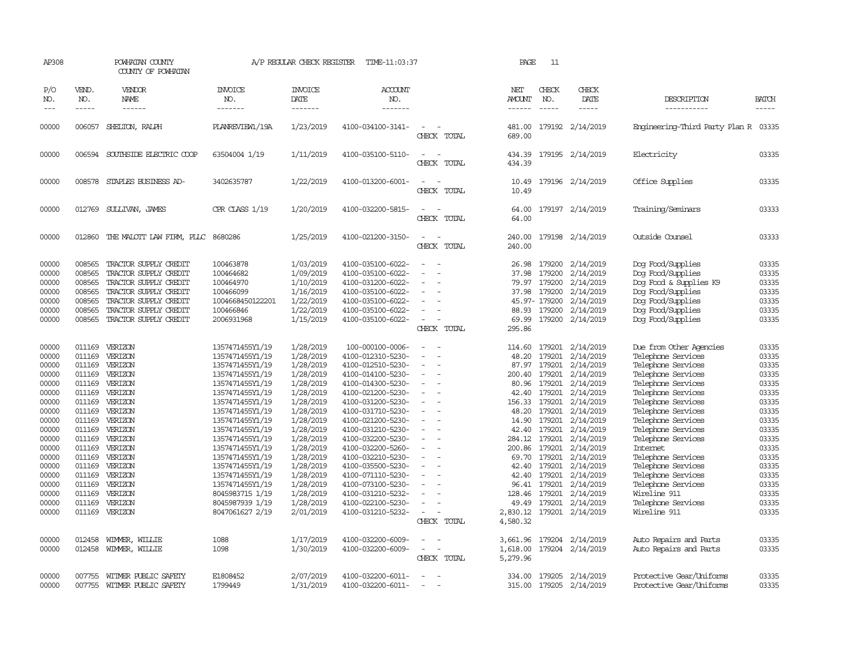| AP308                                                                                                                                                                   |                                                                                                                      | POWHATAN COUNTY<br>COUNTY OF POWHATAN                                                                                                                                                                                                                          |                                                                                                                                                                                                                                                                                                                                                                       | A/P REGULAR CHECK REGISTER                                                                                                                                                                                                                          | TIME-11:03:37                                                                                                                                                                                                                                                                                                                                                                                              |                                                                                                                                                                                                                                                             | PAGE                                                                                                                                           | 11                                                                           |                                                                                                                                                                                                                                                                                                                                                                 |                                                                                                                                                                                                                                                                                                                                                                                                               |                                                                                                                                                                         |
|-------------------------------------------------------------------------------------------------------------------------------------------------------------------------|----------------------------------------------------------------------------------------------------------------------|----------------------------------------------------------------------------------------------------------------------------------------------------------------------------------------------------------------------------------------------------------------|-----------------------------------------------------------------------------------------------------------------------------------------------------------------------------------------------------------------------------------------------------------------------------------------------------------------------------------------------------------------------|-----------------------------------------------------------------------------------------------------------------------------------------------------------------------------------------------------------------------------------------------------|------------------------------------------------------------------------------------------------------------------------------------------------------------------------------------------------------------------------------------------------------------------------------------------------------------------------------------------------------------------------------------------------------------|-------------------------------------------------------------------------------------------------------------------------------------------------------------------------------------------------------------------------------------------------------------|------------------------------------------------------------------------------------------------------------------------------------------------|------------------------------------------------------------------------------|-----------------------------------------------------------------------------------------------------------------------------------------------------------------------------------------------------------------------------------------------------------------------------------------------------------------------------------------------------------------|---------------------------------------------------------------------------------------------------------------------------------------------------------------------------------------------------------------------------------------------------------------------------------------------------------------------------------------------------------------------------------------------------------------|-------------------------------------------------------------------------------------------------------------------------------------------------------------------------|
| P/O<br>NO.<br>$---$                                                                                                                                                     | VEND.<br>NO.<br>$\frac{1}{2}$                                                                                        | VENDOR<br><b>NAME</b><br>$- - - - - -$                                                                                                                                                                                                                         | <b>INVOICE</b><br>NO.<br>-------                                                                                                                                                                                                                                                                                                                                      | <b>INVOICE</b><br>DATE<br>-------                                                                                                                                                                                                                   | <b>ACCOUNT</b><br>NO.<br>-------                                                                                                                                                                                                                                                                                                                                                                           |                                                                                                                                                                                                                                                             | NET<br>AMOUNT<br>$- - - - - -$                                                                                                                 | CHECK<br>NO.<br>$- - - - -$                                                  | CHECK<br>DATE                                                                                                                                                                                                                                                                                                                                                   | DESCRIPTION<br>-----------                                                                                                                                                                                                                                                                                                                                                                                    | <b>BATCH</b><br>$- - - - -$                                                                                                                                             |
| 00000                                                                                                                                                                   | 006057                                                                                                               | SHELTON, RALPH                                                                                                                                                                                                                                                 | PLANREVIEW1/19A                                                                                                                                                                                                                                                                                                                                                       | 1/23/2019                                                                                                                                                                                                                                           | 4100-034100-3141-                                                                                                                                                                                                                                                                                                                                                                                          | $\overline{\phantom{a}}$<br>CHECK TOTAL                                                                                                                                                                                                                     | 481.00<br>689.00                                                                                                                               |                                                                              | 179192 2/14/2019                                                                                                                                                                                                                                                                                                                                                | Engineering-Third Party Plan R 03335                                                                                                                                                                                                                                                                                                                                                                          |                                                                                                                                                                         |
| 00000                                                                                                                                                                   |                                                                                                                      | 006594 SOUTHSIDE ELECTRIC COOP                                                                                                                                                                                                                                 | 63504004 1/19                                                                                                                                                                                                                                                                                                                                                         | 1/11/2019                                                                                                                                                                                                                                           | 4100-035100-5110-                                                                                                                                                                                                                                                                                                                                                                                          | $\equiv$<br>CHECK TOTAL                                                                                                                                                                                                                                     | 434.39<br>434.39                                                                                                                               |                                                                              | 179195 2/14/2019                                                                                                                                                                                                                                                                                                                                                | Electricity                                                                                                                                                                                                                                                                                                                                                                                                   | 03335                                                                                                                                                                   |
| 00000                                                                                                                                                                   | 008578                                                                                                               | STAPLES BUSINESS AD-                                                                                                                                                                                                                                           | 3402635787                                                                                                                                                                                                                                                                                                                                                            | 1/22/2019                                                                                                                                                                                                                                           | 4100-013200-6001-                                                                                                                                                                                                                                                                                                                                                                                          | $\overline{\phantom{a}}$<br>CHECK TOTAL                                                                                                                                                                                                                     | 10.49<br>10.49                                                                                                                                 |                                                                              | 179196 2/14/2019                                                                                                                                                                                                                                                                                                                                                | Office Supplies                                                                                                                                                                                                                                                                                                                                                                                               | 03335                                                                                                                                                                   |
| 00000                                                                                                                                                                   |                                                                                                                      | 012769 SULLIVAN, JAMES                                                                                                                                                                                                                                         | CPR CLASS 1/19                                                                                                                                                                                                                                                                                                                                                        | 1/20/2019                                                                                                                                                                                                                                           | 4100-032200-5815-                                                                                                                                                                                                                                                                                                                                                                                          | $\equiv$<br>CHECK TOTAL                                                                                                                                                                                                                                     | 64.00<br>64.00                                                                                                                                 |                                                                              | 179197 2/14/2019                                                                                                                                                                                                                                                                                                                                                | Training/Seminars                                                                                                                                                                                                                                                                                                                                                                                             | 03333                                                                                                                                                                   |
| 00000                                                                                                                                                                   |                                                                                                                      | 012860 THE MALOTT LAW FIRM, PLLC 8680286                                                                                                                                                                                                                       |                                                                                                                                                                                                                                                                                                                                                                       | 1/25/2019                                                                                                                                                                                                                                           | 4100-021200-3150-                                                                                                                                                                                                                                                                                                                                                                                          | $\sim$<br>CHECK TOTAL                                                                                                                                                                                                                                       | 240.00<br>240.00                                                                                                                               |                                                                              | 179198 2/14/2019                                                                                                                                                                                                                                                                                                                                                | Outside Counsel                                                                                                                                                                                                                                                                                                                                                                                               | 03333                                                                                                                                                                   |
| 00000<br>00000<br>00000<br>00000<br>00000<br>00000<br>00000                                                                                                             | 008565<br>008565<br>008565<br>008565<br>008565<br>008565<br>008565                                                   | TRACTOR SUPPLY CREDIT<br>TRACTOR SUPPLY CREDIT<br>TRACTOR SUPPLY CREDIT<br>TRACTOR SUPPLY CREDIT<br>TRACTOR SUPPLY CREDIT<br>TRACTOR SUPPLY CREDIT<br>TRACTOR SUPPLY CREDIT                                                                                    | 100463878<br>100464682<br>100464970<br>100466099<br>1004668450122201<br>100466846<br>2006931968                                                                                                                                                                                                                                                                       | 1/03/2019<br>1/09/2019<br>1/10/2019<br>1/16/2019<br>1/22/2019<br>1/22/2019<br>1/15/2019                                                                                                                                                             | 4100-035100-6022-<br>4100-035100-6022-<br>4100-031200-6022-<br>4100-035100-6022-<br>4100-035100-6022-<br>4100-035100-6022-<br>4100-035100-6022-                                                                                                                                                                                                                                                            | $\equiv$<br>$\equiv$<br>$\sim$<br>$\equiv$<br>$\overline{\phantom{a}}$<br>CHECK TOTAL                                                                                                                                                                       | 26.98<br>37.98<br>79.97<br>37.98<br>88.93<br>69.99<br>295.86                                                                                   | 179200<br>179200<br>179200<br>179200<br>45.97-179200<br>179200               | 2/14/2019<br>2/14/2019<br>2/14/2019<br>2/14/2019<br>2/14/2019<br>2/14/2019<br>179200 2/14/2019                                                                                                                                                                                                                                                                  | Dog Food/Supplies<br>Dog Food/Supplies<br>Dog Food & Supplies K9<br>Dog Food/Supplies<br>Dog Food/Supplies<br>Dog Food/Supplies<br>Dog Food/Supplies                                                                                                                                                                                                                                                          | 03335<br>03335<br>03335<br>03335<br>03335<br>03335<br>03335                                                                                                             |
| 00000<br>00000<br>00000<br>00000<br>00000<br>00000<br>00000<br>00000<br>00000<br>00000<br>00000<br>00000<br>00000<br>00000<br>00000<br>00000<br>00000<br>00000<br>00000 | 011169<br>011169<br>011169<br>011169<br>011169<br>011169<br>011169<br>011169<br>011169<br>011169<br>011169<br>011169 | VERIZON<br>VERIZON<br>011169 VERIZON<br>VERIZON<br>VERIZON<br>VERIZON<br>011169 VERIZON<br>011169 VERIZON<br>VERIZON<br>011169 VERIZON<br>011169 VERIZON<br>VERIZON<br>VERIZON<br>011169 VERIZON<br>VERIZON<br>VERIZON<br>011169 VERIZON<br>VERIZON<br>VERIZON | 1357471455Y1/19<br>1357471455Y1/19<br>1357471455Y1/19<br>1357471455Y1/19<br>1357471455Y1/19<br>1357471455Y1/19<br>1357471455Y1/19<br>1357471455Y1/19<br>1357471455Y1/19<br>1357471455Y1/19<br>1357471455Y1/19<br>1357471455Y1/19<br>1357471455Y1/19<br>1357471455Y1/19<br>1357471455Y1/19<br>1357471455Y1/19<br>8045983715 1/19<br>8045987939 1/19<br>8047061627 2/19 | 1/28/2019<br>1/28/2019<br>1/28/2019<br>1/28/2019<br>1/28/2019<br>1/28/2019<br>1/28/2019<br>1/28/2019<br>1/28/2019<br>1/28/2019<br>1/28/2019<br>1/28/2019<br>1/28/2019<br>1/28/2019<br>1/28/2019<br>1/28/2019<br>1/28/2019<br>1/28/2019<br>2/01/2019 | 100-000100-0006-<br>4100-012310-5230-<br>4100-012510-5230-<br>4100-014100-5230-<br>4100-014300-5230-<br>4100-021200-5230-<br>4100-031200-5230-<br>4100-031710-5230-<br>4100-021200-5230-<br>4100-031210-5230-<br>4100-032200-5230-<br>4100-032200-5260-<br>4100-032210-5230-<br>4100-035500-5230-<br>4100-071110-5230-<br>4100-073100-5230-<br>4100-031210-5232-<br>4100-022100-5230-<br>4100-031210-5232- | $\overline{\phantom{a}}$<br>$\equiv$<br>$\equiv$<br>$\equiv$<br>$\equiv$<br>$\equiv$<br>$\overline{\phantom{a}}$<br>$\sim$<br>$\equiv$<br>$\overline{\phantom{a}}$<br>$\overline{\phantom{a}}$<br>$\equiv$<br>$\equiv$<br>$\equiv$<br>$\sim$<br>CHECK TOTAL | 114.60<br>48.20<br>200.40<br>80.96<br>42.40<br>156.33<br>48.20<br>14.90<br>284.12<br>200.86<br>42.40<br>42.40<br>49.49<br>2,830.12<br>4,580.32 | 179201<br>179201<br>179201<br>179201<br>179201<br>179201<br>179201<br>179201 | 179201 2/14/2019<br>2/14/2019<br>87.97 179201 2/14/2019<br>2/14/2019<br>2/14/2019<br>179201 2/14/2019<br>179201 2/14/2019<br>2/14/2019<br>179201 2/14/2019<br>42.40 179201 2/14/2019<br>2/14/2019<br>2/14/2019<br>69.70 179201 2/14/2019<br>179201 2/14/2019<br>2/14/2019<br>96.41 179201 2/14/2019<br>128.46 179201 2/14/2019<br>2/14/2019<br>179201 2/14/2019 | Due from Other Agencies<br>Telephone Services<br>Telephone Services<br>Telephone Services<br>Telephone Services<br>Telephone Services<br>Telephone Services<br>Telephone Services<br>Telephone Services<br>Telephone Services<br>Telephone Services<br>Internet<br>Telephone Services<br>Telephone Services<br>Telephone Services<br>Telephone Services<br>Wireline 911<br>Telephone Services<br>Wireline 911 | 03335<br>03335<br>03335<br>03335<br>03335<br>03335<br>03335<br>03335<br>03335<br>03335<br>03335<br>03335<br>03335<br>03335<br>03335<br>03335<br>03335<br>03335<br>03335 |
| 00000<br>00000<br>00000                                                                                                                                                 | 012458                                                                                                               | WIMMER, WILLIE<br>012458 WIMMER, WILLIE<br>007755 WITMER PUBLIC SAFETY                                                                                                                                                                                         | 1088<br>1098<br>E1808452                                                                                                                                                                                                                                                                                                                                              | 1/17/2019<br>1/30/2019<br>2/07/2019                                                                                                                                                                                                                 | 4100-032200-6009-<br>4100-032200-6009-<br>4100-032200-6011-                                                                                                                                                                                                                                                                                                                                                | $\sim$<br>CHECK TOTAL<br>$\sim$                                                                                                                                                                                                                             | 3,661.96<br>5,279.96                                                                                                                           | 179204                                                                       | 2/14/2019<br>1,618.00 179204 2/14/2019<br>334.00 179205 2/14/2019                                                                                                                                                                                                                                                                                               | Auto Repairs and Parts<br>Auto Repairs and Parts<br>Protective Gear/Uniforms                                                                                                                                                                                                                                                                                                                                  | 03335<br>03335<br>03335                                                                                                                                                 |
| 00000                                                                                                                                                                   | 007755                                                                                                               | WITMER PUBLIC SAFETY                                                                                                                                                                                                                                           | 1799449                                                                                                                                                                                                                                                                                                                                                               | 1/31/2019                                                                                                                                                                                                                                           | 4100-032200-6011-                                                                                                                                                                                                                                                                                                                                                                                          | $\equiv$                                                                                                                                                                                                                                                    |                                                                                                                                                |                                                                              | 315.00 179205 2/14/2019                                                                                                                                                                                                                                                                                                                                         | Protective Gear/Uniforms                                                                                                                                                                                                                                                                                                                                                                                      | 03335                                                                                                                                                                   |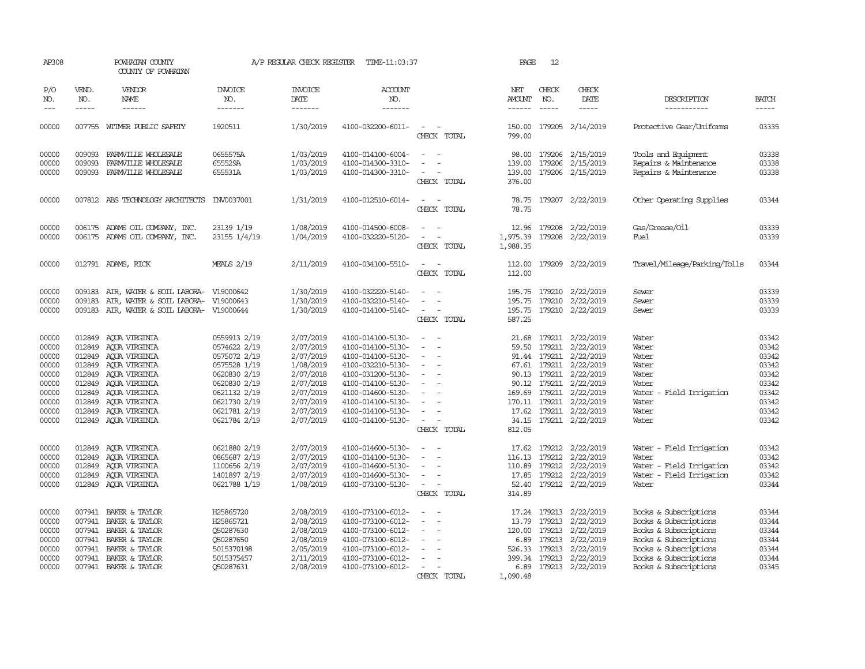| AP308                                                                                  |                            | POWHATAN COUNTY<br>COUNTY OF POWHATAN                                                                                                                                                                                                 |                                                                                                                                                              | A/P REGULAR CHECK REGISTER                                                                                                     | TIME-11:03:37                                                                                                                                                                                                  |                                                                                                                                                                                                                       | PAGE                                                   | 12                            |                                                                                                                                                                                                                                                              |                                                                                                                                                                             |                                                                                        |
|----------------------------------------------------------------------------------------|----------------------------|---------------------------------------------------------------------------------------------------------------------------------------------------------------------------------------------------------------------------------------|--------------------------------------------------------------------------------------------------------------------------------------------------------------|--------------------------------------------------------------------------------------------------------------------------------|----------------------------------------------------------------------------------------------------------------------------------------------------------------------------------------------------------------|-----------------------------------------------------------------------------------------------------------------------------------------------------------------------------------------------------------------------|--------------------------------------------------------|-------------------------------|--------------------------------------------------------------------------------------------------------------------------------------------------------------------------------------------------------------------------------------------------------------|-----------------------------------------------------------------------------------------------------------------------------------------------------------------------------|----------------------------------------------------------------------------------------|
| P/O<br>NO.<br>$---$                                                                    | VEND.<br>NO.<br>-----      | <b>VENDOR</b><br>NAME<br>$- - - - - -$                                                                                                                                                                                                | <b>INVOICE</b><br>NO.<br>-------                                                                                                                             | <b>INVOICE</b><br>DATE<br>--------                                                                                             | ACCOUNT<br>NO.<br>-------                                                                                                                                                                                      |                                                                                                                                                                                                                       | NET<br>AMOUNT<br>$- - - - - -$                         | CHECK<br>NO.<br>$\frac{1}{2}$ | CHECK<br>DATE<br>-----                                                                                                                                                                                                                                       | DESCRIPTION<br>-----------                                                                                                                                                  | <b>BATCH</b><br>$- - - - -$                                                            |
| 00000                                                                                  |                            | 007755 WITMER PUBLIC SAFETY                                                                                                                                                                                                           | 1920511                                                                                                                                                      | 1/30/2019                                                                                                                      | 4100-032200-6011-                                                                                                                                                                                              | $\overline{\phantom{a}}$<br>CHECK TOTAL                                                                                                                                                                               | 150.00<br>799.00                                       |                               | 179205 2/14/2019                                                                                                                                                                                                                                             | Protective Gear/Uniforms                                                                                                                                                    | 03335                                                                                  |
| 00000<br>00000<br>00000                                                                | 009093<br>009093<br>009093 | FARMVILLE WHOLESALE<br>FARMVILLE WHOLESALE<br>FARMVILLE WHOLESALE                                                                                                                                                                     | 0655575A<br>655529A<br>655531A                                                                                                                               | 1/03/2019<br>1/03/2019<br>1/03/2019                                                                                            | 4100-014100-6004-<br>4100-014300-3310-<br>4100-014300-3310-                                                                                                                                                    | $\sim$<br>CHECK TOTAL                                                                                                                                                                                                 | 139.00<br>139.00<br>376.00                             |                               | 98.00 179206 2/15/2019<br>179206 2/15/2019<br>179206 2/15/2019                                                                                                                                                                                               | Tools and Equipment<br>Repairs & Maintenance<br>Repairs & Maintenance                                                                                                       | 03338<br>03338<br>03338                                                                |
| 00000                                                                                  |                            | 007812 ABS TECHNOLOGY ARCHITECTS INV0037001                                                                                                                                                                                           |                                                                                                                                                              | 1/31/2019                                                                                                                      | 4100-012510-6014-                                                                                                                                                                                              | CHECK TOTAL                                                                                                                                                                                                           | 78.75                                                  |                               | 78.75 179207 2/22/2019                                                                                                                                                                                                                                       | Other Operating Supplies                                                                                                                                                    | 03344                                                                                  |
| 00000<br>00000                                                                         |                            | 006175 ADAMS OIL COMPANY, INC.<br>006175 ADAMS OIL COMPANY, INC.                                                                                                                                                                      | 23139 1/19<br>23155 1/4/19                                                                                                                                   | 1/08/2019<br>1/04/2019                                                                                                         | 4100-014500-6008-<br>4100-032220-5120-                                                                                                                                                                         | CHECK TOTAL                                                                                                                                                                                                           | 1,975.39<br>1,988.35                                   |                               | 12.96 179208 2/22/2019<br>179208 2/22/2019                                                                                                                                                                                                                   | Gas/Grease/Oil<br>Fuel                                                                                                                                                      | 03339<br>03339                                                                         |
| 00000                                                                                  |                            | 012791 ADAMS, RICK                                                                                                                                                                                                                    | <b>MEALS 2/19</b>                                                                                                                                            | 2/11/2019                                                                                                                      | 4100-034100-5510-                                                                                                                                                                                              | $\sim$ $\sim$<br>CHECK TOTAL                                                                                                                                                                                          | 112.00<br>112.00                                       |                               | 179209 2/22/2019                                                                                                                                                                                                                                             | Travel/Mileage/Parking/Tolls                                                                                                                                                | 03344                                                                                  |
| 00000<br>00000<br>00000                                                                | 009183<br>009183           | AIR, WATER & SOIL LABORA- V19000642<br>AIR, WATER & SOIL LABORA- V19000643<br>009183 AIR, WATER & SOIL LABORA- V19000644                                                                                                              |                                                                                                                                                              | 1/30/2019<br>1/30/2019<br>1/30/2019                                                                                            | 4100-032220-5140-<br>4100-032210-5140-<br>4100-014100-5140-                                                                                                                                                    | $\overline{\phantom{a}}$<br>$\equiv$<br>$\equiv$<br>CHECK TOTAL                                                                                                                                                       | 195.75<br>195.75<br>587.25                             |                               | 195.75 179210 2/22/2019<br>179210 2/22/2019<br>179210 2/22/2019                                                                                                                                                                                              | Sewer<br>Sewer<br>Sewer                                                                                                                                                     | 03339<br>03339<br>03339                                                                |
| 00000<br>00000<br>00000<br>00000<br>00000<br>00000<br>00000<br>00000<br>00000<br>00000 | 012849                     | 012849 AQUA VIRGINIA<br>AOUA VIRGINIA<br>012849 AQUA VIRGINIA<br>012849 AQUA VIRGINIA<br>012849 AQUA VIRGINIA<br>012849 AQUA VIRGINIA<br>012849 AQUA VIRGINIA<br>012849 AQUA VIRGINIA<br>012849 AQUA VIRGINIA<br>012849 AQUA VIRGINIA | 0559913 2/19<br>0574622 2/19<br>0575072 2/19<br>0575528 1/19<br>0620830 2/19<br>0620830 2/19<br>0621132 2/19<br>0621730 2/19<br>0621781 2/19<br>0621784 2/19 | 2/07/2019<br>2/07/2019<br>2/07/2019<br>1/08/2019<br>2/07/2018<br>2/07/2018<br>2/07/2019<br>2/07/2019<br>2/07/2019<br>2/07/2019 | 4100-014100-5130-<br>4100-014100-5130-<br>4100-014100-5130-<br>4100-032210-5130-<br>4100-031200-5130-<br>4100-014100-5130-<br>4100-014600-5130-<br>4100-014100-5130-<br>4100-014100-5130-<br>4100-014100-5130- | $\sim$<br>$\sim$<br>$\overline{\phantom{a}}$<br>$\overline{\phantom{a}}$<br>$\sim$<br>$\overline{\phantom{a}}$<br>$\overline{\phantom{a}}$<br>$\equiv$<br>$\sim$<br>$\overline{\phantom{a}}$<br>$\sim$<br>CHECK TOTAL | 59.50<br>812.05                                        |                               | 21.68 179211 2/22/2019<br>179211 2/22/2019<br>91.44 179211 2/22/2019<br>67.61 179211 2/22/2019<br>90.13 179211 2/22/2019<br>90.12 179211 2/22/2019<br>169.69 179211 2/22/2019<br>170.11 179211 2/22/2019<br>17.62 179211 2/22/2019<br>34.15 179211 2/22/2019 | Water<br>Water<br>Water<br>Water<br>Water<br>Water<br>Water<br>- Field Irrigation<br>Water<br>Water<br>Water                                                                | 03342<br>03342<br>03342<br>03342<br>03342<br>03342<br>03342<br>03342<br>03342<br>03342 |
| 00000<br>00000<br>00000<br>00000<br>00000                                              | 012849<br>012849           | AOUA VIRGINIA<br>012849 AQUA VIRGINIA<br>AOUA VIRGINIA<br>012849 AQUA VIRGINIA<br>012849 AQUA VIRGINIA                                                                                                                                | 0621880 2/19<br>0865687 2/19<br>1100656 2/19<br>1401897 2/19<br>0621788 1/19                                                                                 | 2/07/2019<br>2/07/2019<br>2/07/2019<br>2/07/2019<br>1/08/2019                                                                  | 4100-014600-5130-<br>4100-014100-5130-<br>4100-014600-5130-<br>4100-014600-5130-<br>4100-073100-5130-                                                                                                          | $\sim$<br>$\overline{\phantom{a}}$<br>$\overline{\phantom{a}}$<br>$\sim$<br>CHECK TOTAL                                                                                                                               | 17.62<br>116.13<br>110.89<br>17.85<br>52.40<br>314.89  | 179212<br>179212              | 179212 2/22/2019<br>2/22/2019<br>2/22/2019<br>179212 2/22/2019<br>179212 2/22/2019                                                                                                                                                                           | Water - Field Irrigation<br>Water<br>Water - Field Irrigation<br>Water - Field Irrigation<br>Water                                                                          | 03342<br>03342<br>03342<br>03342<br>03344                                              |
| 00000<br>00000<br>00000<br>00000<br>00000<br>00000<br>00000                            | 007941                     | BAKER & TAYLOR<br>007941 BAKER & TAYLOR<br>007941 BAKER & TAYLOR<br>007941 BAKER & TAYLOR<br>007941 BAKER & TAYLOR<br>007941 BAKER & TAYLOR<br>007941 BAKER & TAYLOR                                                                  | H25865720<br>H25865721<br>Q50287630<br>Q50287650<br>5015370198<br>5015375457<br>Q50287631                                                                    | 2/08/2019<br>2/08/2019<br>2/08/2019<br>2/08/2019<br>2/05/2019<br>2/11/2019<br>2/08/2019                                        | 4100-073100-6012-<br>4100-073100-6012-<br>4100-073100-6012-<br>4100-073100-6012-<br>4100-073100-6012-<br>4100-073100-6012-<br>4100-073100-6012-                                                                | $\equiv$<br>$\sim$<br>$\sim$<br>CHECK TOTAL                                                                                                                                                                           | 17.24<br>13.79<br>120.00<br>6.89<br>399.34<br>1,090.48 | 179213<br>179213              | 179213 2/22/2019<br>2/22/2019<br>179213 2/22/2019<br>179213 2/22/2019<br>526.33 179213 2/22/2019<br>2/22/2019<br>6.89 179213 2/22/2019                                                                                                                       | Books & Subscriptions<br>Books & Subscriptions<br>Books & Subscriptions<br>Books & Subscriptions<br>Books & Subscriptions<br>Books & Subscriptions<br>Books & Subscriptions | 03344<br>03344<br>03344<br>03344<br>03344<br>03344<br>03345                            |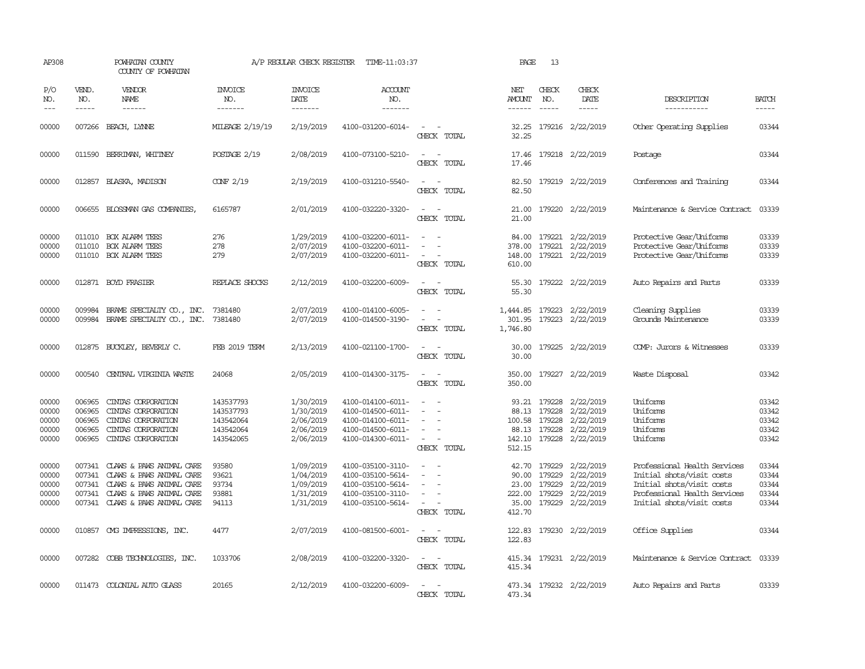| AP308                                     |                                                | POWHATAN COUNTY<br>COUNTY OF POWHATAN                                                                                                    |                                                               | A/P REGULAR CHECK REGISTER                                    | TIME-11:03:37                                                                                         |                                                                                             | PAGE                                                 | 13                                                   |                                                                      |                                                                                                                                                     |                                           |
|-------------------------------------------|------------------------------------------------|------------------------------------------------------------------------------------------------------------------------------------------|---------------------------------------------------------------|---------------------------------------------------------------|-------------------------------------------------------------------------------------------------------|---------------------------------------------------------------------------------------------|------------------------------------------------------|------------------------------------------------------|----------------------------------------------------------------------|-----------------------------------------------------------------------------------------------------------------------------------------------------|-------------------------------------------|
| P/O<br>NO.<br>$---$                       | VEND.<br>NO.<br>$- - - - -$                    | VENDOR<br>NAME<br>$- - - - - -$                                                                                                          | <b>INVOICE</b><br>NO.<br>-------                              | <b>INVOICE</b><br>DATE<br>--------                            | ACCOUNT<br>NO.<br>-------                                                                             |                                                                                             | NET<br>AMOUNT<br>$- - - - - -$                       | CHECK<br>NO.<br>$\frac{1}{2}$                        | CHECK<br>DATE<br>$- - - - -$                                         | DESCRIPTION<br>-----------                                                                                                                          | <b>BATCH</b><br>$- - - - -$               |
| 00000                                     | 007266                                         | BEACH, LYNNE                                                                                                                             | MILEAGE 2/19/19                                               | 2/19/2019                                                     | 4100-031200-6014-                                                                                     | $\sim$<br>CHECK TOTAL                                                                       | 32.25<br>32.25                                       |                                                      | 179216 2/22/2019                                                     | Other Operating Supplies                                                                                                                            | 03344                                     |
| 00000                                     |                                                | 011590 BERRIMAN, WHITNEY                                                                                                                 | POSTAGE 2/19                                                  | 2/08/2019                                                     | 4100-073100-5210-                                                                                     | $\overline{\phantom{a}}$<br>CHECK TOTAL                                                     | 17.46<br>17.46                                       |                                                      | 179218 2/22/2019                                                     | Postage                                                                                                                                             | 03344                                     |
| 00000                                     |                                                | 012857 BLASKA, MADISON                                                                                                                   | $C\Omega F$ 2/19                                              | 2/19/2019                                                     | 4100-031210-5540-                                                                                     | $\omega_{\rm{max}}$ , $\omega_{\rm{max}}$<br>CHECK TOTAL                                    | 82.50<br>82.50                                       |                                                      | 179219 2/22/2019                                                     | Conferences and Training                                                                                                                            | 03344                                     |
| 00000                                     |                                                | 006655 BLOSSMAN GAS COMPANIES,                                                                                                           | 6165787                                                       | 2/01/2019                                                     | 4100-032220-3320-                                                                                     | $\sim$<br>$\sim$<br>CHECK TOTAL                                                             | 21.00                                                |                                                      | 21.00 179220 2/22/2019                                               | Maintenance & Service Contract                                                                                                                      | 03339                                     |
| 00000<br>00000<br>00000                   | 011010<br>011010                               | <b>BOX ALARM TEES</b><br>BOX ALARM TEES<br>011010 BOX ALARM TEES                                                                         | 276<br>278<br>279                                             | 1/29/2019<br>2/07/2019<br>2/07/2019                           | 4100-032200-6011-<br>4100-032200-6011-<br>4100-032200-6011-                                           | $\overline{\phantom{a}}$<br>$\overline{\phantom{a}}$<br>CHECK TOTAL                         | 84.00<br>378.00<br>148.00<br>610.00                  | 179221<br>179221                                     | 2/22/2019<br>2/22/2019<br>179221 2/22/2019                           | Protective Gear/Uniforms<br>Protective Gear/Uniforms<br>Protective Gear/Uniforms                                                                    | 03339<br>03339<br>03339                   |
| 00000                                     |                                                | 012871 BOYD FRASIER                                                                                                                      | REPLACE SHOCKS                                                | 2/12/2019                                                     | 4100-032200-6009-                                                                                     | $\sim$<br>CHECK TOTAL                                                                       | 55.30                                                |                                                      | 55.30 179222 2/22/2019                                               | Auto Repairs and Parts                                                                                                                              | 03339                                     |
| 00000<br>00000                            | 009984<br>009984                               | BRAME SPECIALITY CO., INC.<br>BRAME SPECIALITY CO., INC.                                                                                 | 7381480<br>7381480                                            | 2/07/2019<br>2/07/2019                                        | 4100-014100-6005-<br>4100-014500-3190-                                                                | CHECK TOTAL                                                                                 | 1,444.85<br>301.95<br>1,746.80                       |                                                      | 179223 2/22/2019<br>179223 2/22/2019                                 | Cleaning Supplies<br>Grounds Maintenance                                                                                                            | 03339<br>03339                            |
| 00000                                     | 012875                                         | BUCKLEY, BEVERLY C.                                                                                                                      | FEB 2019 TERM                                                 | 2/13/2019                                                     | 4100-021100-1700-                                                                                     | $\sim$<br>CHECK TOTAL                                                                       | 30.00<br>30.00                                       |                                                      | 179225 2/22/2019                                                     | COMP: Jurors & Witnesses                                                                                                                            | 03339                                     |
| 00000                                     | 000540                                         | CENTRAL VIRGINIA WASTE                                                                                                                   | 24068                                                         | 2/05/2019                                                     | 4100-014300-3175-                                                                                     | $\sim$<br>CHECK TOTAL                                                                       | 350.00<br>350.00                                     |                                                      | 179227 2/22/2019                                                     | Waste Disposal                                                                                                                                      | 03342                                     |
| 00000<br>00000<br>00000<br>00000<br>00000 | 006965<br>006965<br>006965<br>006965<br>006965 | CINIAS CORPORATION<br>CINIAS CORPORATION<br>CINIAS CORPORATION<br>CINIAS CORPORATION<br>CINIAS CORPORATION                               | 143537793<br>143537793<br>143542064<br>143542064<br>143542065 | 1/30/2019<br>1/30/2019<br>2/06/2019<br>2/06/2019<br>2/06/2019 | 4100-014100-6011-<br>4100-014500-6011-<br>4100-014100-6011-<br>4100-014500-6011-<br>4100-014300-6011- | $\equiv$<br>$\sim$<br>$\overline{\phantom{a}}$<br>CHECK TOTAL                               | 88.13<br>100.58<br>88.13<br>142.10<br>512.15         | 93.21 179228<br>179228<br>179228<br>179228<br>179228 | 2/22/2019<br>2/22/2019<br>2/22/2019<br>2/22/2019<br>2/22/2019        | Uniforms<br>Uniforms<br>Uniforms<br>Uniforms<br>Uniforms                                                                                            | 03342<br>03342<br>03342<br>03342<br>03342 |
| 00000<br>00000<br>00000<br>00000<br>00000 | 007341<br>007341<br>007341<br>007341<br>007341 | CLAWS & PAWS ANIMAL CARE<br>CLAWS & PAWS ANIMAL CARE<br>CLAWS & PAWS ANIMAL CARE<br>CLAWS & PAWS ANIMAL CARE<br>CLAWS & PAWS ANIMAL CARE | 93580<br>93621<br>93734<br>93881<br>94113                     | 1/09/2019<br>1/04/2019<br>1/09/2019<br>1/31/2019<br>1/31/2019 | 4100-035100-3110-<br>4100-035100-5614-<br>4100-035100-5614-<br>4100-035100-3110-<br>4100-035100-5614- | $\overline{\phantom{a}}$<br>$\equiv$<br>$\overline{\phantom{a}}$<br>$\equiv$<br>CHECK TOTAL | 42.70<br>90.00<br>23.00<br>222.00<br>35.00<br>412.70 | 179229<br>179229<br>179229<br>179229                 | 2/22/2019<br>2/22/2019<br>179229 2/22/2019<br>2/22/2019<br>2/22/2019 | Professional Health Services<br>Initial shots/visit costs<br>Initial shots/visit costs<br>Professional Health Services<br>Initial shots/visit costs | 03344<br>03344<br>03344<br>03344<br>03344 |
| 00000                                     |                                                | 010857 CMG IMPRESSIONS, INC.                                                                                                             | 4477                                                          | 2/07/2019                                                     | 4100-081500-6001-                                                                                     | $\sim$<br>CHECK TOTAL                                                                       | 122.83<br>122.83                                     |                                                      | 179230 2/22/2019                                                     | Office Supplies                                                                                                                                     | 03344                                     |
| 00000                                     |                                                | 007282 COBB TECHNOLOGIES, INC.                                                                                                           | 1033706                                                       | 2/08/2019                                                     | 4100-032200-3320-                                                                                     | $\overline{\phantom{a}}$<br>$\overline{\phantom{a}}$<br>CHECK TOTAL                         | 415.34                                               |                                                      | 415.34 179231 2/22/2019                                              | Maintenance & Service Contract                                                                                                                      | 03339                                     |
| 00000                                     |                                                | 011473 COLONIAL AUTO GLASS                                                                                                               | 20165                                                         | 2/12/2019                                                     | 4100-032200-6009-                                                                                     | $\equiv$<br>CHECK TOTAL                                                                     | 473.34                                               |                                                      | 473.34 179232 2/22/2019                                              | Auto Repairs and Parts                                                                                                                              | 03339                                     |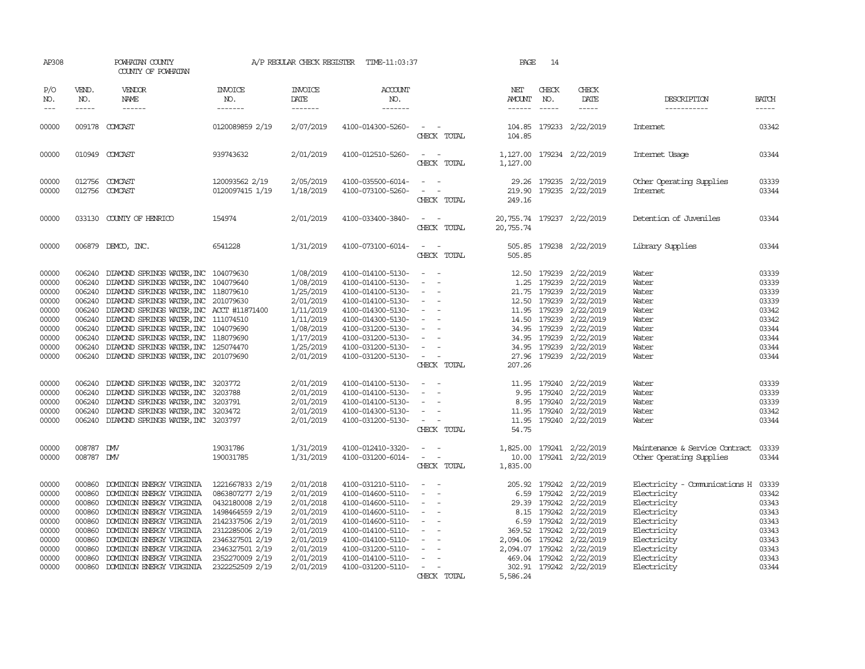| AP308                                                                                  |                                                                                                                                                                                                                                                                                                                                                                                                                                                                                                     | POWHATAN COUNTY<br>COUNTY OF POWHATAN                                                                                                                                                                                                                                                                                                                                                                                                                                     |                                                                                                                                                                                            | A/P REGULAR CHECK REGISTER                                                                                                     | TIME-11:03:37                                                                                                                                                                                                  |                                                                                                                                         | PAGE                                    | 14                           |                                                                                                                                                                                                                                                                |                                                                                                                                                                      |                                                                                                                                                                                                                                                                                                                                                                                                                                                                                                     |
|----------------------------------------------------------------------------------------|-----------------------------------------------------------------------------------------------------------------------------------------------------------------------------------------------------------------------------------------------------------------------------------------------------------------------------------------------------------------------------------------------------------------------------------------------------------------------------------------------------|---------------------------------------------------------------------------------------------------------------------------------------------------------------------------------------------------------------------------------------------------------------------------------------------------------------------------------------------------------------------------------------------------------------------------------------------------------------------------|--------------------------------------------------------------------------------------------------------------------------------------------------------------------------------------------|--------------------------------------------------------------------------------------------------------------------------------|----------------------------------------------------------------------------------------------------------------------------------------------------------------------------------------------------------------|-----------------------------------------------------------------------------------------------------------------------------------------|-----------------------------------------|------------------------------|----------------------------------------------------------------------------------------------------------------------------------------------------------------------------------------------------------------------------------------------------------------|----------------------------------------------------------------------------------------------------------------------------------------------------------------------|-----------------------------------------------------------------------------------------------------------------------------------------------------------------------------------------------------------------------------------------------------------------------------------------------------------------------------------------------------------------------------------------------------------------------------------------------------------------------------------------------------|
| P/O<br>NO.<br>$---$                                                                    | VEND.<br>NO.<br>$\begin{tabular}{ccccc} \multicolumn{2}{c}{} & \multicolumn{2}{c}{} & \multicolumn{2}{c}{} & \multicolumn{2}{c}{} & \multicolumn{2}{c}{} & \multicolumn{2}{c}{} & \multicolumn{2}{c}{} & \multicolumn{2}{c}{} & \multicolumn{2}{c}{} & \multicolumn{2}{c}{} & \multicolumn{2}{c}{} & \multicolumn{2}{c}{} & \multicolumn{2}{c}{} & \multicolumn{2}{c}{} & \multicolumn{2}{c}{} & \multicolumn{2}{c}{} & \multicolumn{2}{c}{} & \multicolumn{2}{c}{} & \multicolumn{2}{c}{} & \mult$ | VENDOR<br>NAME<br>$\begin{tabular}{ccccc} \multicolumn{2}{c }{\multicolumn{2}{c }{\multicolumn{2}{c }{\multicolumn{2}{c}}}{\multicolumn{2}{c }{\multicolumn{2}{c}}}{\multicolumn{2}{c }{\multicolumn{2}{c}}}{\multicolumn{2}{c }{\multicolumn{2}{c}}}\end{tabular} \end{tabular}$                                                                                                                                                                                         | INVOICE<br>NO.<br>-------                                                                                                                                                                  | <b>INVOICE</b><br><b>DATE</b><br>-------                                                                                       | <b>ACCOUNT</b><br>NO.                                                                                                                                                                                          |                                                                                                                                         | NET<br>AMOUNT<br>------                 | CHECK<br>NO.                 | CHECK<br>DATE<br>$- - - - -$                                                                                                                                                                                                                                   | DESCRIPTION<br>-----------                                                                                                                                           | <b>BATCH</b><br>$\begin{tabular}{ccccc} \multicolumn{2}{c}{} & \multicolumn{2}{c}{} & \multicolumn{2}{c}{} & \multicolumn{2}{c}{} & \multicolumn{2}{c}{} & \multicolumn{2}{c}{} & \multicolumn{2}{c}{} & \multicolumn{2}{c}{} & \multicolumn{2}{c}{} & \multicolumn{2}{c}{} & \multicolumn{2}{c}{} & \multicolumn{2}{c}{} & \multicolumn{2}{c}{} & \multicolumn{2}{c}{} & \multicolumn{2}{c}{} & \multicolumn{2}{c}{} & \multicolumn{2}{c}{} & \multicolumn{2}{c}{} & \multicolumn{2}{c}{} & \mult$ |
| 00000                                                                                  |                                                                                                                                                                                                                                                                                                                                                                                                                                                                                                     | 009178 COMCAST                                                                                                                                                                                                                                                                                                                                                                                                                                                            | 0120089859 2/19                                                                                                                                                                            | 2/07/2019                                                                                                                      | 4100-014300-5260-                                                                                                                                                                                              | CHECK TOTAL                                                                                                                             | 104.85                                  |                              | 104.85 179233 2/22/2019                                                                                                                                                                                                                                        | Internet                                                                                                                                                             | 03342                                                                                                                                                                                                                                                                                                                                                                                                                                                                                               |
| 00000                                                                                  |                                                                                                                                                                                                                                                                                                                                                                                                                                                                                                     | 010949 COMCAST                                                                                                                                                                                                                                                                                                                                                                                                                                                            | 939743632                                                                                                                                                                                  | 2/01/2019                                                                                                                      | 4100-012510-5260-                                                                                                                                                                                              | $\sim$ $ -$<br>CHECK TOTAL                                                                                                              | 1,127.00<br>1,127.00                    |                              | 179234 2/22/2019                                                                                                                                                                                                                                               | Internet Usage                                                                                                                                                       | 03344                                                                                                                                                                                                                                                                                                                                                                                                                                                                                               |
| 00000<br>00000                                                                         |                                                                                                                                                                                                                                                                                                                                                                                                                                                                                                     | 012756 COMCAST<br>012756 COMCAST                                                                                                                                                                                                                                                                                                                                                                                                                                          | 120093562 2/19<br>0120097415 1/19                                                                                                                                                          | 2/05/2019<br>1/18/2019                                                                                                         | 4100-035500-6014-<br>4100-073100-5260-                                                                                                                                                                         | $\sim$ $  -$<br>$\omega_{\rm{max}}$ and $\omega_{\rm{max}}$<br>CHECK TOTAL                                                              | 249.16                                  |                              | 29.26 179235 2/22/2019<br>219.90 179235 2/22/2019                                                                                                                                                                                                              | Other Operating Supplies<br>Internet                                                                                                                                 | 03339<br>03344                                                                                                                                                                                                                                                                                                                                                                                                                                                                                      |
| 00000                                                                                  |                                                                                                                                                                                                                                                                                                                                                                                                                                                                                                     | 033130 COUNTY OF HENRICO                                                                                                                                                                                                                                                                                                                                                                                                                                                  | 154974                                                                                                                                                                                     | 2/01/2019                                                                                                                      | 4100-033400-3840-                                                                                                                                                                                              | $\sim$ 100 $\sim$<br>CHECK TOTAL                                                                                                        | 20,755.74 179237 2/22/2019<br>20,755.74 |                              |                                                                                                                                                                                                                                                                | Detention of Juveniles                                                                                                                                               | 03344                                                                                                                                                                                                                                                                                                                                                                                                                                                                                               |
| 00000                                                                                  |                                                                                                                                                                                                                                                                                                                                                                                                                                                                                                     | 006879 DEMCO, INC.                                                                                                                                                                                                                                                                                                                                                                                                                                                        | 6541228                                                                                                                                                                                    | 1/31/2019                                                                                                                      | 4100-073100-6014-                                                                                                                                                                                              | $\hspace{0.1mm}-\hspace{0.1mm}$<br>$\sim$<br>CHECK TOTAL                                                                                | 505.85<br>505.85                        |                              | 179238 2/22/2019                                                                                                                                                                                                                                               | Library Supplies                                                                                                                                                     | 03344                                                                                                                                                                                                                                                                                                                                                                                                                                                                                               |
| 00000<br>00000<br>00000<br>00000<br>00000<br>00000<br>00000<br>00000<br>00000<br>00000 | 006240<br>006240                                                                                                                                                                                                                                                                                                                                                                                                                                                                                    | DIAMOND SPRINGS WATER, INC 104079630<br>DIAMOND SPRINGS WATER, INC 104079640<br>006240 DIAMOND SPRINGS WATER, INC 118079610<br>006240 DIAMOND SPRINGS WATER, INC 201079630<br>006240 DIAMOND SPRINGS WATER, INC ACCT #11871400<br>006240 DIAMOND SPRINGS WATER, INC 111074510<br>006240 DIAMOND SPRINGS WATER, INC 104079690<br>006240 DIAMOND SPRINGS WATER, INC 118079690<br>006240 DIAMOND SPRINGS WATER, INC 125074470<br>006240 DIAMOND SPRINGS WATER, INC 201079690 |                                                                                                                                                                                            | 1/08/2019<br>1/08/2019<br>1/25/2019<br>2/01/2019<br>1/11/2019<br>1/11/2019<br>1/08/2019<br>1/17/2019<br>1/25/2019<br>2/01/2019 | 4100-014100-5130-<br>4100-014100-5130-<br>4100-014100-5130-<br>4100-014100-5130-<br>4100-014300-5130-<br>4100-014300-5130-<br>4100-031200-5130-<br>4100-031200-5130-<br>4100-031200-5130-<br>4100-031200-5130- | $\sim$<br>$\sim$<br>$\sim$<br>$\sim$<br>$\sim$ $-$<br>$\sim$<br>$\sim$<br>$\sim$ $  -$<br>CHECK TOTAL                                   | 207.26                                  | 14.50 179239<br>34.95 179239 | 12.50 179239 2/22/2019<br>1.25 179239 2/22/2019<br>21.75 179239 2/22/2019<br>12.50 179239 2/22/2019<br>11.95 179239 2/22/2019<br>2/22/2019<br>34.95 179239 2/22/2019<br>2/22/2019<br>34.95 179239 2/22/2019<br>27.96 179239 2/22/2019                          | Water<br>Water<br>Water<br>Water<br>Water<br>Water<br>Water<br>Water<br>Water<br>Water                                                                               | 03339<br>03339<br>03339<br>03339<br>03342<br>03342<br>03344<br>03344<br>03344<br>03344                                                                                                                                                                                                                                                                                                                                                                                                              |
| 00000<br>00000<br>00000<br>00000<br>00000                                              | 006240                                                                                                                                                                                                                                                                                                                                                                                                                                                                                              | 006240 DIAMOND SPRINGS WATER, INC 3203772<br>006240 DIAMOND SPRINGS WATER, INC<br>DIAMOND SPRINGS WATER, INC<br>006240 DIAMOND SPRINGS WATER, INC 3203472<br>006240 DIAMOND SPRINGS WATER, INC 3203797                                                                                                                                                                                                                                                                    | 3203788<br>3203791                                                                                                                                                                         | 2/01/2019<br>2/01/2019<br>2/01/2019<br>2/01/2019<br>2/01/2019                                                                  | 4100-014100-5130-<br>4100-014100-5130-<br>4100-014100-5130-<br>4100-014300-5130-<br>4100-031200-5130-                                                                                                          | $\sim$ $-$<br>$\sim$ $-$<br>$\sim$<br>$\overline{\phantom{a}}$<br>$\omega_{\rm{max}}$ and $\omega_{\rm{max}}$<br>CHECK TOTAL            | 9.95<br>54.75                           |                              | 11.95 179240 2/22/2019<br>179240 2/22/2019<br>8.95 179240 2/22/2019<br>11.95 179240 2/22/2019<br>11.95 179240 2/22/2019                                                                                                                                        | Water<br>Water<br>Water<br>Water<br>Water                                                                                                                            | 03339<br>03339<br>03339<br>03342<br>03344                                                                                                                                                                                                                                                                                                                                                                                                                                                           |
| 00000<br>00000                                                                         | 008787 DMV<br>008787 DMV                                                                                                                                                                                                                                                                                                                                                                                                                                                                            |                                                                                                                                                                                                                                                                                                                                                                                                                                                                           | 19031786<br>190031785                                                                                                                                                                      | 1/31/2019<br>1/31/2019                                                                                                         | 4100-012410-3320-<br>4100-031200-6014-                                                                                                                                                                         | $\sim$ $ -$<br>$\sim$ $ -$<br>CHECK TOTAL                                                                                               | 1,835.00                                |                              | 1,825.00 179241 2/22/2019<br>10.00 179241 2/22/2019                                                                                                                                                                                                            | Maintenance & Service Contract<br>Other Operating Supplies                                                                                                           | 03339<br>03344                                                                                                                                                                                                                                                                                                                                                                                                                                                                                      |
| 00000<br>00000<br>00000<br>00000<br>00000<br>00000<br>00000<br>00000<br>00000<br>00000 | 000860<br>000860<br>000860<br>000860<br>000860<br>000860<br>000860<br>000860                                                                                                                                                                                                                                                                                                                                                                                                                        | DOMINION ENERGY VIRGINIA<br>DOMINION ENERGY VIRGINIA<br>DOMINION ENERGY VIRGINIA<br>DOMINION ENERGY VIRGINIA<br>DOMINION ENERGY VIRGINIA<br>000860 DOMINION ENERGY VIRGINIA<br>DOMINION ENERGY VIRGINIA<br>DOMINION ENERGY VIRGINIA<br>DOMINION ENERGY VIRGINIA<br>000860 DOMINION ENERGY VIRGINIA                                                                                                                                                                        | 1221667833 2/19<br>0863807277 2/19<br>0432180008 2/19<br>1498464559 2/19<br>2142337506 2/19<br>2312285006 2/19<br>2346327501 2/19<br>2346327501 2/19<br>2352270009 2/19<br>2322252509 2/19 | 2/01/2018<br>2/01/2019<br>2/01/2018<br>2/01/2019<br>2/01/2019<br>2/01/2019<br>2/01/2019<br>2/01/2019<br>2/01/2019<br>2/01/2019 | 4100-031210-5110-<br>4100-014600-5110-<br>4100-014600-5110-<br>4100-014600-5110-<br>4100-014600-5110-<br>4100-014100-5110-<br>4100-014100-5110-<br>4100-031200-5110-<br>4100-014100-5110-<br>4100-031200-5110- | $\sim$<br>$\overline{\phantom{a}}$<br>$\sim$<br>$\sim$<br>$\overline{\phantom{a}}$<br>$\sim$<br><b>Contract Contract</b><br>CHECK TOTAL | 2,094.06<br>5,586.24                    |                              | 205.92 179242 2/22/2019<br>6.59 179242 2/22/2019<br>29.39 179242 2/22/2019<br>8.15 179242 2/22/2019<br>6.59 179242 2/22/2019<br>369.52 179242 2/22/2019<br>179242 2/22/2019<br>2,094.07 179242 2/22/2019<br>469.04 179242 2/22/2019<br>302.91 179242 2/22/2019 | Electricity - Comunications H<br>Electricity<br>Electricity<br>Electricity<br>Electricity<br>Electricity<br>Electricity<br>Electricity<br>Electricity<br>Electricity | 03339<br>03342<br>03343<br>03343<br>03343<br>03343<br>03343<br>03343<br>03343<br>03344                                                                                                                                                                                                                                                                                                                                                                                                              |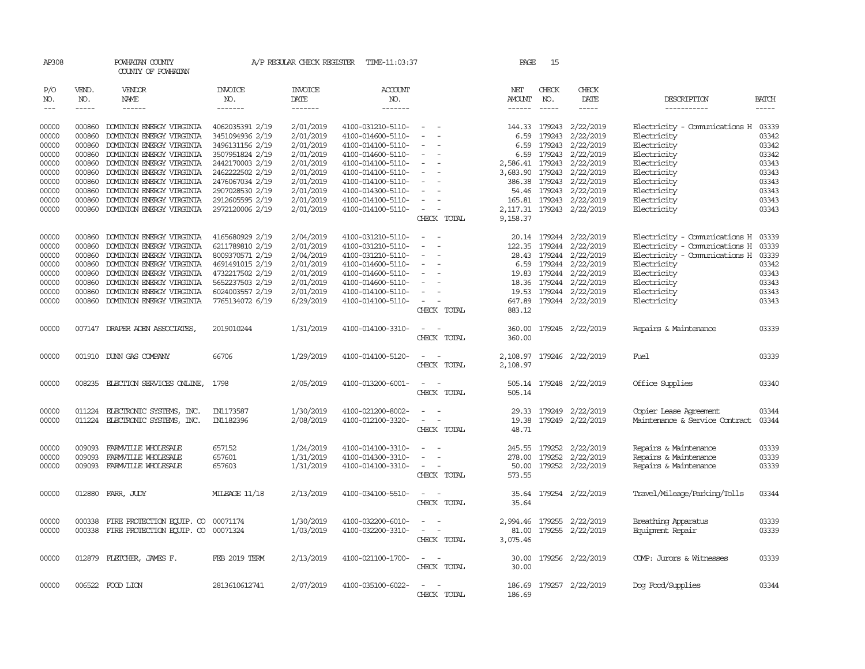| AP308               |                             | POWHATAN COUNTY<br>COUNTY OF POWHATAN     |                           |                                           | A/P REGULAR CHECK REGISTER TIME-11:03:37 |                                                             | PAGE                           | 15                          |                              |                                     |                             |
|---------------------|-----------------------------|-------------------------------------------|---------------------------|-------------------------------------------|------------------------------------------|-------------------------------------------------------------|--------------------------------|-----------------------------|------------------------------|-------------------------------------|-----------------------------|
| P/O<br>NO.<br>$---$ | VEND.<br>NO.<br>$- - - - -$ | <b>VENDOR</b><br>NAME<br>$- - - - - -$    | INVOICE<br>NO.<br>------- | <b>INVOICE</b><br>DATE<br>$- - - - - - -$ | <b>ACCOUNT</b><br>NO.<br>-------         |                                                             | NET<br>AMOUNT<br>$- - - - - -$ | CHECK<br>NO.<br>$- - - - -$ | CHECK<br>DATE<br>$- - - - -$ | DESCRIPTION<br>-----------          | <b>BATCH</b><br>$- - - - -$ |
|                     |                             |                                           |                           |                                           |                                          |                                                             |                                |                             |                              |                                     |                             |
| 00000               | 000860                      | DOMINION ENERGY VIRGINIA                  | 4062035391 2/19           | 2/01/2019                                 | 4100-031210-5110-                        | $\hspace{0.1mm}-\hspace{0.1mm}$                             | 144.33                         | 179243                      | 2/22/2019                    | Electricity - Comunications H 03339 |                             |
| 00000               | 000860                      | DOMINION ENERGY VIRGINIA                  | 3451094936 2/19           | 2/01/2019                                 | 4100-014600-5110-                        | $\sim$<br>$\overline{\phantom{a}}$                          | 6.59                           | 179243                      | 2/22/2019                    | Electricity                         | 03342                       |
| 00000               | 000860                      | DOMINION ENERGY VIRGINIA                  | 3496131156 2/19           | 2/01/2019                                 | 4100-014100-5110-                        | $\overline{\phantom{a}}$                                    | 6.59                           | 179243                      | 2/22/2019                    | Electricity                         | 03342                       |
| 00000               | 000860                      | DOMINION ENERGY VIRGINIA                  | 3507951824 2/19           | 2/01/2019                                 | 4100-014600-5110-                        |                                                             |                                |                             | 6.59 179243 2/22/2019        | Electricity                         | 03342                       |
| 00000               | 000860                      | DOMINION ENERGY VIRGINIA                  | 2442170003 2/19           | 2/01/2019                                 | 4100-014100-5110-                        | $\overline{\phantom{a}}$                                    |                                |                             | 2,586.41 179243 2/22/2019    | Electricity                         | 03343                       |
| 00000               | 000860                      | DOMINION ENERGY VIRGINIA                  | 2462222502 2/19           | 2/01/2019                                 | 4100-014100-5110-                        | $\overline{\phantom{a}}$                                    | 3,683.90 179243                |                             | 2/22/2019                    | Electricity                         | 03343                       |
| 00000               | 000860                      | DOMINION ENERGY VIRGINIA                  | 2476067034 2/19           | 2/01/2019                                 | 4100-014100-5110-                        |                                                             | 386.38                         | 179243                      | 2/22/2019                    | Electricity                         | 03343                       |
| 00000               | 000860                      | DOMINION ENERGY VIRGINIA                  | 2907028530 2/19           | 2/01/2019                                 | 4100-014300-5110-                        |                                                             |                                | 54.46 179243                | 2/22/2019                    | Electricity                         | 03343                       |
| 00000               | 000860                      | DOMINION ENERGY VIRGINIA                  | 2912605595 2/19           | 2/01/2019                                 | 4100-014100-5110-                        | $\sim$                                                      |                                |                             | 165.81 179243 2/22/2019      | Electricity                         | 03343                       |
| 00000               | 000860                      | DOMINION ENERGY VIRGINIA                  | 2972120006 2/19           | 2/01/2019                                 | 4100-014100-5110-                        | $\sim$                                                      |                                |                             | 2,117.31 179243 2/22/2019    | Electricity                         | 03343                       |
|                     |                             |                                           |                           |                                           |                                          | CHECK TOTAL                                                 | 9,158.37                       |                             |                              |                                     |                             |
| 00000               | 000860                      | DOMINION ENERGY VIRGINIA                  | 4165680929 2/19           | 2/04/2019                                 | 4100-031210-5110-                        | $\hspace{0.1mm}-\hspace{0.1mm}$<br>$\overline{\phantom{a}}$ |                                |                             | 20.14 179244 2/22/2019       | Electricity - Comunications H       | 03339                       |
| 00000               | 000860                      | DOMINION ENERGY VIRGINIA                  | 6211789810 2/19           | 2/01/2019                                 | 4100-031210-5110-                        | $\sim$<br>$\overline{\phantom{a}}$                          |                                |                             | 122.35 179244 2/22/2019      | Electricity - Comunications H       | 03339                       |
| 00000               | 000860                      | DOMINION ENERGY VIRGINIA                  | 8009370571 2/19           | 2/04/2019                                 | 4100-031210-5110-                        | $\overline{\phantom{a}}$                                    |                                | 28.43 179244                | 2/22/2019                    | Electricity - Comunications H       | 03339                       |
| 00000               | 000860                      | DOMINION ENERGY VIRGINIA                  | 4691491015 2/19           | 2/01/2019                                 | 4100-014600-5110-                        |                                                             |                                |                             | 6.59 179244 2/22/2019        | Electricity                         | 03342                       |
| 00000               | 000860                      | DOMINION ENERGY VIRGINIA                  | 4732217502 2/19           | 2/01/2019                                 | 4100-014600-5110-                        | $\overline{\phantom{a}}$                                    |                                |                             | 19.83 179244 2/22/2019       | Electricity                         | 03343                       |
| 00000               | 000860                      | DOMINION ENERGY VIRGINIA                  | 5652237503 2/19           | 2/01/2019                                 | 4100-014600-5110-                        | $\overline{\phantom{a}}$                                    |                                |                             | 18.36 179244 2/22/2019       | Electricity                         | 03343                       |
| 00000               | 000860                      | DOMINION ENERGY VIRGINIA                  | 6024003557 2/19           | 2/01/2019                                 | 4100-014100-5110-                        |                                                             | 19.53                          |                             | 179244 2/22/2019             | Electricity                         | 03343                       |
| 00000               | 000860                      | DOMINION ENERGY VIRGINIA                  | 7765134072 6/19           | 6/29/2019                                 | 4100-014100-5110-                        | $\sim$                                                      |                                |                             | 647.89 179244 2/22/2019      | Electricity                         | 03343                       |
|                     |                             |                                           |                           |                                           |                                          | CHECK TOTAL                                                 | 883.12                         |                             |                              |                                     |                             |
| 00000               |                             | 007147 DRAPER ADEN ASSOCIATES,            | 2019010244                | 1/31/2019                                 | 4100-014100-3310-                        | CHECK TOTAL                                                 | 360.00<br>360.00               |                             | 179245 2/22/2019             | Repairs & Maintenance               | 03339                       |
| 00000               |                             | 001910 DUNN GAS COMPANY                   | 66706                     | 1/29/2019                                 | 4100-014100-5120-                        | CHECK TOTAL                                                 | 2,108.97<br>2,108.97           |                             | 179246 2/22/2019             | Fuel                                | 03339                       |
| 00000               |                             | 008235 ELECTION SERVICES ONLINE,          | 1798                      | 2/05/2019                                 | 4100-013200-6001-                        | $\sim$<br>$\sim$<br>CHECK TOTAL                             | 505.14                         |                             | 505.14 179248 2/22/2019      | Office Supplies                     | 03340                       |
| 00000               |                             | 011224 ELECTRONIC SYSTEMS, INC.           | IN1173587                 | 1/30/2019                                 | 4100-021200-8002-                        |                                                             |                                | 29.33 179249                | 2/22/2019                    | Copier Lease Agreement              | 03344                       |
| 00000               |                             | 011224 ELECTRONIC SYSTEMS, INC.           | IN1182396                 | 2/08/2019                                 | 4100-012100-3320-                        | $\sim$<br>$\sim$                                            | 19.38                          |                             | 179249 2/22/2019             | Maintenance & Service Contract      | 03344                       |
|                     |                             |                                           |                           |                                           |                                          | CHECK TOTAL                                                 | 48.71                          |                             |                              |                                     |                             |
| 00000               | 009093                      | FARMILLE WHOLESALE                        | 657152                    | 1/24/2019                                 | 4100-014100-3310-                        |                                                             | 245.55                         | 179252                      | 2/22/2019                    | Repairs & Maintenance               | 03339                       |
| 00000               | 009093                      | FARMVILLE WHOLESALE                       | 657601                    | 1/31/2019                                 | 4100-014300-3310-                        | $\sim$<br>$\overline{\phantom{a}}$                          |                                | 278.00 179252               | 2/22/2019                    | Repairs & Maintenance               | 03339                       |
| 00000               |                             | 009093 FARMVILLE WHOLESALE                | 657603                    | 1/31/2019                                 | 4100-014100-3310-                        | $\sim$<br>$\sim$<br>CHECK TOTAL                             | 50.00<br>573.55                |                             | 179252 2/22/2019             | Repairs & Maintenance               | 03339                       |
| 00000               |                             | 012880 FARR, JUDY                         | MILEAGE 11/18             | 2/13/2019                                 | 4100-034100-5510-                        | $\sim$ $  -$<br>CHECK TOTAL                                 | 35.64<br>35.64                 |                             | 179254 2/22/2019             | Travel/Mileage/Parking/Tolls        | 03344                       |
| 00000               | 000338                      | FIRE PROTECTION EQUIP. CO                 | 00071174                  | 1/30/2019                                 | 4100-032200-6010-                        | $\equiv$<br>$\sim$                                          | 2,994.46                       |                             | 179255 2/22/2019             | Breathing Apparatus                 | 03339                       |
| 00000               |                             | 000338 FIRE PROTECTION EQUIP. CO 00071324 |                           | 1/03/2019                                 | 4100-032200-3310-                        | $\sim$<br>$\sim$                                            | 81.00                          |                             | 179255 2/22/2019             | Equipment Repair                    | 03339                       |
|                     |                             |                                           |                           |                                           |                                          | CHECK TOTAL                                                 | 3,075.46                       |                             |                              |                                     |                             |
| 00000               |                             | 012879 FLETCHER, JAMES F.                 | FEB 2019 TERM             | 2/13/2019                                 | 4100-021100-1700-                        | $\sim$                                                      | 30.00                          |                             | 179256 2/22/2019             | COMP: Jurors & Witnesses            | 03339                       |
|                     |                             |                                           |                           |                                           |                                          | CHECK TOTAL                                                 | 30.00                          |                             |                              |                                     |                             |
| 00000               |                             | 006522 FOOD LION                          | 2813610612741             | 2/07/2019                                 | 4100-035100-6022-                        | $\overline{\phantom{a}}$<br>CHECK TOTAL                     | 186.69                         |                             | 186.69 179257 2/22/2019      | Dog Food/Supplies                   | 03344                       |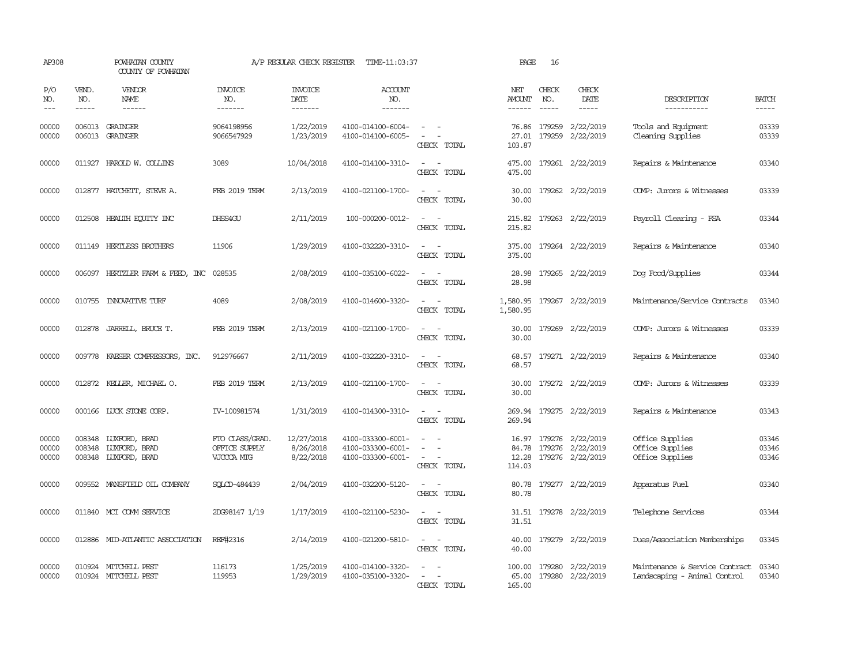| AP308                   |                       | POWHATAN COUNTY<br>COUNTY OF POWHATAN                         |                                                | A/P REGULAR CHECK REGISTER           | TIME-11:03:37                                               |                                                                                                                                                 | PAGE                           | 16           |                                                                      |                                                                |                         |
|-------------------------|-----------------------|---------------------------------------------------------------|------------------------------------------------|--------------------------------------|-------------------------------------------------------------|-------------------------------------------------------------------------------------------------------------------------------------------------|--------------------------------|--------------|----------------------------------------------------------------------|----------------------------------------------------------------|-------------------------|
| P/O<br>NO.<br>$---$     | VEND.<br>NO.<br>----- | VENDOR<br>NAME<br>$- - - - - -$                               | <b>INVOICE</b><br>NO.<br>-------               | <b>INVOICE</b><br>DATE<br>-------    | <b>ACCOUNT</b><br>NO.<br>-------                            |                                                                                                                                                 | NET<br>AMOUNT<br>$- - - - - -$ | CHECK<br>NO. | CHECK<br>DATE<br>$- - - - -$                                         | DESCRIPTION<br>-----------                                     | <b>BATCH</b><br>-----   |
| 00000<br>00000          |                       | 006013 GRAINGER<br>006013 GRAINGER                            | 9064198956<br>9066547929                       | 1/22/2019<br>1/23/2019               | 4100-014100-6004-<br>4100-014100-6005-                      | $\frac{1}{2} \left( \frac{1}{2} \right) \left( \frac{1}{2} \right) = \frac{1}{2} \left( \frac{1}{2} \right)$<br>$\sim$ 100 $\mu$<br>CHECK TOTAL | 103.87                         | 76.86 179259 | 2/22/2019<br>27.01 179259 2/22/2019                                  | Tools and Equipment<br>Cleaning Supplies                       | 03339<br>03339          |
| 00000                   |                       | 011927 HAROLD W. COLLINS                                      | 3089                                           | 10/04/2018                           | 4100-014100-3310-                                           | $\sim$<br>CHECK TOTAL                                                                                                                           | 475.00<br>475.00               |              | 179261 2/22/2019                                                     | Repairs & Maintenance                                          | 03340                   |
| 00000                   |                       | 012877 HATCHETT, STEVE A.                                     | FEB 2019 TERM                                  | 2/13/2019                            | 4100-021100-1700-                                           | $\overline{\phantom{a}}$<br>CHECK TOTAL                                                                                                         | 30.00<br>30.00                 |              | 179262 2/22/2019                                                     | COMP: Jurors & Witnesses                                       | 03339                   |
| 00000                   |                       | 012508 HEALTH EQUITY INC                                      | DHSS4GU                                        | 2/11/2019                            | 100-000200-0012-                                            | $\sim$<br>CHECK TOTAL                                                                                                                           | 215.82<br>215.82               |              | 179263 2/22/2019                                                     | Payroll Clearing - FSA                                         | 03344                   |
| 00000                   |                       | 011149 HERTLESS BROTHERS                                      | 11906                                          | 1/29/2019                            | 4100-032220-3310-                                           | $\frac{1}{2} \left( \frac{1}{2} \right) \left( \frac{1}{2} \right) = \frac{1}{2} \left( \frac{1}{2} \right)$<br>CHECK TOTAL                     | 375.00<br>375.00               |              | 179264 2/22/2019                                                     | Repairs & Maintenance                                          | 03340                   |
| 00000                   |                       | 006097 HERTZLER FARM & FEED, INC                              | 028535                                         | 2/08/2019                            | 4100-035100-6022-                                           | $\sim$<br>CHECK TOTAL                                                                                                                           | 28.98<br>28.98                 |              | 179265 2/22/2019                                                     | Dog Food/Supplies                                              | 03344                   |
| 00000                   |                       | 010755 INNOVATIVE TURF                                        | 4089                                           | 2/08/2019                            | 4100-014600-3320-                                           | $\sim$ $ \sim$<br>CHECK TOTAL                                                                                                                   | 1,580.95<br>1,580.95           |              | 179267 2/22/2019                                                     | Maintenance/Service Contracts                                  | 03340                   |
| 00000                   | 012878                | JARREIL, BRUCE T.                                             | FEB 2019 TERM                                  | 2/13/2019                            | 4100-021100-1700-                                           | $\frac{1}{2} \left( \frac{1}{2} \right) \left( \frac{1}{2} \right) = \frac{1}{2} \left( \frac{1}{2} \right)$<br>CHECK TOTAL                     | 30.00<br>30.00                 |              | 179269 2/22/2019                                                     | COMP: Jurors & Witnesses                                       | 03339                   |
| 00000                   |                       | 009778 KAESER COMPRESSORS, INC.                               | 912976667                                      | 2/11/2019                            | 4100-032220-3310-                                           | $\frac{1}{2} \left( \frac{1}{2} \right) \left( \frac{1}{2} \right) = \frac{1}{2} \left( \frac{1}{2} \right)$<br>CHECK TOTAL                     | 68.57                          |              | 68.57 179271 2/22/2019                                               | Repairs & Maintenance                                          | 03340                   |
| 00000                   |                       | 012872 KELLER, MICHAEL O.                                     | FEB 2019 TERM                                  | 2/13/2019                            | 4100-021100-1700-                                           | CHECK TOTAL                                                                                                                                     | 30.00<br>30.00                 |              | 179272 2/22/2019                                                     | COMP: Jurors & Witnesses                                       | 03339                   |
| 00000                   |                       | 000166 LUCK STONE CORP.                                       | IV-100981574                                   | 1/31/2019                            | 4100-014300-3310-                                           | CHECK TOTAL                                                                                                                                     | 269.94                         |              | 269.94 179275 2/22/2019                                              | Repairs & Maintenance                                          | 03343                   |
| 00000<br>00000<br>00000 | 008348                | 008348 LUXFORD, BRAD<br>LUXFORD, BRAD<br>008348 LUXFORD, BRAD | FTO CLASS/GRAD.<br>OFFICE SUPPLY<br>VJCCCA MTG | 12/27/2018<br>8/26/2018<br>8/22/2018 | 4100-033300-6001-<br>4100-033300-6001-<br>4100-033300-6001- | $\sim$<br>CHECK TOTAL                                                                                                                           | 12.28<br>114.03                |              | 16.97 179276 2/22/2019<br>84.78 179276 2/22/2019<br>179276 2/22/2019 | Office Supplies<br>Office Supplies<br>Office Supplies          | 03346<br>03346<br>03346 |
| 00000                   |                       | 009552 MANSFIELD OIL COMPANY                                  | SOLCD-484439                                   | 2/04/2019                            | 4100-032200-5120-                                           | CHECK TOTAL                                                                                                                                     | 80.78<br>80.78                 |              | 179277 2/22/2019                                                     | Apparatus Fuel                                                 | 03340                   |
| 00000                   |                       | 011840 MCI COMM SERVICE                                       | 2DG98147 1/19                                  | 1/17/2019                            | 4100-021100-5230-                                           | CHECK TOTAL                                                                                                                                     | 31.51                          |              | 31.51 179278 2/22/2019                                               | Telephone Services                                             | 03344                   |
| 00000                   |                       | 012886 MID-ATLANTIC ASSOCIATION                               | REF#2316                                       | 2/14/2019                            | 4100-021200-5810-                                           | CHECK TOTAL                                                                                                                                     | 40.00<br>40.00                 |              | 179279 2/22/2019                                                     | Dues/Association Memberships                                   | 03345                   |
| 00000<br>00000          |                       | 010924 MITCHELL PEST<br>010924 MITCHELL PEST                  | 116173<br>119953                               | 1/25/2019<br>1/29/2019               | 4100-014100-3320-<br>4100-035100-3320-                      | CHECK TOTAL                                                                                                                                     | 165.00                         |              | 100.00 179280 2/22/2019<br>65.00 179280 2/22/2019                    | Maintenance & Service Contract<br>Landscaping - Animal Control | 03340<br>03340          |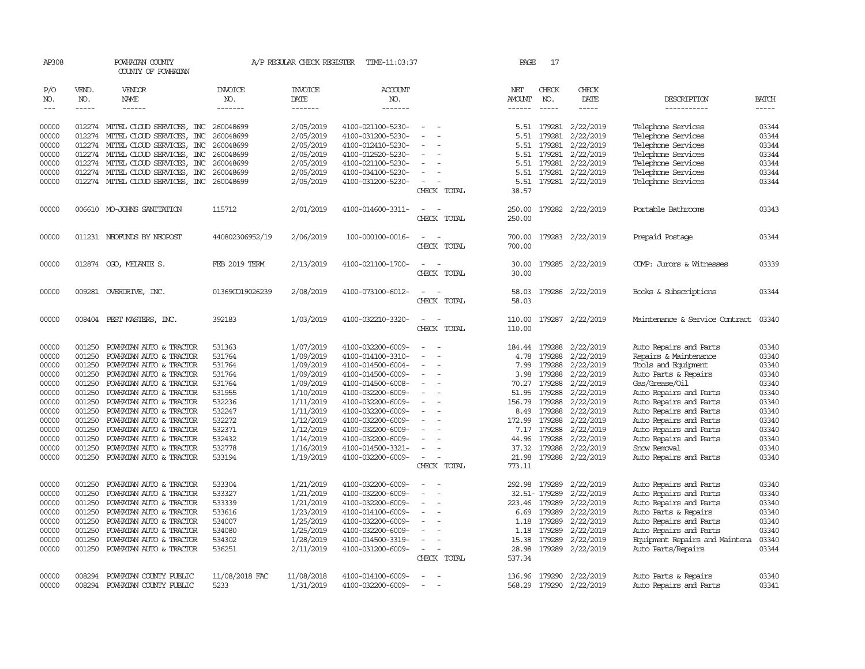| AP308      |              | POWHATAN COUNTY<br>COUNTY OF POWHATAN      |                       | A/P REGULAR CHECK REGISTER | TIME-11:03:37         |                          | PAGE          | 17            |                         |                                |              |
|------------|--------------|--------------------------------------------|-----------------------|----------------------------|-----------------------|--------------------------|---------------|---------------|-------------------------|--------------------------------|--------------|
| P/O<br>NO. | VEND.<br>NO. | VENDOR<br>NAME                             | <b>INVOICE</b><br>NO. | <b>INVOICE</b><br>DATE     | <b>ACCOUNT</b><br>NO. |                          | NET<br>AMOUNT | CHECK<br>NO.  | CHECK<br>DATE           | DESCRIPTION                    | <b>BATCH</b> |
| $\cdots$   | $- - - - -$  | ------                                     | -------               | -------                    | -------               |                          | ------        | $\frac{1}{2}$ | -----                   | -----------                    | -----        |
| 00000      |              | 012274 MITEL CLOUD SERVICES, INC           | 260048699             | 2/05/2019                  | 4100-021100-5230-     | $\overline{\phantom{a}}$ |               | 5.51 179281   | 2/22/2019               | Telephone Services             | 03344        |
| 00000      | 012274       | MITEL CLOUD SERVICES, INC                  | 260048699             | 2/05/2019                  | 4100-031200-5230-     |                          | 5.51          | 179281        | 2/22/2019               | Telephone Services             | 03344        |
| 00000      | 012274       | MITEL CLOUD SERVICES, INC                  | 260048699             | 2/05/2019                  | 4100-012410-5230-     |                          | 5.51          | 179281        | 2/22/2019               | Telephone Services             | 03344        |
| 00000      | 012274       | MITEL CLOUD SERVICES, INC                  | 260048699             | 2/05/2019                  | 4100-012520-5230-     |                          | 5.51          | 179281        | 2/22/2019               | Telephone Services             | 03344        |
| 00000      | 012274       | MITEL CLOUD SERVICES, INC                  | 260048699             | 2/05/2019                  | 4100-021100-5230-     |                          | 5.51          | 179281        | 2/22/2019               | Telephone Services             | 03344        |
| 00000      | 012274       | MITEL CLOUD SERVICES, INC                  | 260048699             | 2/05/2019                  | 4100-034100-5230-     |                          | 5.51          | 179281        | 2/22/2019               | Telephone Services             | 03344        |
| 00000      |              | 012274 MITEL CLOUD SERVICES, INC 260048699 |                       | 2/05/2019                  | 4100-031200-5230-     |                          | 5.51          |               | 179281 2/22/2019        | Telephone Services             | 03344        |
|            |              |                                            |                       |                            |                       | CHECK TOTAL              | 38.57         |               |                         |                                |              |
| 00000      |              | 006610 MO-JOHNS SANITATION                 | 115712                | 2/01/2019                  | 4100-014600-3311-     | $\sim$                   | 250.00        |               | 179282 2/22/2019        | Portable Bathrooms             | 03343        |
|            |              |                                            |                       |                            |                       | CHECK TOTAL              | 250.00        |               |                         |                                |              |
| 00000      |              | 011231 NEOFUNDS BY NEOPOST                 | 440802306952/19       | 2/06/2019                  | 100-000100-0016-      |                          | 700.00        |               | 179283 2/22/2019        | Prepaid Postage                | 03344        |
|            |              |                                            |                       |                            |                       | CHECK TOTAL              | 700.00        |               |                         |                                |              |
| 00000      |              | 012874 0GO, MELANIE S.                     | FEB 2019 TERM         | 2/13/2019                  | 4100-021100-1700-     |                          | 30.00         |               | 179285 2/22/2019        | COMP: Jurors & Witnesses       | 03339        |
|            |              |                                            |                       |                            |                       | CHECK TOTAL              | 30.00         |               |                         |                                |              |
| 00000      |              | 009281 OVERDRIVE, INC.                     | 013690019026239       | 2/08/2019                  | 4100-073100-6012-     |                          | 58.03         |               | 179286 2/22/2019        | Books & Subscriptions          | 03344        |
|            |              |                                            |                       |                            |                       | CHECK TOTAL              | 58.03         |               |                         |                                |              |
| 00000      |              | 008404 PEST MASTERS, INC.                  | 392183                | 1/03/2019                  | 4100-032210-3320-     |                          | 110.00        |               | 179287 2/22/2019        | Maintenance & Service Contract | 03340        |
|            |              |                                            |                       |                            |                       | CHECK TOTAL              | 110.00        |               |                         |                                |              |
| 00000      | 001250       | POWHATAN AUTO & TRACTOR                    | 531363                | 1/07/2019                  | 4100-032200-6009-     |                          | 184.44        | 179288        | 2/22/2019               | Auto Repairs and Parts         | 03340        |
| 00000      | 001250       | POWHATAN AUTO & TRACTOR                    | 531764                | 1/09/2019                  | 4100-014100-3310-     | $\sim$                   | 4.78          | 179288        | 2/22/2019               | Repairs & Maintenance          | 03340        |
| 00000      | 001250       | POWHATAN AUTO & TRACTOR                    | 531764                | 1/09/2019                  | 4100-014500-6004-     |                          | 7.99          | 179288        | 2/22/2019               | Tools and Equipment            | 03340        |
| 00000      | 001250       | POWHATAN AUTO & TRACTOR                    | 531764                | 1/09/2019                  | 4100-014500-6009-     |                          | 3.98          | 179288        | 2/22/2019               | Auto Parts & Repairs           | 03340        |
| 00000      | 001250       | POWHATAN AUTO & TRACTOR                    | 531764                | 1/09/2019                  | 4100-014500-6008-     | $\overline{\phantom{a}}$ | 70.27         | 179288        | 2/22/2019               | Gas/Grease/0il                 | 03340        |
| 00000      | 001250       | POWHATAN AUTO & TRACTOR                    | 531955                | 1/10/2019                  | 4100-032200-6009-     |                          | 51.95         | 179288        | 2/22/2019               | Auto Repairs and Parts         | 03340        |
| 00000      | 001250       | POWHATAN AUTO & TRACTOR                    | 532236                | 1/11/2019                  | 4100-032200-6009-     |                          | 156.79        | 179288        | 2/22/2019               | Auto Repairs and Parts         | 03340        |
| 00000      | 001250       | POWHATAN AUTO & TRACTOR                    | 532247                | 1/11/2019                  | 4100-032200-6009-     | $\sim$                   | 8.49          | 179288        | 2/22/2019               | Auto Repairs and Parts         | 03340        |
| 00000      | 001250       | POWHATAN AUTO & TRACTOR                    | 532272                | 1/12/2019                  | 4100-032200-6009-     |                          | 172.99        | 179288        | 2/22/2019               | Auto Repairs and Parts         | 03340        |
| 00000      | 001250       | POWHATAN AUTO & TRACTOR                    | 532371                | 1/12/2019                  | 4100-032200-6009-     |                          | 7.17          | 179288        | 2/22/2019               | Auto Repairs and Parts         | 03340        |
| 00000      | 001250       | POWHATAN AUTO & TRACTOR                    | 532432                | 1/14/2019                  | 4100-032200-6009-     |                          | 44.96         | 179288        | 2/22/2019               | Auto Repairs and Parts         | 03340        |
| 00000      | 001250       | POWHATAN AUTO & TRACTOR                    | 532778                | 1/16/2019                  | 4100-014500-3321-     |                          | 37.32         | 179288        | 2/22/2019               | Snow Removal                   | 03340        |
| 00000      | 001250       | POWHATAN AUTO & TRACTOR                    | 533194                | 1/19/2019                  | 4100-032200-6009-     | $\equiv$                 | 21.98         | 179288        | 2/22/2019               | Auto Repairs and Parts         | 03340        |
|            |              |                                            |                       |                            |                       | CHECK TOTAL              | 773.11        |               |                         |                                |              |
| 00000      | 001250       | POWHATAN AUTO & TRACTOR                    | 533304                | 1/21/2019                  | 4100-032200-6009-     |                          | 292.98        | 179289        | 2/22/2019               | Auto Repairs and Parts         | 03340        |
| 00000      | 001250       | POWHATAN AUTO & TRACTOR                    | 533327                | 1/21/2019                  | 4100-032200-6009-     |                          |               | 32.51-179289  | 2/22/2019               | Auto Repairs and Parts         | 03340        |
| 00000      | 001250       | POWHATAN AUTO & TRACTOR                    | 533339                | 1/21/2019                  | 4100-032200-6009-     |                          | 223.46        | 179289        | 2/22/2019               | Auto Repairs and Parts         | 03340        |
| 00000      | 001250       | POWHATAN AUTO & TRACTOR                    | 533616                | 1/23/2019                  | 4100-014100-6009-     |                          | 6.69          | 179289        | 2/22/2019               | Auto Parts & Repairs           | 03340        |
| 00000      | 001250       | POWHATAN AUTO & TRACTOR                    | 534007                | 1/25/2019                  | 4100-032200-6009-     |                          | 1.18          | 179289        | 2/22/2019               | Auto Repairs and Parts         | 03340        |
| 00000      | 001250       | POWHATAN AUTO & TRACTOR                    | 534080                | 1/25/2019                  | 4100-032200-6009-     |                          | 1.18          | 179289        | 2/22/2019               | Auto Repairs and Parts         | 03340        |
| 00000      | 001250       | POWHATAN AUTO & TRACTOR                    | 534302                | 1/28/2019                  | 4100-014500-3319-     | $\sim$                   | 15.38         | 179289        | 2/22/2019               | Equipment Repairs and Maintena | 03340        |
| 00000      | 001250       | POWHATAN AUTO & TRACTOR                    | 536251                | 2/11/2019                  | 4100-031200-6009-     | $\overline{\phantom{a}}$ | 28.98         | 179289        | 2/22/2019               | Auto Parts/Repairs             | 03344        |
|            |              |                                            |                       |                            |                       | CHECK TOTAL              | 537.34        |               |                         |                                |              |
| 00000      | 008294       | POWHATAN COUNTY PUBLIC                     | 11/08/2018 FAC        | 11/08/2018                 | 4100-014100-6009-     |                          | 136.96        | 179290        | 2/22/2019               | Auto Parts & Repairs           | 03340        |
| 00000      | 008294       | POWHATAN COUNTY PUBLIC                     | 5233                  | 1/31/2019                  | 4100-032200-6009-     | $\overline{\phantom{a}}$ |               |               | 568.29 179290 2/22/2019 | Auto Repairs and Parts         | 03341        |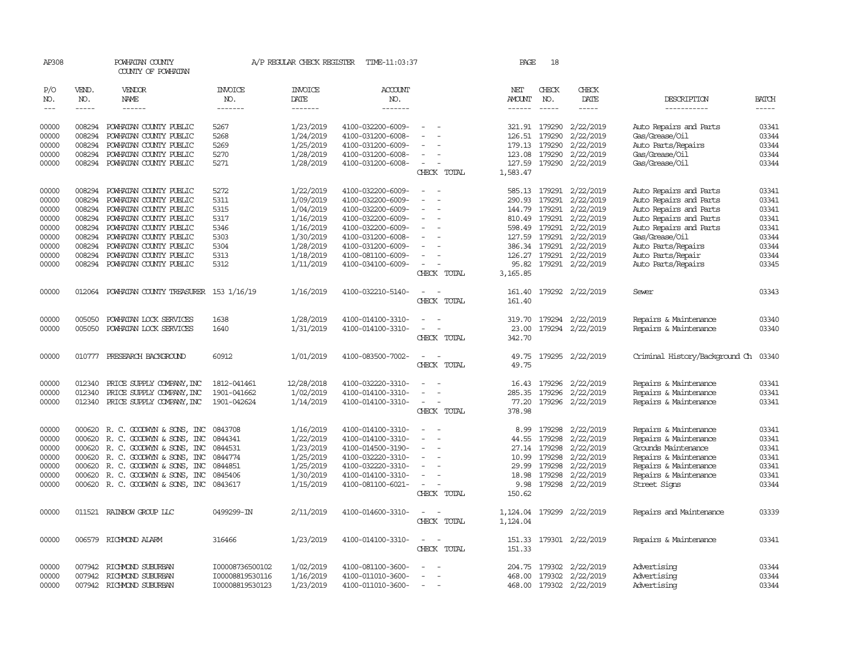| AP308                       |                       | POWHATAN COUNTY<br>COUNTY OF POWHATAN                |                                    | A/P REGULAR CHECK REGISTER        | TIME-11:03:37                          |                                         | PAGE                           | 18                            |                                      |                                                  |                             |
|-----------------------------|-----------------------|------------------------------------------------------|------------------------------------|-----------------------------------|----------------------------------------|-----------------------------------------|--------------------------------|-------------------------------|--------------------------------------|--------------------------------------------------|-----------------------------|
| P/O<br>NO.<br>$\frac{1}{2}$ | VEND.<br>NO.<br>----- | VENDOR<br>NAME<br>------                             | INVOICE<br>NO.<br>--------         | <b>INVOICE</b><br>DATE<br>------- | ACCOUNT<br>NO.<br>-------              |                                         | NET<br>AMOUNT<br>$- - - - - -$ | CHECK<br>NO.<br>$\frac{1}{2}$ | CHECK<br>DATE<br>-----               | DESCRIPTION<br>-----------                       | <b>BATCH</b><br>$- - - - -$ |
| 00000<br>00000              | 008294<br>008294      | POWHATAN COUNTY PUBLIC<br>POWHATAN COUNTY PUBLIC     | 5267<br>5268                       | 1/23/2019<br>1/24/2019            | 4100-032200-6009-<br>4100-031200-6008- |                                         | 126.51                         | 321.91 179290<br>179290       | 2/22/2019<br>2/22/2019               | Auto Repairs and Parts<br>Gas/Grease/Oil         | 03341<br>03344              |
| 00000                       | 008294                | POWHATAN COUNTY PUBLIC                               | 5269                               | 1/25/2019                         | 4100-031200-6009-                      |                                         | 179.13                         | 179290                        | 2/22/2019                            | Auto Parts/Repairs                               | 03344                       |
| 00000                       | 008294                | POWHATAN COUNTY PUBLIC                               | 5270                               | 1/28/2019                         | 4100-031200-6008-                      |                                         | 123.08                         | 179290                        | 2/22/2019                            | Gas/Grease/Oil                                   | 03344                       |
| 00000                       | 008294                | POWHATAN COUNTY PUBLIC                               | 5271                               | 1/28/2019                         | 4100-031200-6008-                      |                                         |                                |                               | 127.59 179290 2/22/2019              | Gas/Grease/Oil                                   | 03344                       |
|                             |                       |                                                      |                                    |                                   |                                        | CHECK TOTAL                             | 1,583.47                       |                               |                                      |                                                  |                             |
| 00000                       | 008294                | POWHATAN COUNTY PUBLIC                               | 5272                               | 1/22/2019                         | 4100-032200-6009-                      |                                         |                                |                               | 585.13 179291 2/22/2019              | Auto Repairs and Parts                           | 03341                       |
| 00000                       | 008294                | POWHATAN COUNTY PUBLIC                               | 5311                               | 1/09/2019                         | 4100-032200-6009-                      |                                         | 290.93                         | 179291                        | 2/22/2019                            | Auto Repairs and Parts                           | 03341                       |
| 00000                       | 008294                | POWHATAN COUNTY PUBLIC                               | 5315                               | 1/04/2019                         | 4100-032200-6009-                      |                                         |                                | 144.79 179291                 | 2/22/2019                            | Auto Repairs and Parts                           | 03341                       |
| 00000<br>00000              | 008294<br>008294      | POWHATAN COUNTY PUBLIC<br>POWHATAN COUNTY PUBLIC     | 5317<br>5346                       | 1/16/2019                         | 4100-032200-6009-<br>4100-032200-6009- |                                         | 810.49                         | 179291<br>598.49 179291       | 2/22/2019<br>2/22/2019               | Auto Repairs and Parts<br>Auto Repairs and Parts | 03341<br>03341              |
| 00000                       | 008294                | POWHATAN COUNTY PUBLIC                               | 5303                               | 1/16/2019<br>1/30/2019            | 4100-031200-6008-                      |                                         |                                | 127.59 179291                 | 2/22/2019                            | Gas/Grease/Oil                                   | 03344                       |
| 00000                       | 008294                | POWHATAN COUNTY PUBLIC                               | 5304                               | 1/28/2019                         | 4100-031200-6009-                      |                                         |                                | 386.34 179291                 | 2/22/2019                            | Auto Parts/Repairs                               | 03344                       |
| 00000                       | 008294                | POWHATAN COUNTY PUBLIC                               | 5313                               | 1/18/2019                         | 4100-081100-6009-                      |                                         | 126.27                         | 179291                        | 2/22/2019                            | Auto Parts/Repair                                | 03344                       |
| 00000                       | 008294                | POWHATAN COUNTY PUBLIC                               | 5312                               | 1/11/2019                         | 4100-034100-6009-                      | $\overline{\phantom{a}}$                | 95.82                          |                               | 179291 2/22/2019                     | Auto Parts/Repairs                               | 03345                       |
|                             |                       |                                                      |                                    |                                   |                                        | CHECK TOTAL                             | 3,165.85                       |                               |                                      |                                                  |                             |
| 00000                       | 012064                | POWHATAN COUNTY TREASURER 153 1/16/19                |                                    | 1/16/2019                         | 4100-032210-5140-                      | $\sim$<br>$\sim$<br>CHECK TOTAL         | 161.40<br>161.40               |                               | 179292 2/22/2019                     | Sewer                                            | 03343                       |
| 00000                       | 005050                | POWHATAN LOCK SERVICES                               | 1638                               | 1/28/2019                         | 4100-014100-3310-                      |                                         | 319.70                         |                               | 179294 2/22/2019                     | Repairs & Maintenance                            | 03340                       |
| 00000                       | 005050                | POWHATAN LOCK SERVICES                               | 1640                               | 1/31/2019                         | 4100-014100-3310-                      |                                         | 23.00                          |                               | 179294 2/22/2019                     | Repairs & Maintenance                            | 03340                       |
|                             |                       |                                                      |                                    |                                   |                                        | CHECK TOTAL                             | 342.70                         |                               |                                      |                                                  |                             |
| 00000                       | 010777                | PRESEARCH BACKGROUND                                 | 60912                              | 1/01/2019                         | 4100-083500-7002-                      | CHECK TOTAL                             | 49.75<br>49.75                 |                               | 179295 2/22/2019                     | Criminal History/Background Ch                   | 03340                       |
| 00000                       | 012340                | PRICE SUPPLY COMPANY, INC                            | 1812-041461                        | 12/28/2018                        | 4100-032220-3310-                      |                                         |                                | 16.43 179296                  | 2/22/2019                            | Repairs & Maintenance                            | 03341                       |
| 00000                       | 012340                | PRICE SUPPLY COMPANY, INC                            | 1901-041662                        | 1/02/2019                         | 4100-014100-3310-                      |                                         | 285.35                         | 179296                        | 2/22/2019                            | Repairs & Maintenance                            | 03341                       |
| 00000                       |                       | 012340 PRICE SUPPLY COMPANY, INC                     | 1901-042624                        | 1/14/2019                         | 4100-014100-3310-                      | $\overline{\phantom{a}}$<br>CHECK TOTAL | 77.20<br>378.98                |                               | 179296 2/22/2019                     | Repairs & Maintenance                            | 03341                       |
| 00000                       | 000620                | R. C. GOODWYN & SONS, INC                            | 0843708                            | 1/16/2019                         | 4100-014100-3310-                      |                                         | 8.99                           | 179298                        | 2/22/2019                            | Repairs & Maintenance                            | 03341                       |
| 00000                       | 000620                | R. C. GOODWYN & SONS, INC                            | 0844341                            | 1/22/2019                         | 4100-014100-3310-                      | $\sim$<br>$\sim$                        | 44.55                          | 179298                        | 2/22/2019                            | Repairs & Maintenance                            | 03341                       |
| 00000                       | 000620                | R. C. GOODWYN & SONS, INC                            | 0844531                            | 1/23/2019                         | 4100-014500-3190-                      |                                         | 27.14                          | 179298                        | 2/22/2019                            | Grounds Maintenance                              | 03341                       |
| 00000                       | 000620                | R. C. GOODWYN & SONS, INC                            | 0844774                            | 1/25/2019                         | 4100-032220-3310-                      |                                         | 10.99                          | 179298                        | 2/22/2019                            | Repairs & Maintenance                            | 03341                       |
| 00000                       | 000620                | R. C. GOODWYN & SONS, INC                            | 0844851                            | 1/25/2019                         | 4100-032220-3310-                      | $\overline{\phantom{a}}$                | 29.99                          | 179298                        | 2/22/2019                            | Repairs & Maintenance                            | 03341                       |
| 00000                       | 000620                | R. C. GOODWYN & SONS, INC                            | 0845406                            | 1/30/2019                         | 4100-014100-3310-                      | $\overline{\phantom{a}}$                | 18.98                          | 179298                        | 2/22/2019                            | Repairs & Maintenance                            | 03341                       |
| 00000                       |                       | 000620 R. C. GOODWYN & SONS, INC                     | 0843617                            | 1/15/2019                         | 4100-081100-6021-                      | CHECK TOTAL                             | 9.98<br>150.62                 | 179298                        | 2/22/2019                            | Street Signs                                     | 03344                       |
| 00000                       |                       | 011521 RAINBOW GROUP LLC                             | 0499299-IN                         | 2/11/2019                         | 4100-014600-3310-                      | CHECK TOTAL                             | 1,124.04<br>1,124.04           | 179299                        | 2/22/2019                            | Repairs and Maintenance                          | 03339                       |
| 00000                       |                       | 006579 RICHMOND ALARM                                | 316466                             | 1/23/2019                         | 4100-014100-3310-                      | $\overline{\phantom{a}}$                | 151.33                         |                               | 179301 2/22/2019                     | Repairs & Maintenance                            | 03341                       |
|                             |                       |                                                      |                                    |                                   |                                        | CHECK TOTAL                             | 151.33                         |                               |                                      |                                                  |                             |
| 00000                       |                       | 007942 RICHMOND SUBURBAN                             | I00008736500102                    | 1/02/2019                         | 4100-081100-3600-                      |                                         | 204.75                         | 179302                        | 2/22/2019                            | Advertising                                      | 03344                       |
| 00000<br>00000              |                       | 007942 RICHMOND SUBURBAN<br>007942 RICHMOND SUBURBAN | 100008819530116<br>I00008819530123 | 1/16/2019<br>1/23/2019            | 4100-011010-3600-<br>4100-011010-3600- | $\sim$                                  | 468.00                         | 179302                        | 2/22/2019<br>468.00 179302 2/22/2019 | Advertising<br>Advertising                       | 03344<br>03344              |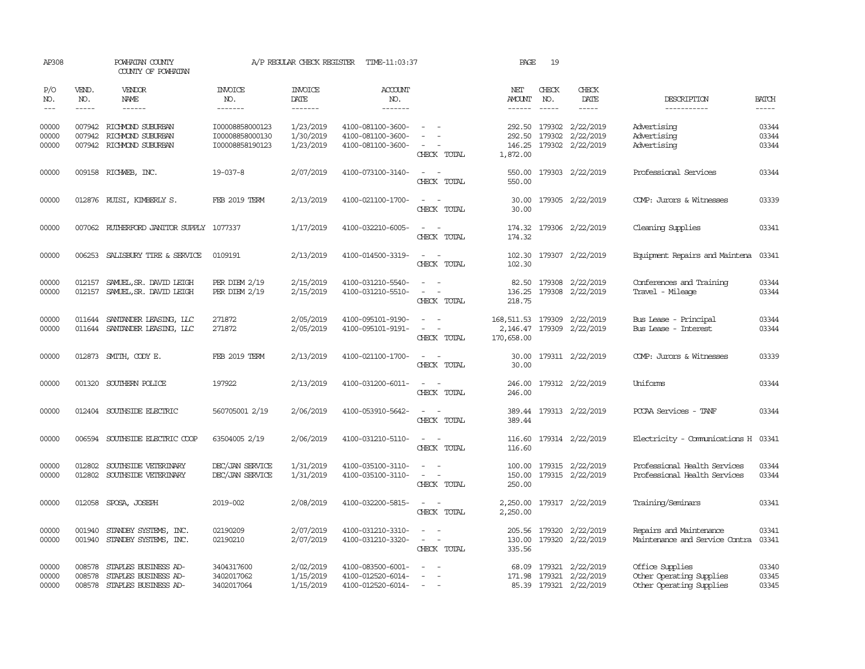| AP308                   |                             | POWHATAN COUNTY<br>COUNTY OF POWHATAN                                            |                                                       | A/P REGULAR CHECK REGISTER          | TIME-11:03:37                                               |                                                   | PAGE                                   | 19                            |                                                                       |                                                                         |                                                                                                                                                                                                                                                                                                                                                                                                                                                                         |
|-------------------------|-----------------------------|----------------------------------------------------------------------------------|-------------------------------------------------------|-------------------------------------|-------------------------------------------------------------|---------------------------------------------------|----------------------------------------|-------------------------------|-----------------------------------------------------------------------|-------------------------------------------------------------------------|-------------------------------------------------------------------------------------------------------------------------------------------------------------------------------------------------------------------------------------------------------------------------------------------------------------------------------------------------------------------------------------------------------------------------------------------------------------------------|
| P/O<br>NO.<br>$---$     | VEND.<br>NO.<br>$- - - - -$ | <b>VENDOR</b><br>NAME                                                            | <b>INVOICE</b><br>NO.<br>--------                     | <b>INVOICE</b><br>DATE<br>-------   | <b>ACCOUNT</b><br>NO.<br>-------                            |                                                   | NET<br>AMOUNT                          | CHECK<br>NO.<br>$\frac{1}{2}$ | CHECK<br>DATE<br>-----                                                | DESCRIPTION<br>-----------                                              | <b>BATCH</b><br>$\begin{tabular}{ccccc} \multicolumn{2}{c }{\multicolumn{2}{c }{\multicolumn{2}{c }{\multicolumn{2}{c}}{\hspace{-2.2cm}}}} \multicolumn{2}{c }{\multicolumn{2}{c }{\hspace{-2.2cm}}\hline} \multicolumn{2}{c }{\hspace{-2.2cm}}\hline \multicolumn{2}{c }{\hspace{-2.2cm}}\hline \multicolumn{2}{c }{\hspace{-2.2cm}}\hline \multicolumn{2}{c }{\hspace{-2.2cm}}\hline \multicolumn{2}{c }{\hspace{-2.2cm}}\hline \multicolumn{2}{c }{\hspace{-2.2cm}}$ |
| 00000<br>00000<br>00000 |                             | 007942 RICHMOND SUBURBAN<br>007942 RICHMOND SUBURBAN<br>007942 RICHMOND SUBURBAN | I00008858000123<br>I00008858000130<br>I00008858190123 | 1/23/2019<br>1/30/2019<br>1/23/2019 | 4100-081100-3600-<br>4100-081100-3600-<br>4100-081100-3600- | $\sim$ $\sim$<br>CHECK TOTAL                      | 292.50<br>146.25<br>1,872.00           |                               | 292.50 179302 2/22/2019<br>179302 2/22/2019<br>179302 2/22/2019       | Advertising<br>Advertising<br>Advertising                               | 03344<br>03344<br>03344                                                                                                                                                                                                                                                                                                                                                                                                                                                 |
| 00000                   |                             | 009158 RICHWEB, INC.                                                             | 19-037-8                                              | 2/07/2019                           | 4100-073100-3140-                                           | $\sim$<br>- -<br>CHECK TOTAL                      | 550.00<br>550.00                       |                               | 179303 2/22/2019                                                      | Professional Services                                                   | 03344                                                                                                                                                                                                                                                                                                                                                                                                                                                                   |
| 00000                   |                             | 012876 RUISI, KIMBERLY S.                                                        | <b>FEB 2019 TERM</b>                                  | 2/13/2019                           | 4100-021100-1700-                                           | $\sim$<br>CHECK TOTAL                             | 30.00<br>30.00                         |                               | 179305 2/22/2019                                                      | COMP: Jurors & Witnesses                                                | 03339                                                                                                                                                                                                                                                                                                                                                                                                                                                                   |
| 00000                   |                             | 007062 RUIHERFORD JANITOR SUPPLY 1077337                                         |                                                       | 1/17/2019                           | 4100-032210-6005-                                           | CHECK TOTAL                                       | 174.32<br>174.32                       |                               | 179306 2/22/2019                                                      | Cleaning Supplies                                                       | 03341                                                                                                                                                                                                                                                                                                                                                                                                                                                                   |
| 00000                   |                             | 006253 SALISBURY TIRE & SERVICE                                                  | 0109191                                               | 2/13/2019                           | 4100-014500-3319-                                           | $\sim$<br>CHECK TOTAL                             | 102.30<br>102.30                       |                               | 179307 2/22/2019                                                      | Equipment Repairs and Maintena                                          | 03341                                                                                                                                                                                                                                                                                                                                                                                                                                                                   |
| 00000<br>00000          | 012157                      | SAMUEL, SR. DAVID LEIGH<br>012157 SAMUEL, SR. DAVID LEIGH                        | PER DIEM $2/19$<br>PER DIEM 2/19                      | 2/15/2019<br>2/15/2019              | 4100-031210-5540-<br>4100-031210-5510-                      | $\sim$ $ -$<br>CHECK TOTAL                        | 82.50<br>136.25<br>218.75              |                               | 179308 2/22/2019<br>179308 2/22/2019                                  | Conferences and Training<br>Travel - Mileage                            | 03344<br>03344                                                                                                                                                                                                                                                                                                                                                                                                                                                          |
| 00000<br>00000          | 011644                      | SANTANDER LEASING, LLC<br>011644 SANTANDER LEASING, LLC                          | 271872<br>271872                                      | 2/05/2019<br>2/05/2019              | 4100-095101-9190-<br>4100-095101-9191-                      | $\sim$<br>$\overline{\phantom{a}}$<br>CHECK TOTAL | 168, 511, 53<br>2,146.47<br>170,658.00 |                               | 179309 2/22/2019<br>179309 2/22/2019                                  | Bus Lease - Principal<br>Bus Lease - Interest                           | 03344<br>03344                                                                                                                                                                                                                                                                                                                                                                                                                                                          |
| 00000                   |                             | 012873 SMITH, CODY E.                                                            | FEB 2019 TERM                                         | 2/13/2019                           | 4100-021100-1700-                                           | CHECK TOTAL                                       | 30.00<br>30.00                         |                               | 179311 2/22/2019                                                      | COMP: Jurors & Witnesses                                                | 03339                                                                                                                                                                                                                                                                                                                                                                                                                                                                   |
| 00000                   | 001320                      | SOUTHERN POLICE                                                                  | 197922                                                | 2/13/2019                           | 4100-031200-6011-                                           | $\overline{\phantom{a}}$<br>CHECK TOTAL           | 246.00<br>246.00                       |                               | 179312 2/22/2019                                                      | Uniforms                                                                | 03344                                                                                                                                                                                                                                                                                                                                                                                                                                                                   |
| 00000                   |                             | 012404 SOUTHSIDE ELECTRIC                                                        | 560705001 2/19                                        | 2/06/2019                           | 4100-053910-5642-                                           | CHECK TOTAL                                       | 389.44                                 |                               | 389.44 179313 2/22/2019                                               | PCCAA Services - TANF                                                   | 03344                                                                                                                                                                                                                                                                                                                                                                                                                                                                   |
| 00000                   |                             | 006594 SOUTHSIDE ELECTRIC COOP                                                   | 63504005 2/19                                         | 2/06/2019                           | 4100-031210-5110-                                           | $\sim$ 10 $\sim$ 10 $\sim$<br>CHECK TOTAL         | 116.60                                 |                               | 116.60 179314 2/22/2019                                               | Electricity - Comunications H 03341                                     |                                                                                                                                                                                                                                                                                                                                                                                                                                                                         |
| 00000<br>00000          | 012802<br>012802            | SOUTHSIDE VETERINARY<br>SOUTHSIDE VETERINARY                                     | DEC/JAN SERVICE<br>DEC/JAN SERVICE                    | 1/31/2019<br>1/31/2019              | 4100-035100-3110-<br>4100-035100-3110-                      | $\sim$<br>$\sim$<br>CHECK TOTAL                   | 150.00<br>250.00                       |                               | 100.00 179315 2/22/2019<br>179315 2/22/2019                           | Professional Health Services<br>Professional Health Services            | 03344<br>03344                                                                                                                                                                                                                                                                                                                                                                                                                                                          |
| 00000                   |                             | 012058 SPOSA, JOSEPH                                                             | 2019-002                                              | 2/08/2019                           | 4100-032200-5815-                                           | $\sim$ $ \sim$<br>CHECK TOTAL                     | 2,250.00<br>2,250.00                   |                               | 179317 2/22/2019                                                      | Training/Seminars                                                       | 03341                                                                                                                                                                                                                                                                                                                                                                                                                                                                   |
| 00000<br>00000          | 001940<br>001940            | STANDBY SYSTEMS, INC.<br>STANDBY SYSTEMS, INC.                                   | 02190209<br>02190210                                  | 2/07/2019<br>2/07/2019              | 4100-031210-3310-<br>4100-031210-3320-                      | $\sim$<br>$\sim$<br>$\sim$ $-$<br>CHECK TOTAL     | 130.00<br>335.56                       |                               | 205.56 179320 2/22/2019<br>179320 2/22/2019                           | Repairs and Maintenance<br>Maintenance and Service Contra               | 03341<br>03341                                                                                                                                                                                                                                                                                                                                                                                                                                                          |
| 00000<br>00000<br>00000 | 008578<br>008578<br>008578  | STAPLES BUSINESS AD-<br>STAPLES BUSINESS AD-<br>STAPLES BUSINESS AD-             | 3404317600<br>3402017062<br>3402017064                | 2/02/2019<br>1/15/2019<br>1/15/2019 | 4100-083500-6001-<br>4100-012520-6014-<br>4100-012520-6014- | $\equiv$<br>$\sim$                                | 68.09                                  |                               | 179321 2/22/2019<br>171.98 179321 2/22/2019<br>85.39 179321 2/22/2019 | Office Supplies<br>Other Operating Supplies<br>Other Operating Supplies | 03340<br>03345<br>03345                                                                                                                                                                                                                                                                                                                                                                                                                                                 |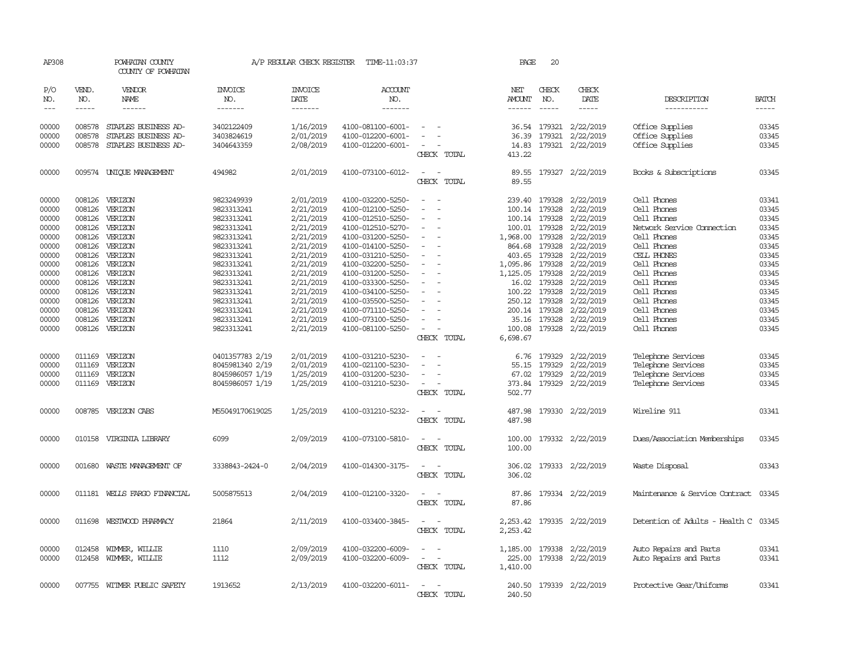| AP308          |                  | POWHATAN COUNTY<br>COUNTY OF POWHATAN |                          | A/P REGULAR CHECK REGISTER | TIME-11:03:37                          |                                         | PAGE                 | 20                     |                         |                                      |                |
|----------------|------------------|---------------------------------------|--------------------------|----------------------------|----------------------------------------|-----------------------------------------|----------------------|------------------------|-------------------------|--------------------------------------|----------------|
| P/O<br>NO.     | VEND.<br>NO.     | <b>VENDOR</b><br>NAME                 | <b>INVOICE</b><br>NO.    | <b>INVOICE</b><br>DATE     | ACCOUNT<br>NO.                         |                                         | NET<br>AMOUNT        | CHECK<br>NO.           | CHECK<br>DATE           | DESCRIPTION                          | <b>BATCH</b>   |
| $---$          |                  | $- - - - - -$                         | -------                  | -------                    | -------                                |                                         | $- - - - - -$        | $\cdots$               | -----                   | -----------                          | $- - - - -$    |
| 00000          |                  | 008578 STAPLES BUSINESS AD-           | 3402122409               | 1/16/2019                  | 4100-081100-6001-                      |                                         |                      |                        | 36.54 179321 2/22/2019  | Office Supplies                      | 03345          |
| 00000          | 008578           | STAPLES BUSINESS AD-                  | 3403824619               | 2/01/2019                  | 4100-012200-6001-                      |                                         | 36.39                | 179321                 | 2/22/2019               | Office Supplies                      | 03345          |
| 00000          | 008578           | STAPLES BUSINESS AD-                  | 3404643359               | 2/08/2019                  | 4100-012200-6001-                      | CHECK TOTAL                             | 14.83<br>413.22      |                        | 179321 2/22/2019        | Office Supplies                      | 03345          |
| 00000          |                  | 009574 UNIQUE MANAGEMENT              | 494982                   | 2/01/2019                  | 4100-073100-6012-                      | CHECK TOTAL                             | 89.55<br>89.55       |                        | 179327 2/22/2019        | Books & Subscriptions                | 03345          |
| 00000          |                  | 008126 VERIZON                        | 9823249939               | 2/01/2019                  | 4100-032200-5250-                      |                                         |                      | 239.40 179328          | 2/22/2019               | Cell Phones                          | 03341          |
| 00000          | 008126           | VERIZON                               | 9823313241               | 2/21/2019                  | 4100-012100-5250-                      |                                         |                      | 100.14 179328          | 2/22/2019               | Cell Phones                          | 03345          |
| 00000          | 008126           | VERIZON                               | 9823313241               | 2/21/2019                  | 4100-012510-5250-                      |                                         |                      | 100.14 179328          | 2/22/2019               | Cell Phones                          | 03345          |
| 00000          |                  | 008126 VERIZON                        | 9823313241               | 2/21/2019                  | 4100-012510-5270-                      | $\overline{\phantom{a}}$                |                      | 100.01 179328          | 2/22/2019               | Network Service Connection           | 03345          |
| 00000          |                  | 008126 VERIZON                        | 9823313241               | 2/21/2019                  | 4100-031200-5250-                      |                                         | 1,968.00             | 179328                 | 2/22/2019               | Cell Phones                          | 03345          |
| 00000          | 008126           | VERIZON                               | 9823313241               | 2/21/2019                  | 4100-014100-5250-                      |                                         | 864.68               | 179328                 | 2/22/2019               | Cell Phones                          | 03345          |
| 00000          |                  | 008126 VERIZON                        | 9823313241               | 2/21/2019                  | 4100-031210-5250-                      |                                         | 403.65               | 179328                 | 2/22/2019               | CELL PHONES                          | 03345          |
| 00000          | 008126           | VERIZON                               | 9823313241               | 2/21/2019                  | 4100-032200-5250-                      |                                         | 1,095.86             | 179328                 | 2/22/2019               | Cell Phones                          | 03345          |
| 00000          | 008126           | VERIZON                               | 9823313241               | 2/21/2019                  | 4100-031200-5250-                      |                                         | 1,125.05             | 179328                 | 2/22/2019               | Cell Phones                          | 03345          |
| 00000          | 008126           | VERIZON                               | 9823313241               | 2/21/2019                  | 4100-033300-5250-                      |                                         | 16.02                | 179328                 | 2/22/2019               | Cell Phones                          | 03345          |
| 00000<br>00000 |                  | 008126 VERIZON                        | 9823313241               | 2/21/2019                  | 4100-034100-5250-                      |                                         | 100.22               | 179328                 | 2/22/2019               | Cell Phones<br>Cell Phones           | 03345<br>03345 |
|                |                  | 008126 VERIZON<br>VERIZON             | 9823313241               | 2/21/2019                  | 4100-035500-5250-                      |                                         | 250.12               | 179328                 | 2/22/2019               | Cell Phones                          | 03345          |
| 00000<br>00000 | 008126<br>008126 | VERIZON                               | 9823313241<br>9823313241 | 2/21/2019<br>2/21/2019     | 4100-071110-5250-<br>4100-073100-5250- |                                         | 200.14               | 179328<br>35.16 179328 | 2/22/2019<br>2/22/2019  | Cell Phones                          | 03345          |
| 00000          |                  | 008126 VERIZON                        | 9823313241               | 2/21/2019                  | 4100-081100-5250-                      | $\overline{\phantom{a}}$                |                      |                        | 100.08 179328 2/22/2019 | Cell Phones                          | 03345          |
|                |                  |                                       |                          |                            |                                        | CHECK TOTAL                             | 6,698.67             |                        |                         |                                      |                |
| 00000          | 011169           | VERIZON                               | 0401357783 2/19          | 2/01/2019                  | 4100-031210-5230-                      |                                         |                      | 6.76 179329            | 2/22/2019               | Telephone Services                   | 03345          |
| 00000          | 011169           | VERIZON                               | 8045981340 2/19          | 2/01/2019                  | 4100-021100-5230-                      |                                         | 55.15                | 179329                 | 2/22/2019               | Telephone Services                   | 03345          |
| 00000          | 011169           | VERIZON                               | 8045986057 1/19          | 1/25/2019                  | 4100-031200-5230-                      |                                         | 67.02                | 179329                 | 2/22/2019               | Telephone Services                   | 03345          |
| 00000          |                  | 011169 VERIZON                        | 8045986057 1/19          | 1/25/2019                  | 4100-031210-5230-                      |                                         | 373.84               |                        | 179329 2/22/2019        | Telephone Services                   | 03345          |
|                |                  |                                       |                          |                            |                                        | CHECK TOTAL                             | 502.77               |                        |                         |                                      |                |
| 00000          |                  | 008785 VERIZON CABS                   | M55049170619025          | 1/25/2019                  | 4100-031210-5232-                      | CHECK TOTAL                             | 487.98<br>487.98     |                        | 179330 2/22/2019        | Wireline 911                         | 03341          |
| 00000          |                  | 010158 VIRGINIA LIBRARY               | 6099                     | 2/09/2019                  | 4100-073100-5810-                      | CHECK TOTAL                             | 100.00<br>100.00     |                        | 179332 2/22/2019        | Dues/Association Memberships         | 03345          |
| 00000          | 001680           | WASTE MANAGEMENT OF                   | 3338843-2424-0           | 2/04/2019                  | 4100-014300-3175-                      | $\overline{\phantom{a}}$<br>CHECK TOTAL | 306.02<br>306.02     |                        | 179333 2/22/2019        | Waste Disposal                       | 03343          |
| 00000          |                  | 011181 WELLS FARGO FINANCIAL          | 5005875513               | 2/04/2019                  | 4100-012100-3320-                      | CHECK TOTAL                             | 87.86<br>87.86       |                        | 179334 2/22/2019        | Maintenance & Service Contract 03345 |                |
| 00000          |                  | 011698 WESTWOOD PHARMACY              | 21864                    | 2/11/2019                  | 4100-033400-3845-                      | CHECK TOTAL                             | 2,253.42<br>2,253.42 |                        | 179335 2/22/2019        | Detention of Adults - Health C       | 03345          |
| 00000          | 012458           | WIMMER, WILLIE                        | 1110                     | 2/09/2019                  | 4100-032200-6009-                      |                                         | 1,185.00             |                        | 179338 2/22/2019        | Auto Repairs and Parts               | 03341          |
| 00000          |                  | 012458 WIMMER, WILLIE                 | 1112                     | 2/09/2019                  | 4100-032200-6009-                      | $\overline{\phantom{a}}$                | 225.00               |                        | 179338 2/22/2019        | Auto Repairs and Parts               | 03341          |
|                |                  |                                       |                          |                            |                                        | CHECK TOTAL                             | 1,410.00             |                        |                         |                                      |                |
| 00000          |                  | 007755 WITMER PUBLIC SAFETY           | 1913652                  | 2/13/2019                  | 4100-032200-6011-                      | CHECK TOTAL                             | 240.50<br>240.50     |                        | 179339 2/22/2019        | Protective Gear/Uniforms             | 03341          |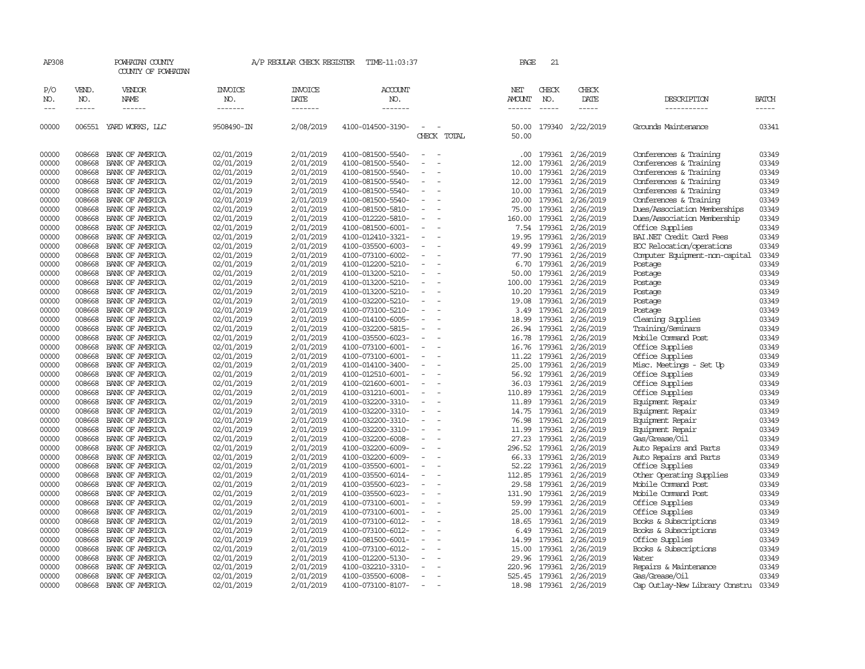| AP308         |              | POWHATAN COUNTY<br>COUNTY OF POWHATAN |                       | A/P REGULAR CHECK REGISTER | TIME-11:03:37         |                                                      | PAGE           | 21           |               |                                |              |
|---------------|--------------|---------------------------------------|-----------------------|----------------------------|-----------------------|------------------------------------------------------|----------------|--------------|---------------|--------------------------------|--------------|
| P/O<br>NO.    | VEND.<br>NO. | VENDOR<br>NAME                        | <b>INVOICE</b><br>NO. | <b>INVOICE</b><br>DATE     | <b>ACCOUNT</b><br>NO. |                                                      | NET<br>AMOUNT  | CHECK<br>NO. | CHECK<br>DATE | DESCRIPTION                    | <b>BATCH</b> |
| $\frac{1}{2}$ | -----        | ------                                | -------               | -------                    | -------               |                                                      |                |              | -----         |                                | -----        |
| 00000         |              | 006551 YARD WORKS, LLC                | 9508490-IN            | 2/08/2019                  | 4100-014500-3190-     | CHECK TOTAL                                          | 50.00<br>50.00 | 179340       | 2/22/2019     | Grounds Maintenance            | 03341        |
| 00000         | 008668       | BANK OF AMERICA                       | 02/01/2019            | 2/01/2019                  | 4100-081500-5540-     | $\overline{\phantom{a}}$                             | .00            | 179361       | 2/26/2019     | Conferences & Training         | 03349        |
| 00000         | 008668       | BANK OF AMERICA                       | 02/01/2019            | 2/01/2019                  | 4100-081500-5540-     |                                                      | 12.00          | 179361       | 2/26/2019     | Conferences & Training         | 03349        |
| 00000         | 008668       | BANK OF AMERICA                       | 02/01/2019            | 2/01/2019                  | 4100-081500-5540-     |                                                      | 10.00          | 179361       | 2/26/2019     | Conferences & Training         | 03349        |
| 00000         | 008668       | BANK OF AMERICA                       | 02/01/2019            | 2/01/2019                  | 4100-081500-5540-     | $\overline{\phantom{a}}$<br>$\sim$                   | 12.00          | 179361       | 2/26/2019     | Conferences & Training         | 03349        |
| 00000         | 008668       | BANK OF AMERICA                       | 02/01/2019            | 2/01/2019                  | 4100-081500-5540-     |                                                      | 10.00          | 179361       | 2/26/2019     | Conferences & Training         | 03349        |
| 00000         | 008668       | BANK OF AMERICA                       | 02/01/2019            | 2/01/2019                  | 4100-081500-5540-     |                                                      | 20.00          | 179361       | 2/26/2019     | Conferences & Training         | 03349        |
| 00000         | 008668       | BANK OF AMERICA                       | 02/01/2019            | 2/01/2019                  | 4100-081500-5810-     |                                                      | 75.00          | 179361       | 2/26/2019     | Dues/Association Memberships   | 03349        |
| 00000         | 008668       | BANK OF AMERICA                       | 02/01/2019            | 2/01/2019                  | 4100-012220-5810-     | $\overline{\phantom{a}}$                             | 160.00         | 179361       | 2/26/2019     | Dues/Association Membership    | 03349        |
| 00000         | 008668       | BANK OF AMERICA                       | 02/01/2019            | 2/01/2019                  | 4100-081500-6001-     | $\overline{\phantom{a}}$                             | 7.54           | 179361       | 2/26/2019     | Office Supplies                | 03349        |
| 00000         | 008668       | BANK OF AMERICA                       | 02/01/2019            | 2/01/2019                  | 4100-012410-3321-     |                                                      | 19.95          | 179361       | 2/26/2019     | BAI.NET Credit Card Fees       | 03349        |
| 00000         | 008668       | BANK OF AMERICA                       | 02/01/2019            | 2/01/2019                  | 4100-035500-6003-     | $\equiv$<br>$\sim$                                   | 49.99          | 179361       | 2/26/2019     | ECC Relocation/operations      | 03349        |
| 00000         | 008668       | BANK OF AMERICA                       | 02/01/2019            | 2/01/2019                  | 4100-073100-6002-     |                                                      | 77.90          | 179361       | 2/26/2019     | Computer Equipment-non-capital | 03349        |
| 00000         | 008668       | BANK OF AMERICA                       | 02/01/2019            | 2/01/2019                  | 4100-012200-5210-     |                                                      | 6.70           | 179361       | 2/26/2019     | Postage                        | 03349        |
| 00000         | 008668       | BANK OF AMERICA                       | 02/01/2019            | 2/01/2019                  | 4100-013200-5210-     |                                                      | 50.00          | 179361       | 2/26/2019     | Postage                        | 03349        |
| 00000         | 008668       | BANK OF AMERICA                       | 02/01/2019            | 2/01/2019                  | 4100-013200-5210-     |                                                      | 100.00         | 179361       | 2/26/2019     | Postage                        | 03349        |
| 00000         | 008668       | BANK OF AMERICA                       | 02/01/2019            | 2/01/2019                  | 4100-013200-5210-     | $\overline{\phantom{a}}$                             | 10.20          | 179361       | 2/26/2019     | Postage                        | 03349        |
| 00000         | 008668       | BANK OF AMERICA                       | 02/01/2019            | 2/01/2019                  | 4100-032200-5210-     |                                                      | 19.08          | 179361       | 2/26/2019     | Postage                        | 03349        |
| 00000         | 008668       | BANK OF AMERICA                       | 02/01/2019            | 2/01/2019                  | 4100-073100-5210-     | $\overline{\phantom{a}}$<br>$\sim$                   | 3.49           | 179361       | 2/26/2019     | Postage                        | 03349        |
| 00000         | 008668       | BANK OF AMERICA                       | 02/01/2019            | 2/01/2019                  | 4100-014100-6005-     |                                                      | 18.99          | 179361       | 2/26/2019     | Cleaning Supplies              | 03349        |
| 00000         | 008668       | BANK OF AMERICA                       | 02/01/2019            | 2/01/2019                  | 4100-032200-5815-     |                                                      | 26.94          | 179361       | 2/26/2019     | Training/Seminars              | 03349        |
| 00000         | 008668       | BANK OF AMERICA                       | 02/01/2019            | 2/01/2019                  | 4100-035500-6023-     |                                                      | 16.78          | 179361       | 2/26/2019     | Mobile Command Post            | 03349        |
| 00000         | 008668       | BANK OF AMERICA                       | 02/01/2019            | 2/01/2019                  | 4100-073100-6001-     |                                                      | 16.76          | 179361       | 2/26/2019     | Office Supplies                | 03349        |
| 00000         | 008668       | BANK OF AMERICA                       | 02/01/2019            | 2/01/2019                  | 4100-073100-6001-     |                                                      | 11.22          | 179361       | 2/26/2019     | Office Supplies                | 03349        |
| 00000         | 008668       | BANK OF AMERICA                       | 02/01/2019            | 2/01/2019                  | 4100-014100-3400-     |                                                      | 25.00          | 179361       | 2/26/2019     | Misc. Meetings - Set Up        | 03349        |
| 00000         | 008668       | BANK OF AMERICA                       | 02/01/2019            | 2/01/2019                  | 4100-012510-6001-     | $\overline{\phantom{a}}$<br>$\overline{\phantom{a}}$ | 56.92          | 179361       | 2/26/2019     | Office Supplies                | 03349        |
| 00000         | 008668       | BANK OF AMERICA                       | 02/01/2019            | 2/01/2019                  | 4100-021600-6001-     |                                                      | 36.03          | 179361       | 2/26/2019     | Office Supplies                | 03349        |
| 00000         | 008668       | BANK OF AMERICA                       | 02/01/2019            | 2/01/2019                  | 4100-031210-6001-     | $\overline{\phantom{a}}$                             | 110.89         | 179361       | 2/26/2019     | Office Supplies                | 03349        |
| 00000         | 008668       | BANK OF AMERICA                       | 02/01/2019            | 2/01/2019                  | 4100-032200-3310-     |                                                      | 11.89          | 179361       | 2/26/2019     | Equipment Repair               | 03349        |
| 00000         | 008668       | BANK OF AMERICA                       | 02/01/2019            | 2/01/2019                  | 4100-032200-3310-     | $\overline{\phantom{a}}$                             | 14.75          | 179361       | 2/26/2019     | Equipment Repair               | 03349        |
| 00000         | 008668       | BANK OF AMERICA                       | 02/01/2019            | 2/01/2019                  | 4100-032200-3310-     | $\overline{\phantom{a}}$                             | 76.98          | 179361       | 2/26/2019     | Equipment Repair               | 03349        |
| 00000         | 008668       | BANK OF AMERICA                       | 02/01/2019            | 2/01/2019                  | 4100-032200-3310-     |                                                      | 11.99          | 179361       | 2/26/2019     | Equipment Repair               | 03349        |
| 00000         | 008668       | BANK OF AMERICA                       | 02/01/2019            | 2/01/2019                  | 4100-032200-6008-     | $\overline{\phantom{a}}$                             | 27.23          | 179361       | 2/26/2019     | Gas/Grease/Oil                 | 03349        |
| 00000         | 008668       | BANK OF AMERICA                       | 02/01/2019            | 2/01/2019                  | 4100-032200-6009-     |                                                      | 296.52         | 179361       | 2/26/2019     | Auto Repairs and Parts         | 03349        |
| 00000         | 008668       | BANK OF AMERICA                       | 02/01/2019            | 2/01/2019                  | 4100-032200-6009-     | $\overline{\phantom{a}}$                             | 66.33          | 179361       | 2/26/2019     | Auto Repairs and Parts         | 03349        |
| 00000         | 008668       | BANK OF AMERICA                       | 02/01/2019            | 2/01/2019                  | 4100-035500-6001-     |                                                      | 52.22          | 179361       | 2/26/2019     | Office Supplies                | 03349        |
| 00000         | 008668       | BANK OF AMERICA                       | 02/01/2019            | 2/01/2019                  | 4100-035500-6014-     | $\sim$                                               | 112.85         | 179361       | 2/26/2019     | Other Operating Supplies       | 03349        |
| 00000         | 008668       | BANK OF AMERICA                       | 02/01/2019            | 2/01/2019                  | 4100-035500-6023-     |                                                      | 29.58          | 179361       | 2/26/2019     | Mobile Command Post            | 03349        |
| 00000         | 008668       | BANK OF AMERICA                       | 02/01/2019            | 2/01/2019                  | 4100-035500-6023-     |                                                      | 131.90         | 179361       | 2/26/2019     | Mobile Command Post            | 03349        |
| 00000         | 008668       | BANK OF AMERICA                       | 02/01/2019            | 2/01/2019                  | 4100-073100-6001-     | $\overline{\phantom{a}}$                             | 59.99          | 179361       | 2/26/2019     | Office Supplies                | 03349        |
| 00000         | 008668       | BANK OF AMERICA                       | 02/01/2019            | 2/01/2019                  | 4100-073100-6001-     |                                                      | 25.00          | 179361       | 2/26/2019     | Office Supplies                | 03349        |
| 00000         | 008668       | BANK OF AMERICA                       | 02/01/2019            | 2/01/2019                  | 4100-073100-6012-     |                                                      | 18.65          | 179361       | 2/26/2019     | Books & Subscriptions          | 03349        |
| 00000         | 008668       | BANK OF AMERICA                       | 02/01/2019            | 2/01/2019                  | 4100-073100-6012-     |                                                      | 6.49           | 179361       | 2/26/2019     | Books & Subscriptions          | 03349        |
| 00000         | 008668       | BANK OF AMERICA                       | 02/01/2019            | 2/01/2019                  | 4100-081500-6001-     |                                                      | 14.99          | 179361       | 2/26/2019     | Office Supplies                | 03349        |
| 00000         | 008668       | BANK OF AMERICA                       | 02/01/2019            | 2/01/2019                  | 4100-073100-6012-     |                                                      | 15.00          | 179361       | 2/26/2019     | Books & Subscriptions          | 03349        |
| 00000         | 008668       | BANK OF AMERICA                       | 02/01/2019            | 2/01/2019                  | 4100-012200-5130-     |                                                      | 29.96          | 179361       | 2/26/2019     | Water                          | 03349        |
| 00000         | 008668       | BANK OF AMERICA                       | 02/01/2019            | 2/01/2019                  | 4100-032210-3310-     |                                                      | 220.96         | 179361       | 2/26/2019     | Repairs & Maintenance          | 03349        |
| 00000         | 008668       | BANK OF AMERICA                       | 02/01/2019            | 2/01/2019                  | 4100-035500-6008-     |                                                      | 525.45         | 179361       | 2/26/2019     | Gas/Grease/Oil                 | 03349        |
| 00000         | 008668       | BANK OF AMERICA                       | 02/01/2019            | 2/01/2019                  | 4100-073100-8107-     | $\overline{\phantom{a}}$<br>$\overline{\phantom{a}}$ | 18.98          | 179361       | 2/26/2019     | Cap Outlay-New Library Constru | 03349        |
|               |              |                                       |                       |                            |                       |                                                      |                |              |               |                                |              |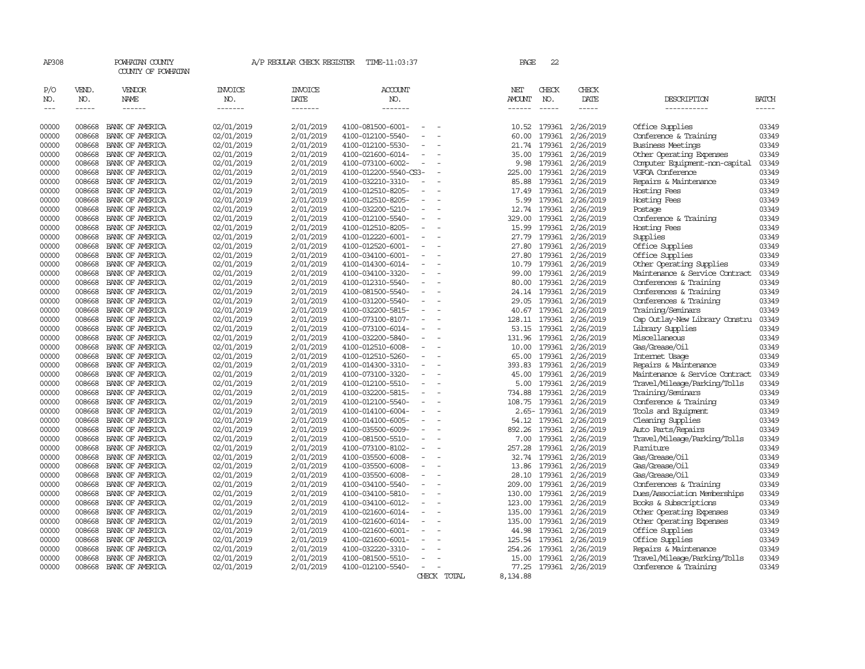| AP308          |                  | POWHATAN COUNTY<br>COUNTY OF POWHATAN                                                                                                                                                                                                                           |                                          | A/P REGULAR CHECK REGISTER                                                                                                                                                                                                                                                                                                                                                                                                                                                                 | TIME-11:03:37                          |                          |             | PAGE                 | 22                          |                        |                                   |                |
|----------------|------------------|-----------------------------------------------------------------------------------------------------------------------------------------------------------------------------------------------------------------------------------------------------------------|------------------------------------------|--------------------------------------------------------------------------------------------------------------------------------------------------------------------------------------------------------------------------------------------------------------------------------------------------------------------------------------------------------------------------------------------------------------------------------------------------------------------------------------------|----------------------------------------|--------------------------|-------------|----------------------|-----------------------------|------------------------|-----------------------------------|----------------|
| P/O<br>NO.     | VEND.<br>NO.     | VENDOR<br><b>NAME</b>                                                                                                                                                                                                                                           | <b>INVOICE</b><br>NO.<br>$- - - - - - -$ | <b>INVOICE</b><br>DATE                                                                                                                                                                                                                                                                                                                                                                                                                                                                     | <b>ACCOUNT</b><br>NO.<br>-------       |                          |             | NET<br><b>AMOUNT</b> | CHECK<br>NO.<br>$- - - - -$ | CHECK<br>DATE          | DESCRIPTION                       | <b>BATCH</b>   |
| $\frac{1}{2}$  | $- - - - -$      | $\begin{tabular}{ccccc} \multicolumn{2}{c }{\multicolumn{2}{c }{\multicolumn{2}{c }{\multicolumn{2}{c}}}{\multicolumn{2}{c }{\multicolumn{2}{c}}}{\multicolumn{2}{c }{\multicolumn{2}{c}}}{\multicolumn{2}{c }{\multicolumn{2}{c}}}\end{tabular} \end{tabular}$ |                                          | $\begin{tabular}{ccccc} \multicolumn{2}{c} {\textbf{1}} & \multicolumn{2}{c} {\textbf{2}} & \multicolumn{2}{c} {\textbf{3}} & \multicolumn{2}{c} {\textbf{4}} & \multicolumn{2}{c} {\textbf{5}} & \multicolumn{2}{c} {\textbf{6}} & \multicolumn{2}{c} {\textbf{7}} & \multicolumn{2}{c} {\textbf{8}} & \multicolumn{2}{c} {\textbf{9}} & \multicolumn{2}{c} {\textbf{1}} & \multicolumn{2}{c} {\textbf{1}} & \multicolumn{2}{c} {\textbf{1}} & \multicolumn{2}{c} {\textbf{1}} & \multic$ |                                        |                          |             | ------               |                             | $- - - - -$            | -----------                       | -----          |
| 00000          | 008668           | BANK OF AMERICA                                                                                                                                                                                                                                                 | 02/01/2019                               | 2/01/2019                                                                                                                                                                                                                                                                                                                                                                                                                                                                                  | 4100-081500-6001-                      |                          |             | 10.52                | 179361                      | 2/26/2019              | Office Supplies                   | 03349          |
| 00000          | 008668           | BANK OF AMERICA                                                                                                                                                                                                                                                 | 02/01/2019                               | 2/01/2019                                                                                                                                                                                                                                                                                                                                                                                                                                                                                  | 4100-012100-5540-                      |                          |             | 60.00                | 179361                      | 2/26/2019              | Conference & Training             | 03349          |
| 00000          | 008668           | BANK OF AMERICA                                                                                                                                                                                                                                                 | 02/01/2019                               | 2/01/2019                                                                                                                                                                                                                                                                                                                                                                                                                                                                                  | 4100-012100-5530-                      | $\overline{a}$           |             | 21.74                | 179361                      | 2/26/2019              | <b>Business Meetings</b>          | 03349          |
| 00000          | 008668           | BANK OF AMERICA                                                                                                                                                                                                                                                 | 02/01/2019                               | 2/01/2019                                                                                                                                                                                                                                                                                                                                                                                                                                                                                  | 4100-021600-6014-                      |                          |             | 35.00                | 179361                      | 2/26/2019              | Other Operating Expenses          | 03349          |
| 00000          | 008668           | BANK OF AMERICA                                                                                                                                                                                                                                                 | 02/01/2019                               | 2/01/2019                                                                                                                                                                                                                                                                                                                                                                                                                                                                                  | 4100-073100-6002-                      |                          |             | 9.98                 | 179361                      | 2/26/2019              | Computer Equipment-non-capital    | 03349          |
| 00000          | 008668           | BANK OF AMERICA                                                                                                                                                                                                                                                 | 02/01/2019                               | 2/01/2019                                                                                                                                                                                                                                                                                                                                                                                                                                                                                  | 4100-012200-5540-CS3-                  |                          |             | 225.00               | 179361                      | 2/26/2019              | VGFOA Conference                  | 03349          |
| 00000          | 008668           | BANK OF AMERICA                                                                                                                                                                                                                                                 | 02/01/2019                               | 2/01/2019                                                                                                                                                                                                                                                                                                                                                                                                                                                                                  | 4100-032210-3310-                      |                          |             | 85.88                | 179361                      | 2/26/2019              | Repairs & Maintenance             | 03349          |
| 00000          | 008668           | BANK OF AMERICA                                                                                                                                                                                                                                                 | 02/01/2019                               | 2/01/2019                                                                                                                                                                                                                                                                                                                                                                                                                                                                                  | 4100-012510-8205-                      |                          |             | 17.49                | 179361                      | 2/26/2019              | Hosting Fees                      | 03349          |
| 00000          | 008668           | BANK OF AMERICA                                                                                                                                                                                                                                                 | 02/01/2019                               | 2/01/2019                                                                                                                                                                                                                                                                                                                                                                                                                                                                                  | 4100-012510-8205-                      |                          |             | 5.99                 | 179361                      | 2/26/2019              | Hosting Fees                      | 03349          |
| 00000          | 008668           | BANK OF AMERICA                                                                                                                                                                                                                                                 | 02/01/2019                               | 2/01/2019                                                                                                                                                                                                                                                                                                                                                                                                                                                                                  | 4100-032200-5210-                      |                          |             | 12.74                | 179361                      | 2/26/2019              | Postage                           | 03349          |
| 00000          | 008668           | BANK OF AMERICA                                                                                                                                                                                                                                                 | 02/01/2019                               | 2/01/2019                                                                                                                                                                                                                                                                                                                                                                                                                                                                                  | 4100-012100-5540-                      |                          |             | 329.00               | 179361                      | 2/26/2019              | Conference & Training             | 03349          |
| 00000          | 008668           | BANK OF AMERICA                                                                                                                                                                                                                                                 | 02/01/2019                               | 2/01/2019                                                                                                                                                                                                                                                                                                                                                                                                                                                                                  | 4100-012510-8205-                      |                          |             | 15.99                | 179361                      | 2/26/2019              | Hosting Fees                      | 03349          |
| 00000          | 008668           | BANK OF AMERICA                                                                                                                                                                                                                                                 | 02/01/2019                               | 2/01/2019                                                                                                                                                                                                                                                                                                                                                                                                                                                                                  | 4100-012220-6001-                      | $\overline{\phantom{a}}$ |             | 27.79                | 179361                      | 2/26/2019              | Supplies                          | 03349          |
| 00000          | 008668           | BANK OF AMERICA                                                                                                                                                                                                                                                 | 02/01/2019                               | 2/01/2019                                                                                                                                                                                                                                                                                                                                                                                                                                                                                  | 4100-012520-6001-                      |                          |             | 27.80                | 179361                      | 2/26/2019              | Office Supplies                   | 03349          |
| 00000          | 008668           | BANK OF AMERICA                                                                                                                                                                                                                                                 | 02/01/2019                               | 2/01/2019                                                                                                                                                                                                                                                                                                                                                                                                                                                                                  | 4100-034100-6001-                      |                          |             | 27.80                | 179361                      | 2/26/2019              | Office Supplies                   | 03349          |
| 00000          | 008668           | BANK OF AMERICA                                                                                                                                                                                                                                                 | 02/01/2019                               | 2/01/2019                                                                                                                                                                                                                                                                                                                                                                                                                                                                                  | 4100-014300-6014-                      | $\equiv$                 |             | 10.79                | 179361                      | 2/26/2019              | Other Operating Supplies          | 03349          |
| 00000          | 008668           | BANK OF AMERICA                                                                                                                                                                                                                                                 | 02/01/2019                               | 2/01/2019                                                                                                                                                                                                                                                                                                                                                                                                                                                                                  | 4100-034100-3320-                      |                          |             | 99.00                | 179361                      | 2/26/2019              | Maintenance & Service Contract    | 03349          |
| 00000          | 008668           | BANK OF AMERICA                                                                                                                                                                                                                                                 | 02/01/2019                               | 2/01/2019                                                                                                                                                                                                                                                                                                                                                                                                                                                                                  | 4100-012310-5540-                      |                          |             | 80.00                | 179361                      | 2/26/2019              | Conferences & Training            | 03349          |
| 00000          | 008668           | BANK OF AMERICA                                                                                                                                                                                                                                                 | 02/01/2019                               | 2/01/2019                                                                                                                                                                                                                                                                                                                                                                                                                                                                                  | 4100-081500-5540-                      | $\equiv$                 |             | 24.14                | 179361                      | 2/26/2019              | Conferences & Training            | 03349          |
| 00000          | 008668           | BANK OF AMERICA                                                                                                                                                                                                                                                 | 02/01/2019                               | 2/01/2019                                                                                                                                                                                                                                                                                                                                                                                                                                                                                  | 4100-031200-5540-                      |                          |             | 29.05                | 179361                      | 2/26/2019              | Conferences & Training            | 03349          |
| 00000          | 008668           | BANK OF AMERICA                                                                                                                                                                                                                                                 | 02/01/2019                               | 2/01/2019                                                                                                                                                                                                                                                                                                                                                                                                                                                                                  | 4100-032200-5815-                      | $\overline{\phantom{a}}$ |             | 40.67                | 179361                      | 2/26/2019              | Training/Seminars                 | 03349          |
| 00000          | 008668           | BANK OF AMERICA                                                                                                                                                                                                                                                 | 02/01/2019                               | 2/01/2019                                                                                                                                                                                                                                                                                                                                                                                                                                                                                  | 4100-073100-8107-                      |                          |             | 128.11               | 179361                      | 2/26/2019              | Cap Outlay-New Library Constru    | 03349          |
| 00000<br>00000 | 008668<br>008668 | BANK OF AMERICA<br>BANK OF AMERICA                                                                                                                                                                                                                              | 02/01/2019                               | 2/01/2019                                                                                                                                                                                                                                                                                                                                                                                                                                                                                  | 4100-073100-6014-<br>4100-032200-5840- |                          |             | 53.15<br>131.96      | 179361<br>179361            | 2/26/2019              | Library Supplies<br>Miscellaneous | 03349<br>03349 |
| 00000          | 008668           | BANK OF AMERICA                                                                                                                                                                                                                                                 | 02/01/2019<br>02/01/2019                 | 2/01/2019<br>2/01/2019                                                                                                                                                                                                                                                                                                                                                                                                                                                                     | 4100-012510-6008-                      |                          |             | 10.00                | 179361                      | 2/26/2019<br>2/26/2019 | Gas/Grease/Oil                    | 03349          |
| 00000          | 008668           | BANK OF AMERICA                                                                                                                                                                                                                                                 | 02/01/2019                               | 2/01/2019                                                                                                                                                                                                                                                                                                                                                                                                                                                                                  | 4100-012510-5260-                      | $\sim$                   |             | 65.00                | 179361                      | 2/26/2019              | Internet Usage                    | 03349          |
| 00000          | 008668           | BANK OF AMERICA                                                                                                                                                                                                                                                 | 02/01/2019                               | 2/01/2019                                                                                                                                                                                                                                                                                                                                                                                                                                                                                  | 4100-014300-3310-                      | $\equiv$                 |             | 393.83               | 179361                      | 2/26/2019              | Repairs & Maintenance             | 03349          |
| 00000          | 008668           | BANK OF AMERICA                                                                                                                                                                                                                                                 | 02/01/2019                               | 2/01/2019                                                                                                                                                                                                                                                                                                                                                                                                                                                                                  | 4100-073100-3320-                      |                          |             | 45.00                | 179361                      | 2/26/2019              | Maintenance & Service Contract    | 03349          |
| 00000          | 008668           | BANK OF AMERICA                                                                                                                                                                                                                                                 | 02/01/2019                               | 2/01/2019                                                                                                                                                                                                                                                                                                                                                                                                                                                                                  | 4100-012100-5510-                      | $\overline{\phantom{a}}$ |             | 5.00                 | 179361                      | 2/26/2019              | Travel/Mileage/Parking/Tolls      | 03349          |
| 00000          | 008668           | BANK OF AMERICA                                                                                                                                                                                                                                                 | 02/01/2019                               | 2/01/2019                                                                                                                                                                                                                                                                                                                                                                                                                                                                                  | 4100-032200-5815-                      | $\sim$                   |             | 734.88               | 179361                      | 2/26/2019              | Training/Seminars                 | 03349          |
| 00000          | 008668           | BANK OF AMERICA                                                                                                                                                                                                                                                 | 02/01/2019                               | 2/01/2019                                                                                                                                                                                                                                                                                                                                                                                                                                                                                  | 4100-012100-5540-                      |                          |             | 108.75               | 179361                      | 2/26/2019              | Conference & Training             | 03349          |
| 00000          | 008668           | BANK OF AMERICA                                                                                                                                                                                                                                                 | 02/01/2019                               | 2/01/2019                                                                                                                                                                                                                                                                                                                                                                                                                                                                                  | 4100-014100-6004-                      | $\overline{\phantom{a}}$ |             |                      | 2.65-179361                 | 2/26/2019              | Tools and Equipment               | 03349          |
| 00000          | 008668           | BANK OF AMERICA                                                                                                                                                                                                                                                 | 02/01/2019                               | 2/01/2019                                                                                                                                                                                                                                                                                                                                                                                                                                                                                  | 4100-014100-6005-                      |                          |             | 54.12                | 179361                      | 2/26/2019              | Cleaning Supplies                 | 03349          |
| 00000          | 008668           | BANK OF AMERICA                                                                                                                                                                                                                                                 | 02/01/2019                               | 2/01/2019                                                                                                                                                                                                                                                                                                                                                                                                                                                                                  | 4100-035500-6009-                      |                          |             | 892.26               | 179361                      | 2/26/2019              | Auto Parts/Repairs                | 03349          |
| 00000          | 008668           | BANK OF AMERICA                                                                                                                                                                                                                                                 | 02/01/2019                               | 2/01/2019                                                                                                                                                                                                                                                                                                                                                                                                                                                                                  | 4100-081500-5510-                      |                          |             | 7.00                 | 179361                      | 2/26/2019              | Travel/Mileage/Parking/Tolls      | 03349          |
| 00000          | 008668           | BANK OF AMERICA                                                                                                                                                                                                                                                 | 02/01/2019                               | 2/01/2019                                                                                                                                                                                                                                                                                                                                                                                                                                                                                  | 4100-073100-8102-                      | $\overline{\phantom{a}}$ |             | 257.28               | 179361                      | 2/26/2019              | Furniture                         | 03349          |
| 00000          | 008668           | BANK OF AMERICA                                                                                                                                                                                                                                                 | 02/01/2019                               | 2/01/2019                                                                                                                                                                                                                                                                                                                                                                                                                                                                                  | 4100-035500-6008-                      | $\overline{a}$           |             | 32.74                | 179361                      | 2/26/2019              | Gas/Grease/Oil                    | 03349          |
| 00000          | 008668           | BANK OF AMERICA                                                                                                                                                                                                                                                 | 02/01/2019                               | 2/01/2019                                                                                                                                                                                                                                                                                                                                                                                                                                                                                  | 4100-035500-6008-                      |                          |             | 13.86                | 179361                      | 2/26/2019              | Gas/Grease/Oil                    | 03349          |
| 00000          | 008668           | BANK OF AMERICA                                                                                                                                                                                                                                                 | 02/01/2019                               | 2/01/2019                                                                                                                                                                                                                                                                                                                                                                                                                                                                                  | 4100-035500-6008-                      | $\sim$                   |             | 28.10                | 179361                      | 2/26/2019              | Gas/Grease/Oil                    | 03349          |
| 00000          | 008668           | BANK OF AMERICA                                                                                                                                                                                                                                                 | 02/01/2019                               | 2/01/2019                                                                                                                                                                                                                                                                                                                                                                                                                                                                                  | 4100-034100-5540-                      |                          |             | 209.00               | 179361                      | 2/26/2019              | Conferences & Training            | 03349          |
| 00000          | 008668           | BANK OF AMERICA                                                                                                                                                                                                                                                 | 02/01/2019                               | 2/01/2019                                                                                                                                                                                                                                                                                                                                                                                                                                                                                  | 4100-034100-5810-                      |                          |             | 130.00               | 179361                      | 2/26/2019              | Dues/Association Memberships      | 03349          |
| 00000          | 008668           | BANK OF AMERICA                                                                                                                                                                                                                                                 | 02/01/2019                               | 2/01/2019                                                                                                                                                                                                                                                                                                                                                                                                                                                                                  | 4100-034100-6012-                      | L,                       |             | 123.00               | 179361                      | 2/26/2019              | Books & Subscriptions             | 03349          |
| 00000          | 008668           | BANK OF AMERICA                                                                                                                                                                                                                                                 | 02/01/2019                               | 2/01/2019                                                                                                                                                                                                                                                                                                                                                                                                                                                                                  | 4100-021600-6014-                      |                          |             | 135.00               | 179361                      | 2/26/2019              | Other Operating Expenses          | 03349          |
| 00000          | 008668           | BANK OF AMERICA                                                                                                                                                                                                                                                 | 02/01/2019                               | 2/01/2019                                                                                                                                                                                                                                                                                                                                                                                                                                                                                  | 4100-021600-6014-                      |                          |             | 135.00               | 179361                      | 2/26/2019              | Other Operating Expenses          | 03349          |
| 00000          | 008668           | BANK OF AMERICA                                                                                                                                                                                                                                                 | 02/01/2019                               | 2/01/2019                                                                                                                                                                                                                                                                                                                                                                                                                                                                                  | 4100-021600-6001-                      |                          |             | 44.98                | 179361                      | 2/26/2019              | Office Supplies                   | 03349          |
| 00000          | 008668           | BANK OF AMERICA                                                                                                                                                                                                                                                 | 02/01/2019                               | 2/01/2019                                                                                                                                                                                                                                                                                                                                                                                                                                                                                  | 4100-021600-6001-                      | $\overline{\phantom{a}}$ |             | 125.54               | 179361                      | 2/26/2019              | Office Supplies                   | 03349          |
| 00000          | 008668           | BANK OF AMERICA                                                                                                                                                                                                                                                 | 02/01/2019                               | 2/01/2019                                                                                                                                                                                                                                                                                                                                                                                                                                                                                  | 4100-032220-3310-                      |                          |             | 254.26               | 179361                      | 2/26/2019              | Repairs & Maintenance             | 03349          |
| 00000          | 008668           | BANK OF AMERICA                                                                                                                                                                                                                                                 | 02/01/2019                               | 2/01/2019                                                                                                                                                                                                                                                                                                                                                                                                                                                                                  | 4100-081500-5510-                      |                          |             | 15.00                | 179361                      | 2/26/2019              | Travel/Mileage/Parking/Tolls      | 03349          |
| 00000          | 008668           | BANK OF AMERICA                                                                                                                                                                                                                                                 | 02/01/2019                               | 2/01/2019                                                                                                                                                                                                                                                                                                                                                                                                                                                                                  | 4100-012100-5540-                      | $\equiv$                 |             | 77.25                |                             | 179361 2/26/2019       | Conference & Training             | 03349          |
|                |                  |                                                                                                                                                                                                                                                                 |                                          |                                                                                                                                                                                                                                                                                                                                                                                                                                                                                            |                                        |                          | CHECK TOTAL | 8,134.88             |                             |                        |                                   |                |
|                |                  |                                                                                                                                                                                                                                                                 |                                          |                                                                                                                                                                                                                                                                                                                                                                                                                                                                                            |                                        |                          |             |                      |                             |                        |                                   |                |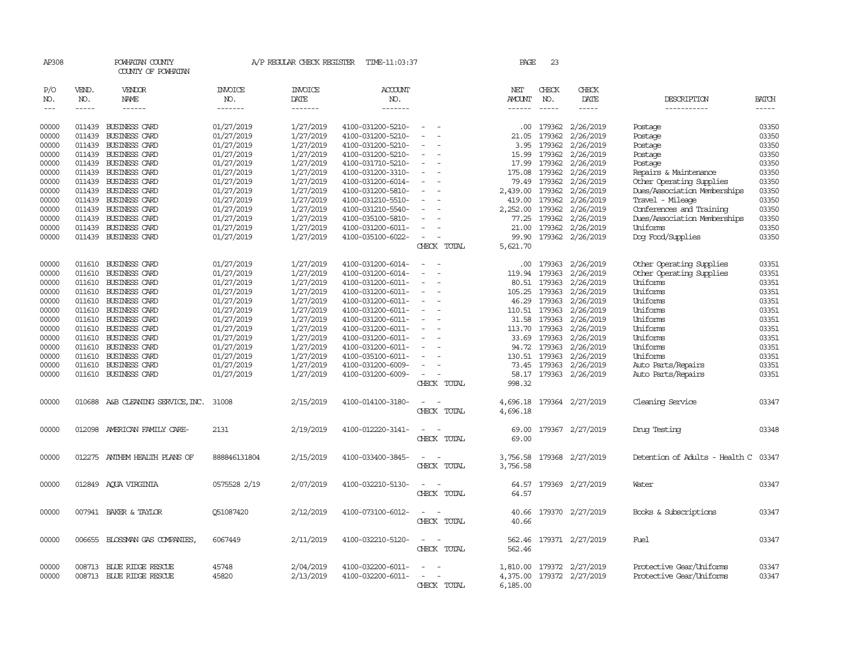| AP308               |              | POWHATAN COUNTY<br>COUNTY OF POWHATAN |                | A/P REGULAR CHECK REGISTER | TIME-11:03:37         |                                                      | PAGE          | 23           |                           |                                          |                |
|---------------------|--------------|---------------------------------------|----------------|----------------------------|-----------------------|------------------------------------------------------|---------------|--------------|---------------------------|------------------------------------------|----------------|
| P/O<br>NO.          | VEND.<br>NO. | VENDOR<br>NAME                        | INVOICE<br>NO. | <b>INVOICE</b><br>DATE     | <b>ACCOUNT</b><br>NO. |                                                      | NET<br>AMOUNT | CHECK<br>NO. | CHECK<br>DATE             | DESCRIPTION                              | <b>BATCH</b>   |
| $\qquad \qquad - -$ | $- - - - -$  | ------                                | -------        | -------                    | -------               |                                                      | $- - - - - -$ | $- - - - -$  | -----                     | -----------                              | $- - - - -$    |
| 00000               |              | 011439 BUSINESS CARD                  | 01/27/2019     | 1/27/2019                  | 4100-031200-5210-     |                                                      |               | .00 179362   | 2/26/2019                 | Postage                                  | 03350          |
| 00000               | 011439       | <b>BUSINESS CARD</b>                  | 01/27/2019     | 1/27/2019                  | 4100-031200-5210-     |                                                      | 21.05         | 179362       | 2/26/2019                 | Postage                                  | 03350          |
| 00000               |              | 011439 BUSINESS CARD                  | 01/27/2019     | 1/27/2019                  | 4100-031200-5210-     |                                                      | 3.95          | 179362       | 2/26/2019                 | Postage                                  | 03350          |
| 00000               |              | 011439 BUSINESS CARD                  | 01/27/2019     | 1/27/2019                  | 4100-031200-5210-     | $\overline{\phantom{a}}$                             | 15.99         | 179362       | 2/26/2019                 | Postage                                  | 03350          |
| 00000               |              | 011439 BUSINESS CARD                  | 01/27/2019     | 1/27/2019                  | 4100-031710-5210-     | $\overline{\phantom{a}}$                             | 17.99         | 179362       | 2/26/2019                 | Postage                                  | 03350          |
| 00000               |              | 011439 BUSINESS CARD                  | 01/27/2019     | 1/27/2019                  | 4100-031200-3310-     |                                                      | 175.08        | 179362       | 2/26/2019                 | Repairs & Maintenance                    | 03350          |
| 00000               |              | 011439 BUSINESS CARD                  | 01/27/2019     | 1/27/2019                  | 4100-031200-6014-     |                                                      | 79.49         | 179362       | 2/26/2019                 | Other Operating Supplies                 | 03350          |
| 00000               |              | 011439 BUSINESS CARD                  | 01/27/2019     | 1/27/2019                  | 4100-031200-5810-     |                                                      | 2,439.00      | 179362       | 2/26/2019                 | Dues/Association Memberships             | 03350          |
| 00000               |              | 011439 BUSINESS CARD                  | 01/27/2019     | 1/27/2019                  | 4100-031210-5510-     |                                                      | 419.00        | 179362       | 2/26/2019                 | Travel - Mileage                         | 03350          |
| 00000               |              | 011439 BUSINESS CARD                  | 01/27/2019     | 1/27/2019                  | 4100-031210-5540-     |                                                      | 2,252.00      | 179362       | 2/26/2019                 | Conferences and Training                 | 03350          |
|                     |              |                                       |                |                            |                       |                                                      | 77.25         | 179362       | 2/26/2019                 |                                          | 03350          |
| 00000               |              | 011439 BUSINESS CARD                  | 01/27/2019     | 1/27/2019                  | 4100-035100-5810-     |                                                      |               |              |                           | Dues/Association Memberships<br>Uniforms |                |
| 00000               |              | 011439 BUSINESS CARD                  | 01/27/2019     | 1/27/2019                  | 4100-031200-6011-     | $\sim$                                               | 21.00         | 179362       | 2/26/2019                 |                                          | 03350<br>03350 |
| 00000               |              | 011439 BUSINESS CARD                  | 01/27/2019     | 1/27/2019                  | 4100-035100-6022-     | $\overline{\phantom{a}}$                             | 99.90         |              | 179362 2/26/2019          | Dog Food/Supplies                        |                |
|                     |              |                                       |                |                            |                       | CHECK TOTAL                                          | 5,621.70      |              |                           |                                          |                |
| 00000               | 011610       | <b>BUSINESS CARD</b>                  | 01/27/2019     | 1/27/2019                  | 4100-031200-6014-     |                                                      | .00.          | 179363       | 2/26/2019                 | Other Operating Supplies                 | 03351          |
| 00000               | 011610       | <b>BUSINESS CARD</b>                  | 01/27/2019     | 1/27/2019                  | 4100-031200-6014-     |                                                      | 119.94        | 179363       | 2/26/2019                 | Other Operating Supplies                 | 03351          |
| 00000               | 011610       | <b>BUSINESS CARD</b>                  | 01/27/2019     | 1/27/2019                  | 4100-031200-6011-     | $\overline{\phantom{a}}$                             | 80.51         | 179363       | 2/26/2019                 | Uniforms                                 | 03351          |
| 00000               |              | 011610 BUSINESS CARD                  | 01/27/2019     | 1/27/2019                  | 4100-031200-6011-     |                                                      | 105.25        | 179363       | 2/26/2019                 | Uniforms                                 | 03351          |
| 00000               |              | 011610 BUSINESS CARD                  | 01/27/2019     | 1/27/2019                  | 4100-031200-6011-     | $\overline{\phantom{a}}$                             | 46.29         | 179363       | 2/26/2019                 | Uniforms                                 | 03351          |
| 00000               |              | 011610 BUSINESS CARD                  | 01/27/2019     | 1/27/2019                  | 4100-031200-6011-     | $\overline{\phantom{a}}$                             | 110.51        | 179363       | 2/26/2019                 | Uniforms                                 | 03351          |
| 00000               |              | 011610 BUSINESS CARD                  | 01/27/2019     | 1/27/2019                  | 4100-031200-6011-     | $\overline{\phantom{a}}$                             | 31.58         | 179363       | 2/26/2019                 | Uniforms                                 | 03351          |
| 00000               | 011610       | <b>BUSINESS CARD</b>                  | 01/27/2019     | 1/27/2019                  | 4100-031200-6011-     |                                                      | 113.70        | 179363       | 2/26/2019                 | Uniforms                                 | 03351          |
| 00000               | 011610       | BUSINESS CARD                         | 01/27/2019     | 1/27/2019                  | 4100-031200-6011-     |                                                      | 33.69         | 179363       | 2/26/2019                 | Uniforms                                 | 03351          |
| 00000               |              | 011610 BUSINESS CARD                  | 01/27/2019     | 1/27/2019                  | 4100-031200-6011-     | $\overline{\phantom{a}}$                             |               | 94.72 179363 | 2/26/2019                 | Uniforms                                 | 03351          |
| 00000               |              | 011610 BUSINESS CARD                  | 01/27/2019     | 1/27/2019                  | 4100-035100-6011-     |                                                      | 130.51        | 179363       | 2/26/2019                 | Uniforms                                 | 03351          |
| 00000               |              | 011610 BUSINESS CARD                  | 01/27/2019     | 1/27/2019                  | 4100-031200-6009-     |                                                      |               | 73.45 179363 | 2/26/2019                 | Auto Parts/Repairs                       | 03351          |
| 00000               |              | 011610 BUSINESS CARD                  | 01/27/2019     | 1/27/2019                  | 4100-031200-6009-     |                                                      |               |              | 58.17 179363 2/26/2019    | Auto Parts/Repairs                       | 03351          |
|                     |              |                                       |                |                            |                       | CHECK TOTAL                                          | 998.32        |              |                           |                                          |                |
| 00000               |              |                                       | 31008          | 2/15/2019                  | 4100-014100-3180-     |                                                      | 4,696.18      |              | 179364 2/27/2019          | Cleaning Service                         | 03347          |
|                     |              | 010688 A&B CLEANING SERVICE, INC.     |                |                            |                       | CHECK TOTAL                                          | 4,696.18      |              |                           |                                          |                |
|                     |              |                                       |                |                            |                       |                                                      |               |              |                           |                                          |                |
| 00000               | 012098       | AMERICAN FAMILY CARE-                 | 2131           | 2/19/2019                  | 4100-012220-3141-     |                                                      | 69.00         |              | 179367 2/27/2019          | Druq Testinq                             | 03348          |
|                     |              |                                       |                |                            |                       | CHECK TOTAL                                          | 69.00         |              |                           |                                          |                |
|                     |              |                                       |                |                            |                       |                                                      |               |              |                           |                                          |                |
| 00000               | 012275       | ANTHEM HEALTH PLANS OF                | 888846131804   | 2/15/2019                  | 4100-033400-3845-     |                                                      | 3,756.58      |              | 179368 2/27/2019          | Detention of Adults - Health C           | 03347          |
|                     |              |                                       |                |                            |                       | CHECK TOTAL                                          | 3,756.58      |              |                           |                                          |                |
|                     |              |                                       |                |                            |                       |                                                      |               |              |                           |                                          |                |
| 00000               | 012849       | AOUA VIRGINIA                         | 0575528 2/19   | 2/07/2019                  | 4100-032210-5130-     |                                                      | 64.57         |              | 179369 2/27/2019          | Water                                    | 03347          |
|                     |              |                                       |                |                            |                       | CHECK TOTAL                                          | 64.57         |              |                           |                                          |                |
|                     |              |                                       |                |                            |                       |                                                      |               |              |                           |                                          |                |
| 00000               |              | 007941 BAKER & TAYLOR                 | 051087420      | 2/12/2019                  | 4100-073100-6012-     |                                                      | 40.66         |              | 179370 2/27/2019          | Books & Subscriptions                    | 03347          |
|                     |              |                                       |                |                            |                       | CHECK TOTAL                                          | 40.66         |              |                           |                                          |                |
| 00000               |              | 006655 BLOSSMAN GAS COMPANIES,        | 6067449        | 2/11/2019                  | 4100-032210-5120-     | $\overline{\phantom{a}}$                             | 562.46        |              | 179371 2/27/2019          | Fuel                                     | 03347          |
|                     |              |                                       |                |                            |                       | CHECK TOTAL                                          | 562.46        |              |                           |                                          |                |
|                     |              |                                       |                |                            |                       |                                                      |               |              |                           |                                          |                |
| 00000               |              | 008713 BLUE RIDGE RESCUE              | 45748          | 2/04/2019                  | 4100-032200-6011-     |                                                      |               |              | 1,810.00 179372 2/27/2019 | Protective Gear/Uniforms                 | 03347          |
| 00000               |              | 008713 BLUE RIDGE RESCUE              | 45820          | 2/13/2019                  | 4100-032200-6011-     | $\overline{\phantom{a}}$<br>$\overline{\phantom{a}}$ | 4,375.00      |              | 179372 2/27/2019          | Protective Gear/Uniforms                 | 03347          |
|                     |              |                                       |                |                            |                       | CHECK TOTAL                                          | 6,185.00      |              |                           |                                          |                |
|                     |              |                                       |                |                            |                       |                                                      |               |              |                           |                                          |                |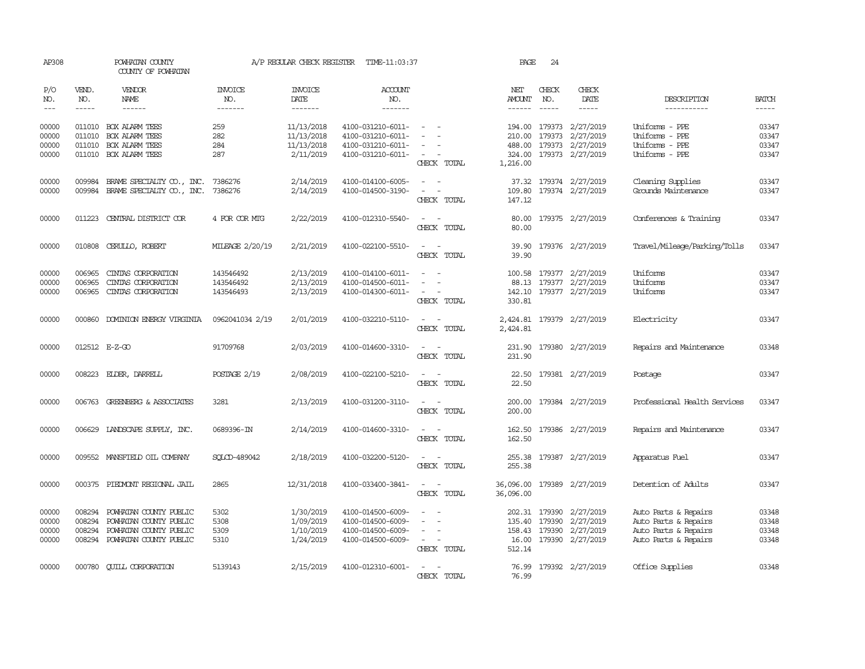| AP308                            |                             | POWHATAN COUNTY<br>COUNTY OF POWHATAN                                                                       |                                     | A/P REGULAR CHECK REGISTER                       | TIME-11:03:37                                                                    |                                                                               | PAGE                      | 24                                       |                                                                        |                                                                                              |                                  |
|----------------------------------|-----------------------------|-------------------------------------------------------------------------------------------------------------|-------------------------------------|--------------------------------------------------|----------------------------------------------------------------------------------|-------------------------------------------------------------------------------|---------------------------|------------------------------------------|------------------------------------------------------------------------|----------------------------------------------------------------------------------------------|----------------------------------|
| P/O<br>NO.<br>$\frac{1}{2}$      | VEND.<br>NO.<br>$- - - - -$ | <b>VENDOR</b><br>NAME<br>$- - - - - -$                                                                      | <b>INVOICE</b><br>NO.<br>-------    | <b>INVOICE</b><br>DATE<br>-------                | <b>ACCOUNT</b><br>NO.<br>-------                                                 |                                                                               | NET<br>AMOUNT             | CHECK<br>NO.<br>$\frac{1}{2}$            | CHECK<br>DATE<br>$- - - - -$                                           | DESCRIPTION<br>-----------                                                                   | <b>BATCH</b><br>$- - - - -$      |
| 00000<br>00000<br>00000          | 011010<br>011010            | 011010 BOX ALARM TEES<br>BOX ALARM TEES<br><b>BOX ALARM TEES</b>                                            | 259<br>282<br>284                   | 11/13/2018<br>11/13/2018<br>11/13/2018           | 4100-031210-6011-<br>4100-031210-6011-<br>4100-031210-6011-                      | $\sim$                                                                        | 488.00                    |                                          | 194.00 179373 2/27/2019<br>210.00 179373 2/27/2019<br>179373 2/27/2019 | Uniforms - PPE<br>Uniforms - PPE<br>Uniforms - PPE                                           | 03347<br>03347<br>03347          |
| 00000                            |                             | 011010 BOX ALARM TEES                                                                                       | 287                                 | 2/11/2019                                        | 4100-031210-6011-                                                                | $\overline{\phantom{a}}$<br>CHECK TOTAL                                       | 324.00<br>1,216.00        |                                          | 179373 2/27/2019                                                       | Uniforms - PPE                                                                               | 03347                            |
| 00000<br>00000                   | 009984                      | BRAME SPECIALITY CO., INC.<br>009984 BRAME SPECIALITY CO., INC.                                             | 7386276<br>7386276                  | 2/14/2019<br>2/14/2019                           | 4100-014100-6005-<br>4100-014500-3190-                                           | $\sim$ $ -$<br>$\sim$<br>$\sim$<br>CHECK TOTAL                                | 109.80<br>147.12          |                                          | 37.32 179374 2/27/2019<br>179374 2/27/2019                             | Cleaning Supplies<br>Grounds Maintenance                                                     | 03347<br>03347                   |
| 00000                            | 011223                      | CENTRAL DISTRICT COR                                                                                        | 4 FOR COR MIG                       | 2/22/2019                                        | 4100-012310-5540-                                                                | $\overline{a}$<br>$\sim$<br>CHECK TOTAL                                       | 80.00<br>80.00            |                                          | 179375 2/27/2019                                                       | Conferences & Training                                                                       | 03347                            |
| 00000                            |                             | 010808 CERULLO, ROBERT                                                                                      | MILEAGE 2/20/19                     | 2/21/2019                                        | 4100-022100-5510-                                                                | $\sim$<br>CHECK TOTAL                                                         | 39.90<br>39.90            |                                          | 179376 2/27/2019                                                       | Travel/Mileage/Parking/Tolls                                                                 | 03347                            |
| 00000<br>00000<br>00000          | 006965<br>006965            | CINTAS CORPORATION<br>CINIAS CORPORATION<br>006965 CINIAS CORPORATION                                       | 143546492<br>143546492<br>143546493 | 2/13/2019<br>2/13/2019<br>2/13/2019              | 4100-014100-6011-<br>4100-014500-6011-<br>4100-014300-6011-                      | $\hspace{0.1mm}-\hspace{0.1mm}$<br>$\sim$<br>$\sim$ 100 $\sim$<br>CHECK TOTAL | 100.58<br>88.13<br>330.81 |                                          | 179377 2/27/2019<br>179377 2/27/2019<br>142.10 179377 2/27/2019        | Uniforms<br>Uniforms<br>Uniforms                                                             | 03347<br>03347<br>03347          |
| 00000                            |                             | 000860 DOMINION ENERGY VIRGINIA                                                                             | 0962041034 2/19                     | 2/01/2019                                        | 4100-032210-5110-                                                                | $\sim$ $ \sim$<br>CHECK TOTAL                                                 | 2,424.81                  |                                          | 2,424.81 179379 2/27/2019                                              | Electricity                                                                                  | 03347                            |
| 00000                            |                             | 012512 E-Z-GO                                                                                               | 91709768                            | 2/03/2019                                        | 4100-014600-3310-                                                                | $\sim$ $\sim$<br>CHECK TOTAL                                                  | 231.90                    |                                          | 231.90 179380 2/27/2019                                                | Repairs and Maintenance                                                                      | 03348                            |
| 00000                            |                             | 008223 ELDER, DARRELL                                                                                       | POSTAGE 2/19                        | 2/08/2019                                        | 4100-022100-5210-                                                                | $\sim$ 100 $\sim$<br>CHECK TOTAL                                              | 22.50                     |                                          | 22.50 179381 2/27/2019                                                 | Postage                                                                                      | 03347                            |
| 00000                            |                             | 006763 GREENBERG & ASSOCIATES                                                                               | 3281                                | 2/13/2019                                        | 4100-031200-3110-                                                                | $\sim$<br>CHECK TOTAL                                                         | 200.00<br>200.00          |                                          | 179384 2/27/2019                                                       | Professional Health Services                                                                 | 03347                            |
| 00000                            | 006629                      | LANDSCAPE SUPPLY, INC.                                                                                      | 0689396-IN                          | 2/14/2019                                        | 4100-014600-3310-                                                                | $\overline{\phantom{0}}$<br>$\sim$<br>CHECK TOTAL                             | 162.50<br>162.50          |                                          | 179386 2/27/2019                                                       | Repairs and Maintenance                                                                      | 03347                            |
| 00000                            |                             | 009552 MANSFIELD OIL COMPANY                                                                                | SOLCD-489042                        | 2/18/2019                                        | 4100-032200-5120-                                                                | $\hspace{0.1mm}-\hspace{0.1mm}$<br>$\sim$<br>CHECK TOTAL                      | 255.38<br>255.38          |                                          | 179387 2/27/2019                                                       | Apparatus Fuel                                                                               | 03347                            |
| 00000                            |                             | 000375 PIEDMONT REGIONAL JAIL                                                                               | 2865                                | 12/31/2018                                       | 4100-033400-3841-                                                                | $\hspace{0.1mm}-\hspace{0.1mm}$<br>$\sim$<br>CHECK TOTAL                      | 36,096.00<br>36,096.00    |                                          | 179389 2/27/2019                                                       | Detention of Adults                                                                          | 03347                            |
| 00000<br>00000<br>00000<br>00000 | 008294<br>008294<br>008294  | POWHATAN COUNTY PUBLIC<br>POWHATAN COUNTY PUBLIC<br>POWHATAN COUNTY PUBLIC<br>008294 POWHATAN COUNTY PUBLIC | 5302<br>5308<br>5309<br>5310        | 1/30/2019<br>1/09/2019<br>1/10/2019<br>1/24/2019 | 4100-014500-6009-<br>4100-014500-6009-<br>4100-014500-6009-<br>4100-014500-6009- | $\sim$<br>$\overline{\phantom{a}}$<br>CHECK TOTAL                             | 135.40<br>512.14          | 202.31 179390<br>179390<br>158.43 179390 | 2/27/2019<br>2/27/2019<br>2/27/2019<br>16.00 179390 2/27/2019          | Auto Parts & Repairs<br>Auto Parts & Repairs<br>Auto Parts & Repairs<br>Auto Parts & Repairs | 03348<br>03348<br>03348<br>03348 |
| 00000                            |                             | 000780 CUILL CORPORATION                                                                                    | 5139143                             | 2/15/2019                                        | 4100-012310-6001-                                                                | CHECK TOTAL                                                                   | 76.99                     |                                          | 76.99 179392 2/27/2019                                                 | Office Supplies                                                                              | 03348                            |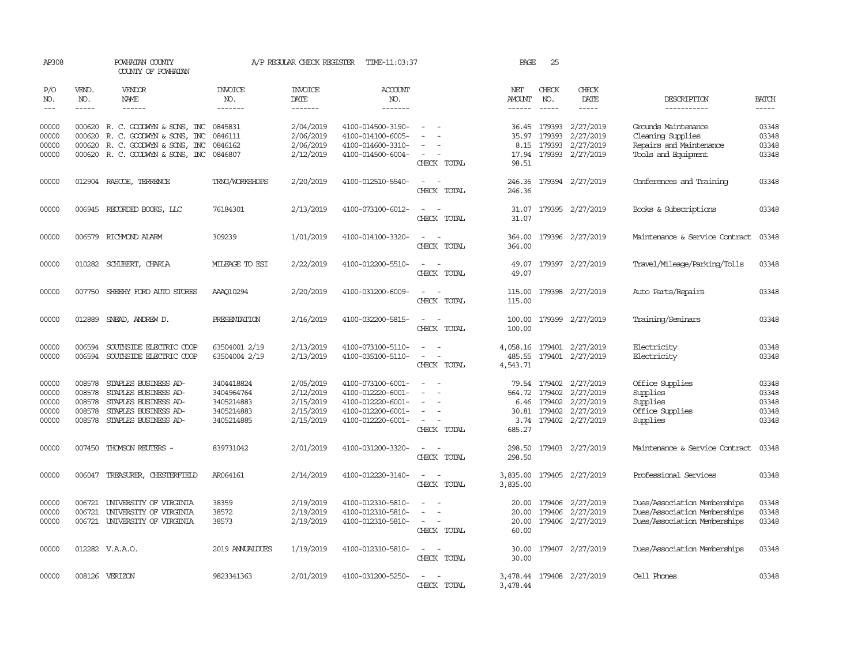| AP308                                     |                                                | POWHATAN COUNTY<br>COUNTY OF POWHATAN                                                                                          |                                                                    | A/P REGULAR CHECK REGISTER                                    | TIME-11:03:37                                                                                         |                                                               | PAGE                                     | 25                                          |                                                                      |                                                                                              |                                           |
|-------------------------------------------|------------------------------------------------|--------------------------------------------------------------------------------------------------------------------------------|--------------------------------------------------------------------|---------------------------------------------------------------|-------------------------------------------------------------------------------------------------------|---------------------------------------------------------------|------------------------------------------|---------------------------------------------|----------------------------------------------------------------------|----------------------------------------------------------------------------------------------|-------------------------------------------|
| P/O<br>NO.<br>$---$                       | VEND.<br>NO.<br>$- - - - -$                    | <b>VENDOR</b><br>NAME<br>$- - - - - -$                                                                                         | <b>INVOICE</b><br>NO.<br>-------                                   | <b>INVOICE</b><br>DATE<br>-------                             | ACCOUNT<br>NO.<br>-------                                                                             |                                                               | NET<br><b>AMOUNT</b>                     | CHECK<br>NO.<br>$\frac{1}{2}$               | CHECK<br>DATE<br>-----                                               | DESCRIPTION<br>-----------                                                                   | <b>BATCH</b><br>$- - - - -$               |
| 00000<br>00000<br>00000<br>00000          | 000620<br>000620                               | 000620 R. C. GOODWYN & SONS, INC<br>R. C. GOODWYN & SONS, INC<br>R. C. GOODWYN & SONS, INC<br>000620 R. C. GOODWYN & SONS, INC | 0845831<br>0846111<br>0846162<br>0846807                           | 2/04/2019<br>2/06/2019<br>2/06/2019<br>2/12/2019              | 4100-014500-3190-<br>4100-014100-6005-<br>4100-014600-3310-<br>4100-014500-6004-                      | CHECK TOTAL                                                   | 36.45<br>35.97<br>8.15<br>98.51          | 179393<br>179393<br>179393                  | 2/27/2019<br>2/27/2019<br>2/27/2019<br>17.94 179393 2/27/2019        | Grounds Maintenance<br>Cleaning Supplies<br>Repairs and Maintenance<br>Tools and Equipment   | 03348<br>03348<br>03348<br>03348          |
| 00000                                     |                                                | 012904 RASCOE, TERRENCE                                                                                                        | TRNG/WORKSHOPS                                                     | 2/20/2019                                                     | 4100-012510-5540-                                                                                     | $\sim$<br>$\sim$<br>CHECK TOTAL                               | 246.36<br>246.36                         |                                             | 179394 2/27/2019                                                     | Conferences and Training                                                                     | 03348                                     |
| 00000                                     |                                                | 006945 RECORDED BOOKS, LLC                                                                                                     | 76184301                                                           | 2/13/2019                                                     | 4100-073100-6012-                                                                                     | CHECK TOTAL                                                   | 31.07                                    |                                             | 31.07 179395 2/27/2019                                               | Books & Subscriptions                                                                        | 03348                                     |
| 00000                                     |                                                | 006579 RICHMOND ALARM                                                                                                          | 309239                                                             | 1/01/2019                                                     | 4100-014100-3320-                                                                                     | $\sim$<br>CHECK TOTAL                                         | 364.00<br>364.00                         |                                             | 179396 2/27/2019                                                     | Maintenance & Service Contract                                                               | 03348                                     |
| 00000                                     |                                                | 010282 SCHUBERT, CHARLA                                                                                                        | MILEAGE TO ESI                                                     | 2/22/2019                                                     | 4100-012200-5510-                                                                                     | CHECK TOTAL                                                   | 49.07<br>49.07                           |                                             | 179397 2/27/2019                                                     | Travel/Mileage/Parking/Tolls                                                                 | 03348                                     |
| 00000                                     | 007750                                         | SHEEHY FORD AUTO STORES                                                                                                        | AAA010294                                                          | 2/20/2019                                                     | 4100-031200-6009-                                                                                     | $\equiv$<br>$\sim$<br>CHECK TOTAL                             | 115.00<br>115.00                         |                                             | 179398 2/27/2019                                                     | Auto Parts/Repairs                                                                           | 03348                                     |
| 00000                                     | 012889                                         | SNEAD, ANDREW D.                                                                                                               | PRESENTATION                                                       | 2/16/2019                                                     | 4100-032200-5815-                                                                                     | CHECK TOTAL                                                   | 100.00<br>100.00                         |                                             | 179399 2/27/2019                                                     | Training/Seminars                                                                            | 03348                                     |
| 00000<br>00000                            | 006594<br>006594                               | SOUTHSIDE ELECTRIC COOP<br>SOUTHSIDE ELECTRIC COOP                                                                             | 63504001 2/19<br>63504004 2/19                                     | 2/13/2019<br>2/13/2019                                        | 4100-073100-5110-<br>4100-035100-5110-                                                                | $\sim$<br>$\equiv$<br>$\overline{\phantom{a}}$<br>CHECK TOTAL | 485.55<br>4,543.71                       | 179401                                      | 4,058.16 179401 2/27/2019<br>2/27/2019                               | Electricity<br>Electricity                                                                   | 03348<br>03348                            |
| 00000<br>00000<br>00000<br>00000<br>00000 | 008578<br>008578<br>008578<br>008578<br>008578 | STAPLES BUSINESS AD-<br>STAPLES BUSINESS AD-<br>STAPLES BUSINESS AD-<br>STAPLES BUSINESS AD-<br>STAPLES BUSINESS AD-           | 3404418824<br>3404964764<br>3405214883<br>3405214883<br>3405214885 | 2/05/2019<br>2/12/2019<br>2/15/2019<br>2/15/2019<br>2/15/2019 | 4100-073100-6001-<br>4100-012220-6001-<br>4100-012220-6001-<br>4100-012200-6001-<br>4100-012220-6001- | $\equiv$<br>CHECK TOTAL                                       | 79.54<br>6.46<br>30.81<br>3.74<br>685.27 | 179402<br>564.72 179402<br>179402<br>179402 | 2/27/2019<br>2/27/2019<br>2/27/2019<br>2/27/2019<br>179402 2/27/2019 | Office Supplies<br>Supplies<br>Supplies<br>Office Supplies<br>Supplies                       | 03348<br>03348<br>03348<br>03348<br>03348 |
| 00000                                     | 007450                                         | THOMSON REUTERS -                                                                                                              | 839731042                                                          | 2/01/2019                                                     | 4100-031200-3320-                                                                                     | $\overline{a}$<br>CHECK TOTAL                                 | 298.50<br>298.50                         |                                             | 179403 2/27/2019                                                     | Maintenance & Service Contract                                                               | 03348                                     |
| 00000                                     |                                                | 006047 TREASURER, CHESTERFIELD                                                                                                 | AR064161                                                           | 2/14/2019                                                     | 4100-012220-3140-                                                                                     | $\overline{\phantom{a}}$<br>. —<br>CHECK TOTAL                | 3,835.00<br>3,835.00                     |                                             | 179405 2/27/2019                                                     | Professional Services                                                                        | 03348                                     |
| 00000<br>00000<br>00000                   | 006721<br>006721                               | UNIVERSITY OF VIRGINIA<br>UNIVERSITY OF VIRGINIA<br>006721 UNIVERSITY OF VIRGINIA                                              | 38359<br>38572<br>38573                                            | 2/19/2019<br>2/19/2019<br>2/19/2019                           | 4100-012310-5810-<br>4100-012310-5810-<br>4100-012310-5810-                                           | $\equiv$<br>$\sim$<br>$\overline{\phantom{a}}$<br>CHECK TOTAL | 20.00<br>20.00<br>20.00<br>60.00         | 179406<br>179406                            | 2/27/2019<br>2/27/2019<br>179406 2/27/2019                           | Dues/Association Memberships<br>Dues/Association Memberships<br>Dues/Association Memberships | 03348<br>03348<br>03348                   |
| 00000                                     |                                                | 012282 V.A.A.O.                                                                                                                | 2019 ANNUALDUES                                                    | 1/19/2019                                                     | 4100-012310-5810-                                                                                     | CHECK TOTAL                                                   | 30.00<br>30.00                           |                                             | 179407 2/27/2019                                                     | Dues/Association Memberships                                                                 | 03348                                     |
| 00000                                     |                                                | 008126 VERIZON                                                                                                                 | 9823341363                                                         | 2/01/2019                                                     | 4100-031200-5250-                                                                                     | CHECK TOTAL                                                   | 3,478.44                                 |                                             | 3,478.44 179408 2/27/2019                                            | Cell Phones                                                                                  | 03348                                     |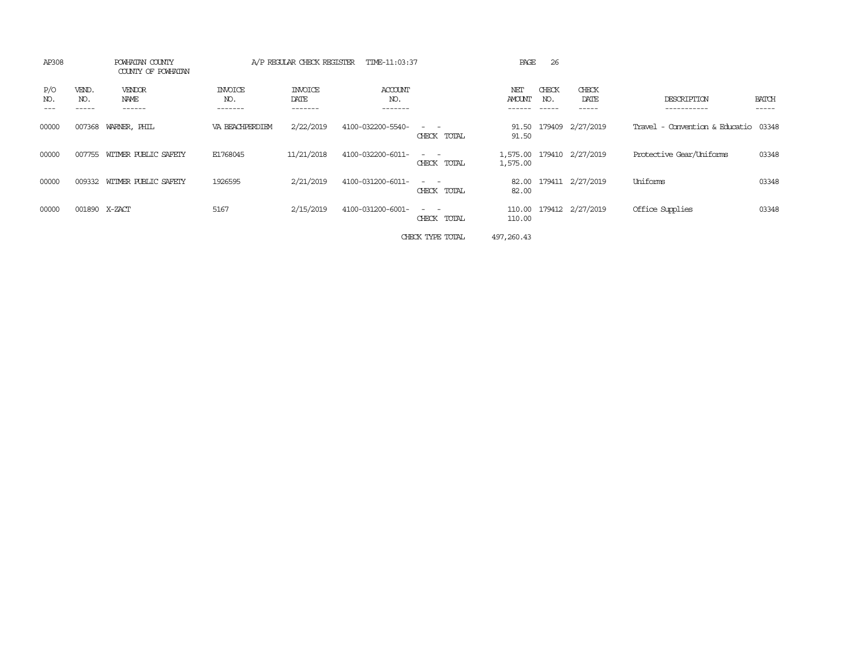| AP308                               | POWHATAN COUNTY<br>COUNTY OF POWHATAN |                           | A/P REGULAR CHECK REGISTER | TIME-11:03:37                    |                                                                                                                                          | PAGE             | 26                    |                           |                                      |                       |
|-------------------------------------|---------------------------------------|---------------------------|----------------------------|----------------------------------|------------------------------------------------------------------------------------------------------------------------------------------|------------------|-----------------------|---------------------------|--------------------------------------|-----------------------|
| P/O<br>VEND.<br>NO.<br>NO.<br>----- | VENDOR<br>NAME<br>------              | INVOICE<br>NO.<br>------- | INVOICE<br>DATE<br>------- | <b>ACCOUNT</b><br>NO.<br>------- |                                                                                                                                          | NET<br>AMOUNT    | CHECK<br>NO.<br>----- | CHECK<br>DATE<br>------   | DESCRIPTION<br>-----------           | <b>BATCH</b><br>----- |
| 00000<br>007368                     | WARNER, PHIL                          | VA BEACHPERDIEM           | 2/22/2019                  | 4100-032200-5540-                | CHECK TOTAL                                                                                                                              | 91.50<br>91.50   |                       | 179409 2/27/2019          | Travel - Convention & Educatio 03348 |                       |
| 00000<br>007755                     | WITMER PUBLIC SAFETY                  | E1768045                  | 11/21/2018                 | 4100-032200-6011-                | CHECK TOTAL                                                                                                                              | 1,575.00         |                       | 1,575.00 179410 2/27/2019 | Protective Gear/Uniforms             | 03348                 |
| 00000<br>009332                     | WITMER PUBLIC SAFETY                  | 1926595                   | 2/21/2019                  | 4100-031200-6011-                | $\frac{1}{2} \left( \frac{1}{2} \right) \left( \frac{1}{2} \right) \left( \frac{1}{2} \right) \left( \frac{1}{2} \right)$<br>CHECK TOTAL | 82.00<br>82.00   |                       | 179411 2/27/2019          | Uniforms                             | 03348                 |
| 00000                               | 001890 X-ZACT                         | 5167                      | 2/15/2019                  | 4100-031200-6001-                | $\sim$ $ \sim$<br>CHECK TOTAL                                                                                                            | 110.00<br>110.00 |                       | 179412 2/27/2019          | Office Supplies                      | 03348                 |
|                                     |                                       |                           |                            |                                  | CHECK TYPE TOTAL                                                                                                                         | 497,260.43       |                       |                           |                                      |                       |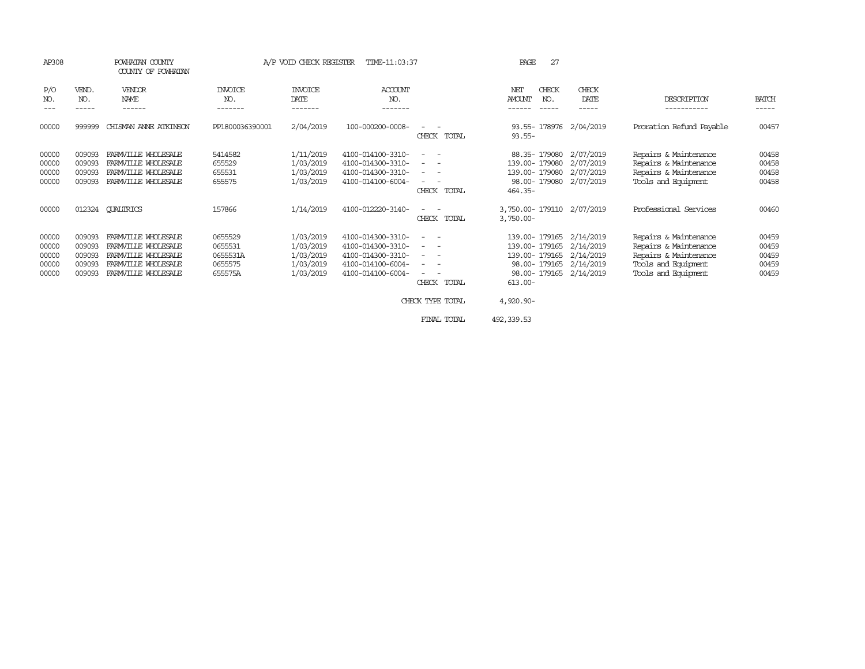| AP308                                     | COUNTY OF POWHATAN                             |                                                                                                                 | POWHATAN COUNTY<br>A/P VOID CHECK REGISTER<br>TIME-11:03:37 |                                                               |                                                                                                       |                                                                                                                                                                                                                                                                                                                            | 27<br>PAGE                                                                                                                                                     |                                     |                                                                                                                       |                                           |  |
|-------------------------------------------|------------------------------------------------|-----------------------------------------------------------------------------------------------------------------|-------------------------------------------------------------|---------------------------------------------------------------|-------------------------------------------------------------------------------------------------------|----------------------------------------------------------------------------------------------------------------------------------------------------------------------------------------------------------------------------------------------------------------------------------------------------------------------------|----------------------------------------------------------------------------------------------------------------------------------------------------------------|-------------------------------------|-----------------------------------------------------------------------------------------------------------------------|-------------------------------------------|--|
| P/O<br>NO.<br>---                         | VEND.<br>NO.<br>$- - - - -$                    | <b>VENDOR</b><br><b>NAME</b><br>------                                                                          | <b>INVOICE</b><br>NO.<br>-------                            | <b>INVOICE</b><br>DATE<br>-------                             | ACCOUNT<br>NO.<br>-------                                                                             |                                                                                                                                                                                                                                                                                                                            | NET<br>CHECK<br><b>AMOUNT</b><br>NO.<br>------<br>$- - - - - -$                                                                                                | CHECK<br>DATE<br>-----              | DESCRIPTION<br>-----------                                                                                            | <b>BATCH</b><br>-----                     |  |
| 00000                                     | 999999                                         | CHISMAN ANNE ATKINSON                                                                                           | PP1800036390001                                             | 2/04/2019                                                     | 100-000200-0008-                                                                                      | CHECK TOTAL                                                                                                                                                                                                                                                                                                                | 93.55-178976 2/04/2019<br>$93.55 -$                                                                                                                            |                                     | Proration Refund Payable                                                                                              | 00457                                     |  |
| 00000<br>00000<br>00000<br>00000          | 009093<br>009093<br>009093<br>009093           | FARMVILLE WHOLESALE<br>FARMVILLE WHOLESALE<br>FARMVILLE WHOLESALE<br>FARMVILLE WHOLESALE                        | 5414582<br>655529<br>655531<br>655575                       | 1/11/2019<br>1/03/2019<br>1/03/2019<br>1/03/2019              | 4100-014100-3310-<br>4100-014300-3310-<br>4100-014300-3310-<br>4100-014100-6004-                      | $\frac{1}{2} \left( \frac{1}{2} \right) \left( \frac{1}{2} \right) \left( \frac{1}{2} \right) \left( \frac{1}{2} \right)$<br>CHECK TOTAL                                                                                                                                                                                   | 88.35-179080<br>139.00- 179080<br>139.00-179080<br>98.00-179080 2/07/2019<br>$464.35-$                                                                         | 2/07/2019<br>2/07/2019<br>2/07/2019 | Repairs & Maintenance<br>Repairs & Maintenance<br>Repairs & Maintenance<br>Tools and Equipment                        | 00458<br>00458<br>00458<br>00458          |  |
| 00000                                     |                                                | 012324 QUALIRICS                                                                                                | 157866                                                      | 1/14/2019                                                     | 4100-012220-3140-                                                                                     | CHECK TOTAL                                                                                                                                                                                                                                                                                                                | 3,750.00-179110 2/07/2019<br>$3,750.00 -$                                                                                                                      |                                     | Professional Services                                                                                                 | 00460                                     |  |
| 00000<br>00000<br>00000<br>00000<br>00000 | 009093<br>009093<br>009093<br>009093<br>009093 | FARMVILLE WHOLFSALE<br>FARMVILLE WHOLFSALE<br>FARMVILLE WHOLESALE<br>FARMVILLE WHOLESALE<br>FARMVILLE WHOLESALE | 0655529<br>0655531<br>0655531A<br>0655575<br>655575A        | 1/03/2019<br>1/03/2019<br>1/03/2019<br>1/03/2019<br>1/03/2019 | 4100-014300-3310-<br>4100-014300-3310-<br>4100-014300-3310-<br>4100-014100-6004-<br>4100-014100-6004- | $\sim$<br>$\frac{1}{2} \left( \frac{1}{2} \right) \left( \frac{1}{2} \right) = \frac{1}{2} \left( \frac{1}{2} \right)$<br>$\frac{1}{2} \left( \frac{1}{2} \right) \left( \frac{1}{2} \right) \left( \frac{1}{2} \right) \left( \frac{1}{2} \right)$<br>$ -$<br>$\overline{\phantom{a}}$<br>CHECK TOTAL<br>CHECK TYPE TOTAL | 139.00-179165 2/14/2019<br>139.00-179165 2/14/2019<br>139.00-179165 2/14/2019<br>98.00-179165 2/14/2019<br>98.00-179165 2/14/2019<br>$613.00 -$<br>$4,920.90-$ |                                     | Repairs & Maintenance<br>Repairs & Maintenance<br>Repairs & Maintenance<br>Tools and Equipment<br>Tools and Equipment | 00459<br>00459<br>00459<br>00459<br>00459 |  |
|                                           |                                                |                                                                                                                 |                                                             |                                                               |                                                                                                       | FINAL TOTAL                                                                                                                                                                                                                                                                                                                | 492, 339.53                                                                                                                                                    |                                     |                                                                                                                       |                                           |  |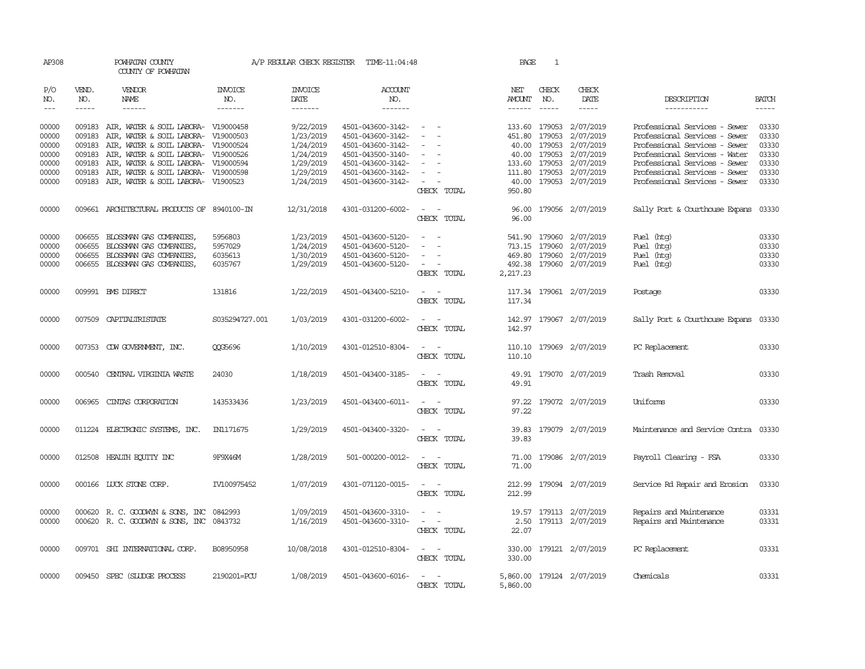| AP308 |                      | POWHATAN COUNTY<br>COUNTY OF POWHATAN                                                                                                                                                                                                                                                                                                                                                                                                                                              |                | A/P REGULAR CHECK REGISTER | TIME-11:04:48     |                                                                                                              | PAGE          | 1           |                           |                                |                                                                                                                                                                                                                                                                                                                                                                                                                                                                                     |
|-------|----------------------|------------------------------------------------------------------------------------------------------------------------------------------------------------------------------------------------------------------------------------------------------------------------------------------------------------------------------------------------------------------------------------------------------------------------------------------------------------------------------------|----------------|----------------------------|-------------------|--------------------------------------------------------------------------------------------------------------|---------------|-------------|---------------------------|--------------------------------|-------------------------------------------------------------------------------------------------------------------------------------------------------------------------------------------------------------------------------------------------------------------------------------------------------------------------------------------------------------------------------------------------------------------------------------------------------------------------------------|
| P/O   | VEND.                | <b>VENDOR</b>                                                                                                                                                                                                                                                                                                                                                                                                                                                                      | <b>INVOICE</b> | <b>INVOICE</b>             | <b>ACCOUNT</b>    |                                                                                                              | NET           | CHECK       | CHECK                     |                                |                                                                                                                                                                                                                                                                                                                                                                                                                                                                                     |
| NO.   | NO.<br>$\frac{1}{2}$ | NAME<br>$\frac{1}{2} \left( \frac{1}{2} \right) \left( \frac{1}{2} \right) \left( \frac{1}{2} \right) \left( \frac{1}{2} \right) \left( \frac{1}{2} \right) \left( \frac{1}{2} \right) \left( \frac{1}{2} \right) \left( \frac{1}{2} \right) \left( \frac{1}{2} \right) \left( \frac{1}{2} \right) \left( \frac{1}{2} \right) \left( \frac{1}{2} \right) \left( \frac{1}{2} \right) \left( \frac{1}{2} \right) \left( \frac{1}{2} \right) \left( \frac{1}{2} \right) \left( \frac$ | NO.<br>------- | DATE                       | NO.<br>-------    |                                                                                                              | AMOUNT        | NO.         | DATE                      | DESCRIPTION                    | <b>BATCH</b>                                                                                                                                                                                                                                                                                                                                                                                                                                                                        |
| $---$ |                      |                                                                                                                                                                                                                                                                                                                                                                                                                                                                                    |                | -------                    |                   |                                                                                                              | $- - - - - -$ | $- - - - -$ | $- - - - -$               | -----------                    | $\begin{tabular}{ccccc} \multicolumn{2}{c}{} & \multicolumn{2}{c}{} & \multicolumn{2}{c}{} & \multicolumn{2}{c}{} & \multicolumn{2}{c}{} & \multicolumn{2}{c}{} & \multicolumn{2}{c}{} & \multicolumn{2}{c}{} & \multicolumn{2}{c}{} & \multicolumn{2}{c}{} & \multicolumn{2}{c}{} & \multicolumn{2}{c}{} & \multicolumn{2}{c}{} & \multicolumn{2}{c}{} & \multicolumn{2}{c}{} & \multicolumn{2}{c}{} & \multicolumn{2}{c}{} & \multicolumn{2}{c}{} & \multicolumn{2}{c}{} & \mult$ |
| 00000 |                      | 009183 AIR, WATER & SOIL LABORA- V19000458                                                                                                                                                                                                                                                                                                                                                                                                                                         |                | 9/22/2019                  | 4501-043600-3142- | $\sim$                                                                                                       |               |             | 133.60 179053 2/07/2019   | Professional Services - Sewer  | 03330                                                                                                                                                                                                                                                                                                                                                                                                                                                                               |
| 00000 | 009183               | AIR, WATER & SOIL LABORA- V19000503                                                                                                                                                                                                                                                                                                                                                                                                                                                |                | 1/23/2019                  | 4501-043600-3142- |                                                                                                              | 451.80        | 179053      | 2/07/2019                 | Professional Services - Sewer  | 03330                                                                                                                                                                                                                                                                                                                                                                                                                                                                               |
| 00000 | 009183               | AIR, WATER & SOIL LABORA- V19000524                                                                                                                                                                                                                                                                                                                                                                                                                                                |                | 1/24/2019                  | 4501-043600-3142- |                                                                                                              |               |             | 40.00 179053 2/07/2019    | Professional Services - Sewer  | 03330                                                                                                                                                                                                                                                                                                                                                                                                                                                                               |
| 00000 | 009183               | AIR, WATER & SOIL LABORA- V19000526                                                                                                                                                                                                                                                                                                                                                                                                                                                |                | 1/24/2019                  | 4501-043500-3140- | $\sim$                                                                                                       |               |             | 40.00 179053 2/07/2019    | Professional Services - Water  | 03330                                                                                                                                                                                                                                                                                                                                                                                                                                                                               |
| 00000 | 009183               | AIR, WATER & SOIL LABORA- V19000594                                                                                                                                                                                                                                                                                                                                                                                                                                                |                | 1/29/2019                  | 4501-043600-3142- |                                                                                                              |               |             | 133.60 179053 2/07/2019   | Professional Services - Sewer  | 03330                                                                                                                                                                                                                                                                                                                                                                                                                                                                               |
|       |                      |                                                                                                                                                                                                                                                                                                                                                                                                                                                                                    |                |                            |                   |                                                                                                              |               |             |                           |                                |                                                                                                                                                                                                                                                                                                                                                                                                                                                                                     |
| 00000 | 009183               | AIR, WATER & SOIL LABORA- V19000598                                                                                                                                                                                                                                                                                                                                                                                                                                                |                | 1/29/2019                  | 4501-043600-3142- | $\overline{\phantom{a}}$                                                                                     |               |             | 111.80 179053 2/07/2019   | Professional Services - Sewer  | 03330                                                                                                                                                                                                                                                                                                                                                                                                                                                                               |
| 00000 |                      | 009183 AIR, WATER & SOIL LABORA- V1900523                                                                                                                                                                                                                                                                                                                                                                                                                                          |                | 1/24/2019                  | 4501-043600-3142- |                                                                                                              |               |             | 40.00 179053 2/07/2019    | Professional Services - Sewer  | 03330                                                                                                                                                                                                                                                                                                                                                                                                                                                                               |
|       |                      |                                                                                                                                                                                                                                                                                                                                                                                                                                                                                    |                |                            |                   | CHECK TOTAL                                                                                                  | 950.80        |             |                           |                                |                                                                                                                                                                                                                                                                                                                                                                                                                                                                                     |
| 00000 |                      | 009661 ARCHITECTURAL PRODUCTS OF 8940100-IN                                                                                                                                                                                                                                                                                                                                                                                                                                        |                | 12/31/2018                 | 4301-031200-6002- | $\sim$ $ \sim$                                                                                               |               |             | 96.00 179056 2/07/2019    | Sally Port & Courthouse Expans | 03330                                                                                                                                                                                                                                                                                                                                                                                                                                                                               |
|       |                      |                                                                                                                                                                                                                                                                                                                                                                                                                                                                                    |                |                            |                   | CHECK TOTAL                                                                                                  | 96.00         |             |                           |                                |                                                                                                                                                                                                                                                                                                                                                                                                                                                                                     |
|       |                      |                                                                                                                                                                                                                                                                                                                                                                                                                                                                                    |                |                            |                   |                                                                                                              |               |             |                           |                                |                                                                                                                                                                                                                                                                                                                                                                                                                                                                                     |
| 00000 | 006655               | BLOSSMAN GAS COMPANIES,                                                                                                                                                                                                                                                                                                                                                                                                                                                            | 5956803        | 1/23/2019                  | 4501-043600-5120- |                                                                                                              |               |             | 541.90 179060 2/07/2019   | Fuel (htg)                     | 03330                                                                                                                                                                                                                                                                                                                                                                                                                                                                               |
| 00000 | 006655               | BLOSSMAN GAS COMPANIES,                                                                                                                                                                                                                                                                                                                                                                                                                                                            | 5957029        | 1/24/2019                  | 4501-043600-5120- |                                                                                                              | 713.15        |             | 179060 2/07/2019          | Fuel (htg)                     | 03330                                                                                                                                                                                                                                                                                                                                                                                                                                                                               |
| 00000 | 006655               | BLOSSMAN GAS COMPANIES,                                                                                                                                                                                                                                                                                                                                                                                                                                                            | 6035613        | 1/30/2019                  | 4501-043600-5120- |                                                                                                              | 469.80        |             | 179060 2/07/2019          | Fuel (htg)                     | 03330                                                                                                                                                                                                                                                                                                                                                                                                                                                                               |
| 00000 |                      | 006655 BLOSSMAN GAS COMPANIES,                                                                                                                                                                                                                                                                                                                                                                                                                                                     | 6035767        | 1/29/2019                  | 4501-043600-5120- | $\sim$                                                                                                       |               |             | 492.38 179060 2/07/2019   | Fuel (htg)                     | 03330                                                                                                                                                                                                                                                                                                                                                                                                                                                                               |
|       |                      |                                                                                                                                                                                                                                                                                                                                                                                                                                                                                    |                |                            |                   | CHECK TOTAL                                                                                                  | 2,217.23      |             |                           |                                |                                                                                                                                                                                                                                                                                                                                                                                                                                                                                     |
|       |                      |                                                                                                                                                                                                                                                                                                                                                                                                                                                                                    |                |                            |                   |                                                                                                              |               |             |                           |                                |                                                                                                                                                                                                                                                                                                                                                                                                                                                                                     |
| 00000 |                      | 009991 BMS DIRECT                                                                                                                                                                                                                                                                                                                                                                                                                                                                  | 131816         | 1/22/2019                  | 4501-043400-5210- | $\overline{a}$<br>$\sim$                                                                                     | 117.34        |             | 179061 2/07/2019          | Postage                        | 03330                                                                                                                                                                                                                                                                                                                                                                                                                                                                               |
|       |                      |                                                                                                                                                                                                                                                                                                                                                                                                                                                                                    |                |                            |                   | CHECK TOTAL                                                                                                  | 117.34        |             |                           |                                |                                                                                                                                                                                                                                                                                                                                                                                                                                                                                     |
| 00000 |                      | 007509 CAPITALIRISTATE                                                                                                                                                                                                                                                                                                                                                                                                                                                             | S035294727.001 | 1/03/2019                  | 4301-031200-6002- |                                                                                                              | 142.97        |             | 179067 2/07/2019          | Sally Port & Courthouse Expans | 03330                                                                                                                                                                                                                                                                                                                                                                                                                                                                               |
|       |                      |                                                                                                                                                                                                                                                                                                                                                                                                                                                                                    |                |                            |                   | CHECK TOTAL                                                                                                  | 142.97        |             |                           |                                |                                                                                                                                                                                                                                                                                                                                                                                                                                                                                     |
|       |                      |                                                                                                                                                                                                                                                                                                                                                                                                                                                                                    |                |                            |                   |                                                                                                              |               |             |                           |                                |                                                                                                                                                                                                                                                                                                                                                                                                                                                                                     |
| 00000 |                      | 007353 CDW GOVERNMENT, INC.                                                                                                                                                                                                                                                                                                                                                                                                                                                        | <b>CCG5696</b> | 1/10/2019                  | 4301-012510-8304- | $\frac{1}{2} \left( \frac{1}{2} \right) \left( \frac{1}{2} \right) = \frac{1}{2} \left( \frac{1}{2} \right)$ |               |             | 110.10 179069 2/07/2019   | PC Replacement                 | 03330                                                                                                                                                                                                                                                                                                                                                                                                                                                                               |
|       |                      |                                                                                                                                                                                                                                                                                                                                                                                                                                                                                    |                |                            |                   | CHECK TOTAL                                                                                                  | 110.10        |             |                           |                                |                                                                                                                                                                                                                                                                                                                                                                                                                                                                                     |
|       |                      |                                                                                                                                                                                                                                                                                                                                                                                                                                                                                    |                |                            |                   |                                                                                                              |               |             |                           |                                |                                                                                                                                                                                                                                                                                                                                                                                                                                                                                     |
| 00000 |                      | 000540 CENTRAL VIRGINIA WASTE                                                                                                                                                                                                                                                                                                                                                                                                                                                      | 24030          | 1/18/2019                  | 4501-043400-3185- |                                                                                                              |               |             | 49.91 179070 2/07/2019    | Trash Removal                  | 03330                                                                                                                                                                                                                                                                                                                                                                                                                                                                               |
|       |                      |                                                                                                                                                                                                                                                                                                                                                                                                                                                                                    |                |                            |                   | CHECK TOTAL                                                                                                  | 49.91         |             |                           |                                |                                                                                                                                                                                                                                                                                                                                                                                                                                                                                     |
|       |                      |                                                                                                                                                                                                                                                                                                                                                                                                                                                                                    |                |                            |                   |                                                                                                              |               |             |                           |                                |                                                                                                                                                                                                                                                                                                                                                                                                                                                                                     |
| 00000 | 006965               | CINIAS CORPORATION                                                                                                                                                                                                                                                                                                                                                                                                                                                                 | 143533436      | 1/23/2019                  | 4501-043400-6011- | $\sim$ $\sim$                                                                                                |               |             | 97.22 179072 2/07/2019    | Uniforms                       | 03330                                                                                                                                                                                                                                                                                                                                                                                                                                                                               |
|       |                      |                                                                                                                                                                                                                                                                                                                                                                                                                                                                                    |                |                            |                   | CHECK TOTAL                                                                                                  | 97.22         |             |                           |                                |                                                                                                                                                                                                                                                                                                                                                                                                                                                                                     |
| 00000 |                      | 011224 ELECTRONIC SYSTEMS, INC.                                                                                                                                                                                                                                                                                                                                                                                                                                                    | IN1171675      | 1/29/2019                  | 4501-043400-3320- |                                                                                                              |               |             | 39.83 179079 2/07/2019    | Maintenance and Service Contra | 03330                                                                                                                                                                                                                                                                                                                                                                                                                                                                               |
|       |                      |                                                                                                                                                                                                                                                                                                                                                                                                                                                                                    |                |                            |                   | CHECK TOTAL                                                                                                  | 39.83         |             |                           |                                |                                                                                                                                                                                                                                                                                                                                                                                                                                                                                     |
|       |                      |                                                                                                                                                                                                                                                                                                                                                                                                                                                                                    |                |                            |                   |                                                                                                              |               |             |                           |                                |                                                                                                                                                                                                                                                                                                                                                                                                                                                                                     |
| 00000 |                      | 012508 HEALTH ECUTTY INC                                                                                                                                                                                                                                                                                                                                                                                                                                                           | 9F9X46M        | 1/28/2019                  | 501-000200-0012-  |                                                                                                              |               |             | 71.00 179086 2/07/2019    | Payroll Clearing - FSA         | 03330                                                                                                                                                                                                                                                                                                                                                                                                                                                                               |
|       |                      |                                                                                                                                                                                                                                                                                                                                                                                                                                                                                    |                |                            |                   | CHECK TOTAL                                                                                                  | 71.00         |             |                           |                                |                                                                                                                                                                                                                                                                                                                                                                                                                                                                                     |
|       |                      |                                                                                                                                                                                                                                                                                                                                                                                                                                                                                    |                |                            |                   |                                                                                                              |               |             |                           |                                |                                                                                                                                                                                                                                                                                                                                                                                                                                                                                     |
| 00000 |                      | 000166 LUCK STONE CORP.                                                                                                                                                                                                                                                                                                                                                                                                                                                            | IV100975452    | 1/07/2019                  | 4301-071120-0015- |                                                                                                              | 212.99        |             | 179094 2/07/2019          | Service Rd Repair and Erosion  | 03330                                                                                                                                                                                                                                                                                                                                                                                                                                                                               |
|       |                      |                                                                                                                                                                                                                                                                                                                                                                                                                                                                                    |                |                            |                   | CHECK TOTAL                                                                                                  | 212.99        |             |                           |                                |                                                                                                                                                                                                                                                                                                                                                                                                                                                                                     |
|       |                      |                                                                                                                                                                                                                                                                                                                                                                                                                                                                                    |                |                            |                   |                                                                                                              |               |             |                           |                                |                                                                                                                                                                                                                                                                                                                                                                                                                                                                                     |
| 00000 |                      | 000620 R. C. GOODWYN & SONS, INC                                                                                                                                                                                                                                                                                                                                                                                                                                                   | 0842993        | 1/09/2019                  | 4501-043600-3310- | $\sim$ 100 $\sim$                                                                                            | 19.57         |             | 179113 2/07/2019          | Repairs and Maintenance        | 03331                                                                                                                                                                                                                                                                                                                                                                                                                                                                               |
| 00000 |                      | 000620 R.C. GOODWYN & SONS, INC 0843732                                                                                                                                                                                                                                                                                                                                                                                                                                            |                | 1/16/2019                  | 4501-043600-3310- | $\sim$ $\sim$                                                                                                |               |             | 2.50 179113 2/07/2019     | Repairs and Maintenance        | 03331                                                                                                                                                                                                                                                                                                                                                                                                                                                                               |
|       |                      |                                                                                                                                                                                                                                                                                                                                                                                                                                                                                    |                |                            |                   | CHECK TOTAL                                                                                                  | 22.07         |             |                           |                                |                                                                                                                                                                                                                                                                                                                                                                                                                                                                                     |
| 00000 |                      | 009701 SHI INTERNATIONAL CORP.                                                                                                                                                                                                                                                                                                                                                                                                                                                     | B08950958      | 10/08/2018                 | 4301-012510-8304- | $\sim$                                                                                                       | 330.00        |             | 179121 2/07/2019          | PC Replacement                 | 03331                                                                                                                                                                                                                                                                                                                                                                                                                                                                               |
|       |                      |                                                                                                                                                                                                                                                                                                                                                                                                                                                                                    |                |                            |                   | CHECK TOTAL                                                                                                  | 330.00        |             |                           |                                |                                                                                                                                                                                                                                                                                                                                                                                                                                                                                     |
|       |                      |                                                                                                                                                                                                                                                                                                                                                                                                                                                                                    |                |                            |                   |                                                                                                              |               |             |                           |                                |                                                                                                                                                                                                                                                                                                                                                                                                                                                                                     |
| 00000 |                      | 009450 SPEC (SILIDGE PROCESS                                                                                                                                                                                                                                                                                                                                                                                                                                                       | 2190201=PCU    | 1/08/2019                  | 4501-043600-6016- | $\sim$                                                                                                       |               |             | 5,860.00 179124 2/07/2019 | Chemicals                      | 03331                                                                                                                                                                                                                                                                                                                                                                                                                                                                               |
|       |                      |                                                                                                                                                                                                                                                                                                                                                                                                                                                                                    |                |                            |                   | CHECK TOTAL                                                                                                  | 5,860.00      |             |                           |                                |                                                                                                                                                                                                                                                                                                                                                                                                                                                                                     |
|       |                      |                                                                                                                                                                                                                                                                                                                                                                                                                                                                                    |                |                            |                   |                                                                                                              |               |             |                           |                                |                                                                                                                                                                                                                                                                                                                                                                                                                                                                                     |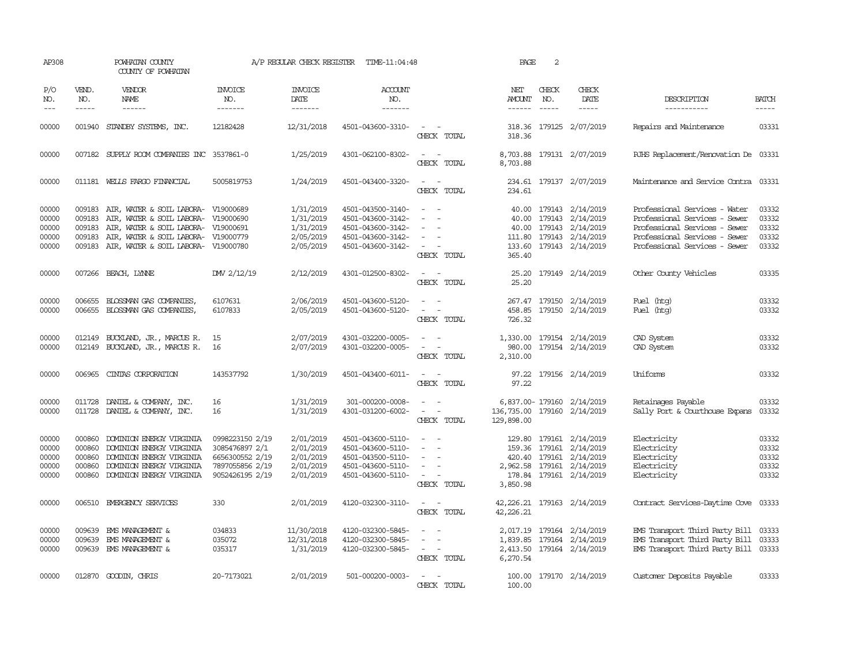| AP308                                     |                                      | POWHATAN COUNTY<br>COUNTY OF POWHATAN                                                                                                                                                                                |                                                                                            | A/P REGULAR CHECK REGISTER                                    | TIME-11:04:48                                                                                         |                                                                                                                             | PAGE                           | 2            |                                                                                                                                       |                                                                                                                                                                   |                                           |
|-------------------------------------------|--------------------------------------|----------------------------------------------------------------------------------------------------------------------------------------------------------------------------------------------------------------------|--------------------------------------------------------------------------------------------|---------------------------------------------------------------|-------------------------------------------------------------------------------------------------------|-----------------------------------------------------------------------------------------------------------------------------|--------------------------------|--------------|---------------------------------------------------------------------------------------------------------------------------------------|-------------------------------------------------------------------------------------------------------------------------------------------------------------------|-------------------------------------------|
| P/O<br>NO.<br>$---$                       | VEND.<br>NO.<br>-----                | VENDOR<br>NAME<br>$- - - - - -$                                                                                                                                                                                      | <b>INVOICE</b><br>NO.<br>-------                                                           | <b>INVOICE</b><br>DATE<br>-------                             | <b>ACCOUNT</b><br>NO.<br>-------                                                                      |                                                                                                                             | NET<br>AMOUNT<br>$- - - - - -$ | CHECK<br>NO. | CHECK<br>DATE<br>$- - - - -$                                                                                                          | DESCRIPTION<br>-----------                                                                                                                                        | <b>BATCH</b><br>-----                     |
| 00000                                     |                                      | 001940 STANDBY SYSTEMS, INC.                                                                                                                                                                                         | 12182428                                                                                   | 12/31/2018                                                    | 4501-043600-3310-                                                                                     | $\sim$ $ \sim$<br>CHECK TOTAL                                                                                               | 318.36                         |              | 318.36 179125 2/07/2019                                                                                                               | Repairs and Maintenance                                                                                                                                           | 03331                                     |
| 00000                                     |                                      | 007182 SUPPLY ROOM COMPANIES INC 3537861-0                                                                                                                                                                           |                                                                                            | 1/25/2019                                                     | 4301-062100-8302-                                                                                     | $\overline{\phantom{a}}$<br>CHECK TOTAL                                                                                     | 8,703.88                       |              | 8,703.88 179131 2/07/2019                                                                                                             | RJHS Replacement/Renovation De 03331                                                                                                                              |                                           |
| 00000                                     |                                      | 011181 WELLS FARGO FINANCIAL                                                                                                                                                                                         | 5005819753                                                                                 | 1/24/2019                                                     | 4501-043400-3320-                                                                                     | $\frac{1}{2} \left( \frac{1}{2} \right) \left( \frac{1}{2} \right) = \frac{1}{2} \left( \frac{1}{2} \right)$<br>CHECK TOTAL | 234.61                         |              | 234.61 179137 2/07/2019                                                                                                               | Maintenance and Service Contra 03331                                                                                                                              |                                           |
| 00000<br>00000<br>00000<br>00000<br>00000 | 009183<br>009183                     | 009183 AIR, WATER & SOIL LABORA- V19000689<br>AIR, WATER & SOIL LABORA- V19000690<br>009183 AIR, WATER & SOIL LABORA- V19000691<br>AIR, WATER & SOIL LABORA- V19000779<br>009183 AIR, WATER & SOIL LABORA- V19000780 |                                                                                            | 1/31/2019<br>1/31/2019<br>1/31/2019<br>2/05/2019<br>2/05/2019 | 4501-043500-3140-<br>4501-043600-3142-<br>4501-043600-3142-<br>4501-043600-3142-<br>4501-043600-3142- | $\overline{\phantom{a}}$<br>$\overline{\phantom{a}}$<br>$\overline{\phantom{a}}$<br>$\equiv$<br>$\sim$<br>CHECK TOTAL       | 40.00<br>365.40                |              | 40.00 179143 2/14/2019<br>179143 2/14/2019<br>40.00 179143 2/14/2019<br>111.80 179143 2/14/2019<br>133.60 179143 2/14/2019            | Professional Services - Water<br>Professional Services - Sewer<br>Professional Services - Sewer<br>Professional Services - Sewer<br>Professional Services - Sewer | 03332<br>03332<br>03332<br>03332<br>03332 |
| 00000                                     |                                      | 007266 BEACH, LYNNE                                                                                                                                                                                                  | DW 2/12/19                                                                                 | 2/12/2019                                                     | 4301-012500-8302-                                                                                     | $\sim$ $ \sim$<br>CHECK TOTAL                                                                                               | 25.20                          |              | 25.20 179149 2/14/2019                                                                                                                | Other County Vehicles                                                                                                                                             | 03335                                     |
| 00000<br>00000                            | 006655                               | BLOSSMAN GAS COMPANIES<br>006655 BLOSSMAN GAS COMPANIES,                                                                                                                                                             | 6107631<br>6107833                                                                         | 2/06/2019<br>2/05/2019                                        | 4501-043600-5120-<br>4501-043600-5120-                                                                | $\sim$<br>$\sim$<br>$\overline{\phantom{a}}$<br>$\sim$<br>CHECK TOTAL                                                       | 726.32                         |              | 267.47 179150 2/14/2019<br>458.85 179150 2/14/2019                                                                                    | Fuel (htg)<br>Fuel (htg)                                                                                                                                          | 03332<br>03332                            |
| 00000<br>00000                            |                                      | 012149 BUCKLAND, JR., MARCUS R.<br>012149 BUCKLAND, JR., MARCUS R.                                                                                                                                                   | 15<br>16                                                                                   | 2/07/2019<br>2/07/2019                                        | 4301-032200-0005-<br>4301-032200-0005-                                                                | $\sim$ $ \sim$<br>$\sim$<br>$\overline{\phantom{a}}$<br>CHECK TOTAL                                                         | 980.00<br>2,310.00             |              | 1,330.00 179154 2/14/2019<br>179154 2/14/2019                                                                                         | CAD System<br>CAD System                                                                                                                                          | 03332<br>03332                            |
| 00000                                     |                                      | 006965 CINIAS CORPORATION                                                                                                                                                                                            | 143537792                                                                                  | 1/30/2019                                                     | 4501-043400-6011-                                                                                     | $\sim$ $  -$<br>CHECK TOTAL                                                                                                 | 97.22<br>97.22                 |              | 179156 2/14/2019                                                                                                                      | Uniforms                                                                                                                                                          | 03332                                     |
| 00000<br>00000                            | 011728                               | DANIEL & COMPANY, INC.<br>011728 DANIEL & COMPANY, INC.                                                                                                                                                              | 16<br>16                                                                                   | 1/31/2019<br>1/31/2019                                        | 301-000200-0008-<br>4301-031200-6002-                                                                 | $\overline{\phantom{a}}$<br>- -<br>$\equiv$<br>CHECK TOTAL                                                                  | 136,735.00<br>129,898.00       |              | 6,837.00-179160 2/14/2019<br>179160 2/14/2019                                                                                         | Retainages Payable<br>Sally Port & Courthouse Expans                                                                                                              | 03332<br>03332                            |
| 00000<br>00000<br>00000<br>00000<br>00000 | 000860<br>000860<br>000860<br>000860 | DOMINION ENERGY VIRGINIA<br>DOMINION ENERGY VIRGINIA<br>DOMINION ENERGY VIRGINIA<br>DOMINION ENERGY VIRGINIA<br>000860 DOMINION ENERGY VIRGINIA                                                                      | 0998223150 2/19<br>3085476897 2/1<br>6656300552 2/19<br>7897055856 2/19<br>9052426195 2/19 | 2/01/2019<br>2/01/2019<br>2/01/2019<br>2/01/2019<br>2/01/2019 | 4501-043600-5110-<br>4501-043600-5110-<br>4501-043500-5110-<br>4501-043600-5110-<br>4501-043600-5110- | $\sim$<br>$\overline{\phantom{a}}$<br>$\sim$<br><b><i><u>Participate</u></i></b><br>CHECK TOTAL                             | 3,850.98                       |              | 129.80 179161 2/14/2019<br>159.36 179161 2/14/2019<br>420.40 179161 2/14/2019<br>2,962.58 179161 2/14/2019<br>178.84 179161 2/14/2019 | Electricity<br>Electricity<br>Electricity<br>Electricity<br>Electricity                                                                                           | 03332<br>03332<br>03332<br>03332<br>03332 |
| 00000                                     |                                      | 006510 EMERGENCY SERVICES                                                                                                                                                                                            | 330                                                                                        | 2/01/2019                                                     | 4120-032300-3110-                                                                                     | $\sim$<br>$\sim$<br>CHECK TOTAL                                                                                             | 42,226.21                      |              | 42, 226. 21 179163 2/14/2019                                                                                                          | Contract Services-Daytime Cove 03333                                                                                                                              |                                           |
| 00000<br>00000<br>00000                   | 009639<br>009639                     | EMS MANAGEMENT &<br>EMS MANAGEMENT &<br>009639 EMS MANAGEMENT &                                                                                                                                                      | 034833<br>035072<br>035317                                                                 | 11/30/2018<br>12/31/2018<br>1/31/2019                         | 4120-032300-5845-<br>4120-032300-5845-<br>4120-032300-5845-                                           | $\sim$<br>$\overline{\phantom{a}}$<br>CHECK TOTAL                                                                           | 6,270.54                       |              | 2,017.19 179164 2/14/2019<br>1,839.85 179164 2/14/2019<br>2,413.50 179164 2/14/2019                                                   | EMS Transport Third Party Bill<br>EMS Transport Third Party Bill<br>EMS Transport Third Party Bill 03333                                                          | 03333<br>03333                            |
| 00000                                     |                                      | 012870 GOODIN, CHRIS                                                                                                                                                                                                 | 20-7173021                                                                                 | 2/01/2019                                                     | 501-000200-0003-                                                                                      | CHECK TOTAL                                                                                                                 | 100.00                         |              | 100.00 179170 2/14/2019                                                                                                               | Customer Deposits Payable                                                                                                                                         | 03333                                     |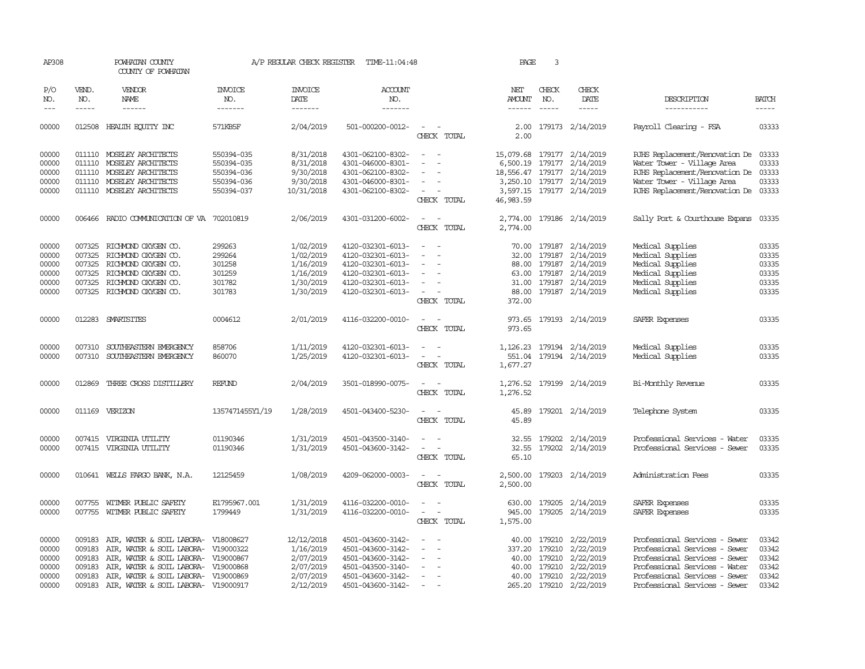| AP308                                     |                                                | POWHATAN COUNTY<br>COUNTY OF POWHATAN                                                                                                                             |                                        | A/P REGULAR CHECK REGISTER                                     | TIME-11:04:48                                                                                         |                                                                               | PAGE                                       | 3                                              |                                                                             |                                                                                                                                                                   |                                           |
|-------------------------------------------|------------------------------------------------|-------------------------------------------------------------------------------------------------------------------------------------------------------------------|----------------------------------------|----------------------------------------------------------------|-------------------------------------------------------------------------------------------------------|-------------------------------------------------------------------------------|--------------------------------------------|------------------------------------------------|-----------------------------------------------------------------------------|-------------------------------------------------------------------------------------------------------------------------------------------------------------------|-------------------------------------------|
| P/O<br>NO.<br>$---$                       | VEND.<br>NO.<br>$- - - - -$                    | <b>VENDOR</b><br>NAME<br>$- - - - - -$                                                                                                                            | <b>INVOICE</b><br>NO.<br>-------       | <b>INVOICE</b><br>DATE<br>-------                              | ACCOUNT<br>NO.<br>-------                                                                             |                                                                               | NET<br><b>AMOUNT</b><br>$- - - - - -$      | CHECK<br>NO.<br>$- - - - -$                    | CHECK<br>DATE<br>-----                                                      | DESCRIPTION<br>-----------                                                                                                                                        | <b>BATCH</b><br>$- - - - -$               |
| 00000                                     |                                                | 012508 HEALTH ECUTTY INC                                                                                                                                          | 571KB5F                                | 2/04/2019                                                      | 501-000200-0012-                                                                                      | $\sim$<br>CHECK TOTAL                                                         | 2.00<br>2.00                               |                                                | 179173 2/14/2019                                                            | Payroll Clearing - FSA                                                                                                                                            | 03333                                     |
| 00000<br>00000                            | 011110                                         | 011110 MOSELEY ARCHITECTS<br>MOSELEY ARCHITECTS                                                                                                                   | 550394-035<br>550394-035               | 8/31/2018<br>8/31/2018                                         | 4301-062100-8302-<br>4301-046000-8301-                                                                | $\overline{\phantom{a}}$                                                      | 15,079.68<br>6,500.19                      |                                                | 179177 2/14/2019<br>179177 2/14/2019                                        | RJHS Replacement/Renovation De<br>Water Tower - Village Area                                                                                                      | 03333<br>03333                            |
| 00000<br>00000<br>00000                   |                                                | 011110 MOSELEY ARCHITECTS<br>011110 MOSELEY ARCHITECTS<br>011110 MOSELEY ARCHITECTS                                                                               | 550394-036<br>550394-036<br>550394-037 | 9/30/2018<br>9/30/2018<br>10/31/2018                           | 4301-062100-8302-<br>4301-046000-8301-<br>4301-062100-8302-                                           | $\overline{\phantom{a}}$<br>CHECK TOTAL                                       | 3,250.10                                   |                                                | 18,556.47 179177 2/14/2019<br>179177 2/14/2019<br>3,597.15 179177 2/14/2019 | RJHS Replacement/Renovation De<br>Water Tower - Village Area<br>RJHS Replacement/Renovation De                                                                    | 03333<br>03333<br>03333                   |
| 00000                                     |                                                | 006466 RADIO COMMUNICATION OF VA 702010819                                                                                                                        |                                        | 2/06/2019                                                      | 4301-031200-6002-                                                                                     | $\overline{\phantom{a}}$<br>CHECK TOTAL                                       | 46, 983.59<br>2,774.00<br>2,774.00         |                                                | 179186 2/14/2019                                                            | Sally Port & Courthouse Expans                                                                                                                                    | 03335                                     |
| 00000<br>00000                            | 007325<br>007325                               | RICHMOND OXYGEN CO.<br>RICHMOND OXYGEN CO.                                                                                                                        | 299263<br>299264                       | 1/02/2019<br>1/02/2019                                         | 4120-032301-6013-<br>4120-032301-6013-                                                                | $\overline{\phantom{a}}$<br>$\overline{\phantom{a}}$                          | 70.00<br>32.00                             | 179187                                         | 179187 2/14/2019<br>2/14/2019                                               | Medical Supplies<br>Medical Supplies                                                                                                                              | 03335<br>03335                            |
| 00000<br>00000<br>00000                   | 007325<br>007325<br>007325                     | RICHMOND OXYGEN CO.<br>RICHMOND OXYGEN CO.<br>RICHMOND OXYGEN CO.                                                                                                 | 301258<br>301259<br>301782             | 1/16/2019<br>1/16/2019<br>1/30/2019                            | 4120-032301-6013-<br>4120-032301-6013-<br>4120-032301-6013-                                           | $\sim$                                                                        | 88.00<br>63.00                             | 179187                                         | 2/14/2019<br>179187 2/14/2019<br>31.00 179187 2/14/2019                     | Medical Supplies<br>Medical Supplies<br>Medical Supplies                                                                                                          | 03335<br>03335<br>03335                   |
| 00000                                     |                                                | 007325 RICHMOND OXYGEN CO.                                                                                                                                        | 301783                                 | 1/30/2019                                                      | 4120-032301-6013-                                                                                     | $\overline{\phantom{a}}$<br>CHECK TOTAL                                       | 88.00<br>372.00                            |                                                | 179187 2/14/2019                                                            | Medical Supplies                                                                                                                                                  | 03335                                     |
| 00000                                     |                                                | 012283 SMARTSITES                                                                                                                                                 | 0004612                                | 2/01/2019                                                      | 4116-032200-0010-                                                                                     | $\overline{\phantom{a}}$<br>CHECK TOTAL                                       | 973.65<br>973.65                           |                                                | 179193 2/14/2019                                                            | SAFER Expenses                                                                                                                                                    | 03335                                     |
| 00000<br>00000                            | 007310<br>007310                               | SOUTHEASTERN EMERGENCY<br>SOUTHEASTERN EMERGENCY                                                                                                                  | 858706<br>860070                       | 1/11/2019<br>1/25/2019                                         | 4120-032301-6013-<br>4120-032301-6013-                                                                | $\sim$<br>$\overline{\phantom{a}}$<br>CHECK TOTAL                             | 1,126.23<br>551.04<br>1,677.27             |                                                | 179194 2/14/2019<br>179194 2/14/2019                                        | Medical Supplies<br>Medical Supplies                                                                                                                              | 03335<br>03335                            |
| 00000                                     | 012869                                         | THREE CROSS DISTILLERY                                                                                                                                            | REFUND                                 | 2/04/2019                                                      | 3501-018990-0075-                                                                                     | $\equiv$<br>CHECK TOTAL                                                       | 1,276.52<br>1,276.52                       |                                                | 179199 2/14/2019                                                            | Bi-Monthly Revenue                                                                                                                                                | 03335                                     |
| 00000                                     |                                                | 011169 VERIZON                                                                                                                                                    | 1357471455Y1/19                        | 1/28/2019                                                      | 4501-043400-5230-                                                                                     | $\sim$<br>CHECK TOTAL                                                         | 45.89<br>45.89                             |                                                | 179201 2/14/2019                                                            | Telephone System                                                                                                                                                  | 03335                                     |
| 00000<br>00000                            |                                                | 007415 VIRGINIA UTILITY<br>007415 VIRGINIA UTILITY                                                                                                                | 01190346<br>01190346                   | 1/31/2019<br>1/31/2019                                         | 4501-043500-3140-<br>4501-043600-3142-                                                                | CHECK TOTAL                                                                   | 32.55<br>32.55<br>65.10                    |                                                | 179202 2/14/2019<br>179202 2/14/2019                                        | Professional Services - Water<br>Professional Services - Sewer                                                                                                    | 03335<br>03335                            |
| 00000                                     |                                                | 010641 WELLS FARGO BANK, N.A.                                                                                                                                     | 12125459                               | 1/08/2019                                                      | 4209-062000-0003-                                                                                     | $\overline{\phantom{a}}$<br>CHECK TOTAL                                       | 2,500.00<br>2,500.00                       |                                                | 179203 2/14/2019                                                            | Administration Fees                                                                                                                                               | 03335                                     |
| 00000<br>00000                            | 007755                                         | WITMER PUBLIC SAFETY<br>007755 WITMER PUBLIC SAFETY                                                                                                               | E1795967.001<br>1799449                | 1/31/2019<br>1/31/2019                                         | 4116-032200-0010-<br>4116-032200-0010-                                                                | $\overline{\phantom{a}}$<br>$\sim$<br>$\overline{\phantom{a}}$<br>CHECK TOTAL | 630.00<br>945.00<br>1,575.00               |                                                | 179205 2/14/2019<br>179205 2/14/2019                                        | SAFER Expenses<br>SAFER Expenses                                                                                                                                  | 03335<br>03335                            |
| 00000<br>00000<br>00000<br>00000<br>00000 | 009183<br>009183<br>009183<br>009183<br>009183 | AIR, WATER & SOIL LABORA-<br>AIR, WATER & SOIL LABORA-<br>AIR, WATER & SOIL LABORA-<br>AIR, WATER & SOIL LABORA- V19000868<br>AIR, WATER & SOIL LABORA- V19000869 | V18008627<br>V19000322<br>V19000867    | 12/12/2018<br>1/16/2019<br>2/07/2019<br>2/07/2019<br>2/07/2019 | 4501-043600-3142-<br>4501-043600-3142-<br>4501-043600-3142-<br>4501-043500-3140-<br>4501-043600-3142- |                                                                               | 40.00<br>337.20<br>40.00<br>40.00<br>40.00 | 179210<br>179210<br>179210<br>179210<br>179210 | 2/22/2019<br>2/22/2019<br>2/22/2019<br>2/22/2019<br>2/22/2019               | Professional Services - Sewer<br>Professional Services - Sewer<br>Professional Services - Sewer<br>Professional Services - Water<br>Professional Services - Sewer | 03342<br>03342<br>03342<br>03342<br>03342 |
| 00000                                     | 009183                                         | AIR, WATER & SOIL LABORA- V19000917                                                                                                                               |                                        | 2/12/2019                                                      | 4501-043600-3142-                                                                                     | $\overline{\phantom{a}}$                                                      | 265.20                                     | 179210                                         | 2/22/2019                                                                   | Professional Services - Sewer                                                                                                                                     | 03342                                     |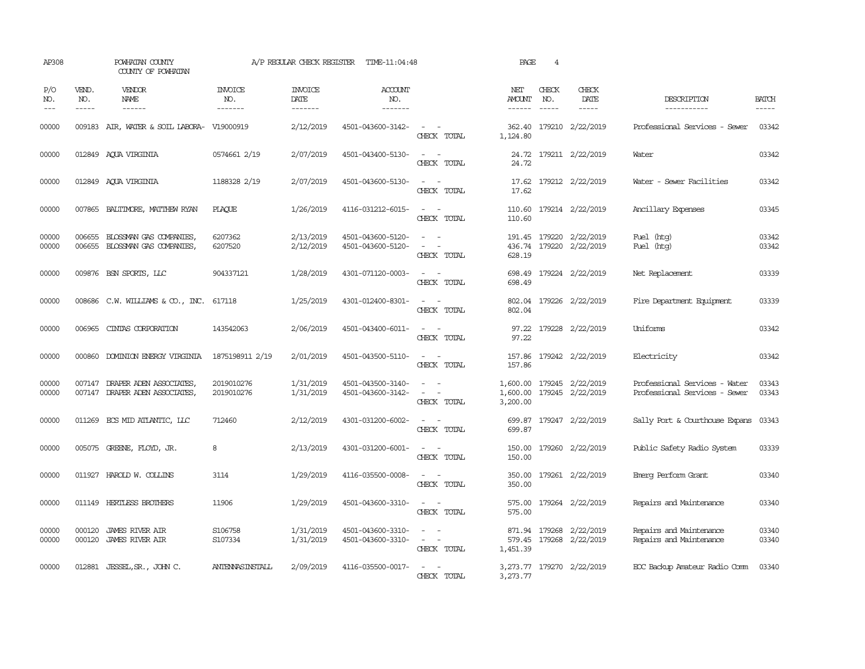| AP308               |                                        | POWHATAN COUNTY<br>COUNTY OF POWHATAN                     |                                  | A/P REGULAR CHECK REGISTER               | TIME-11:04:48                          |                                                                                                                             | PAGE                       | 4            |                                                        |                                                                |                |
|---------------------|----------------------------------------|-----------------------------------------------------------|----------------------------------|------------------------------------------|----------------------------------------|-----------------------------------------------------------------------------------------------------------------------------|----------------------------|--------------|--------------------------------------------------------|----------------------------------------------------------------|----------------|
| P/O<br>NO.<br>$---$ | VEND.<br>NO.<br>$\cdots \cdots \cdots$ | VENDOR<br>NAME<br>------                                  | <b>INVOICE</b><br>NO.<br>------- | <b>INVOICE</b><br><b>DATE</b><br>------- | <b>ACCOUNT</b><br>NO.<br>-------       |                                                                                                                             | NET<br>AMOUNT<br>------    | CHECK<br>NO. | CHECK<br>DATE<br>$- - - - -$                           | DESCRIPTION<br>-----------                                     | <b>BATCH</b>   |
| 00000               |                                        | 009183 AIR, WATER & SOIL LABORA- V19000919                |                                  | 2/12/2019                                | 4501-043600-3142-                      | $\sim$<br>CHECK TOTAL                                                                                                       | 362.40<br>1,124.80         |              | 179210 2/22/2019                                       | Professional Services - Sewer                                  | 03342          |
| 00000               |                                        | 012849 AOUA VIRGINIA                                      | 0574661 2/19                     | 2/07/2019                                | 4501-043400-5130-                      | $\sim$<br>CHECK TOTAL                                                                                                       | 24.72                      |              | 24.72 179211 2/22/2019                                 | Water                                                          | 03342          |
| 00000               |                                        | 012849 AQUA VIRGINIA                                      | 1188328 2/19                     | 2/07/2019                                | 4501-043600-5130-                      | $\sim$ 100 $\mu$<br>CHECK TOTAL                                                                                             | 17.62                      |              | 17.62 179212 2/22/2019                                 | Water - Sewer Facilities                                       | 03342          |
| 00000               |                                        | 007865 BALTIMORE, MATTHEW RYAN                            | PLACUE                           | 1/26/2019                                | 4116-031212-6015-                      | $\sim$ $-$<br>$\sim$<br>CHECK TOTAL                                                                                         | 110.60                     |              | 110.60 179214 2/22/2019                                | Ancillary Expenses                                             | 03345          |
| 00000<br>00000      | 006655                                 | BLOSSMAN GAS COMPANIES,<br>006655 BLOSSMAN GAS COMPANIES, | 6207362<br>6207520               | 2/13/2019<br>2/12/2019                   | 4501-043600-5120-<br>4501-043600-5120- | $\sim$ $\sim$<br>$\overline{\phantom{a}}$<br>CHECK TOTAL                                                                    | 191.45<br>436.74<br>628.19 |              | 179220 2/22/2019<br>179220 2/22/2019                   | Fuel (htg)<br>Fuel (htg)                                       | 03342<br>03342 |
| 00000               |                                        | 009876 BSN SPORTS, LLC                                    | 904337121                        | 1/28/2019                                | 4301-071120-0003-                      | $\frac{1}{2} \left( \frac{1}{2} \right) \left( \frac{1}{2} \right) = \frac{1}{2} \left( \frac{1}{2} \right)$<br>CHECK TOTAL | 698.49<br>698.49           |              | 179224 2/22/2019                                       | Net Replacement                                                | 03339          |
| 00000               |                                        | 008686 C.W. WILLIAMS & CO., INC.                          | 617118                           | 1/25/2019                                | 4301-012400-8301-                      | $\sim$<br>CHECK TOTAL                                                                                                       | 802.04<br>802.04           |              | 179226 2/22/2019                                       | Fire Department Equipment                                      | 03339          |
| 00000               | 006965                                 | CINIAS CORPORATION                                        | 143542063                        | 2/06/2019                                | 4501-043400-6011-                      | $\sim$<br>CHECK TOTAL                                                                                                       | 97.22<br>97.22             |              | 179228 2/22/2019                                       | Uniforms                                                       | 03342          |
| 00000               |                                        | 000860 DOMINION ENERGY VIRGINIA                           | 1875198911 2/19                  | 2/01/2019                                | 4501-043500-5110-                      | $\sim$ $ \sim$<br>CHECK TOTAL                                                                                               | 157.86<br>157.86           |              | 179242 2/22/2019                                       | Electricity                                                    | 03342          |
| 00000<br>00000      | 007147                                 | DRAPER ADEN ASSOCIATES,<br>007147 DRAPER ADEN ASSOCIATES, | 2019010276<br>2019010276         | 1/31/2019<br>1/31/2019                   | 4501-043500-3140-<br>4501-043600-3142- | $\sim$ $-$<br>$\overline{\phantom{a}}$<br>CHECK TOTAL                                                                       | 3,200.00                   |              | 1,600.00 179245 2/22/2019<br>1,600.00 179245 2/22/2019 | Professional Services - Water<br>Professional Services - Sewer | 03343<br>03343 |
| 00000               |                                        | 011269 ECS MID ATLANTIC, LLC                              | 712460                           | 2/12/2019                                | 4301-031200-6002-                      | $\sim$<br>$\sim$<br>CHECK TOTAL                                                                                             | 699.87<br>699.87           |              | 179247 2/22/2019                                       | Sally Port & Courthouse Expans                                 | 03343          |
| 00000               |                                        | 005075 GREENE, FLOYD, JR.                                 | 8                                | 2/13/2019                                | 4301-031200-6001-                      | $\omega_{\rm{max}}$ , $\omega_{\rm{max}}$<br>CHECK TOTAL                                                                    | 150.00<br>150.00           |              | 179260 2/22/2019                                       | Public Safety Radio System                                     | 03339          |
| 00000               |                                        | 011927 HAROLD W. COLLINS                                  | 3114                             | 1/29/2019                                | 4116-035500-0008-                      | $\frac{1}{2} \left( \frac{1}{2} \right) \left( \frac{1}{2} \right) = \frac{1}{2} \left( \frac{1}{2} \right)$<br>CHECK TOTAL | 350.00<br>350.00           |              | 179261 2/22/2019                                       | Emerg Perform Grant                                            | 03340          |
| 00000               |                                        | 011149 HERTLESS BROTHERS                                  | 11906                            | 1/29/2019                                | 4501-043600-3310-                      | $\sim$ $ \sim$<br>CHECK TOTAL                                                                                               | 575.00                     |              | 575.00 179264 2/22/2019                                | Repairs and Maintenance                                        | 03340          |
| 00000<br>00000      | 000120<br>000120                       | <b>JAMES RIVER AIR</b><br><b>JAMES RIVER AIR</b>          | S106758<br>S107334               | 1/31/2019<br>1/31/2019                   | 4501-043600-3310-<br>4501-043600-3310- | $\sim$<br>$\sim$ 100 $\mu$<br>CHECK TOTAL                                                                                   | 1,451.39                   |              | 871.94 179268 2/22/2019<br>579.45 179268 2/22/2019     | Repairs and Maintenance<br>Repairs and Maintenance             | 03340<br>03340 |
| 00000               |                                        | 012881 JESSEL, SR., JOHN C.                               | ANTENNASINSTALL                  | 2/09/2019                                | 4116-035500-0017-                      | CHECK TOTAL                                                                                                                 | 3,273.77                   |              | 3, 273.77 179270 2/22/2019                             | EOC Backup Amateur Radio Comm                                  | 03340          |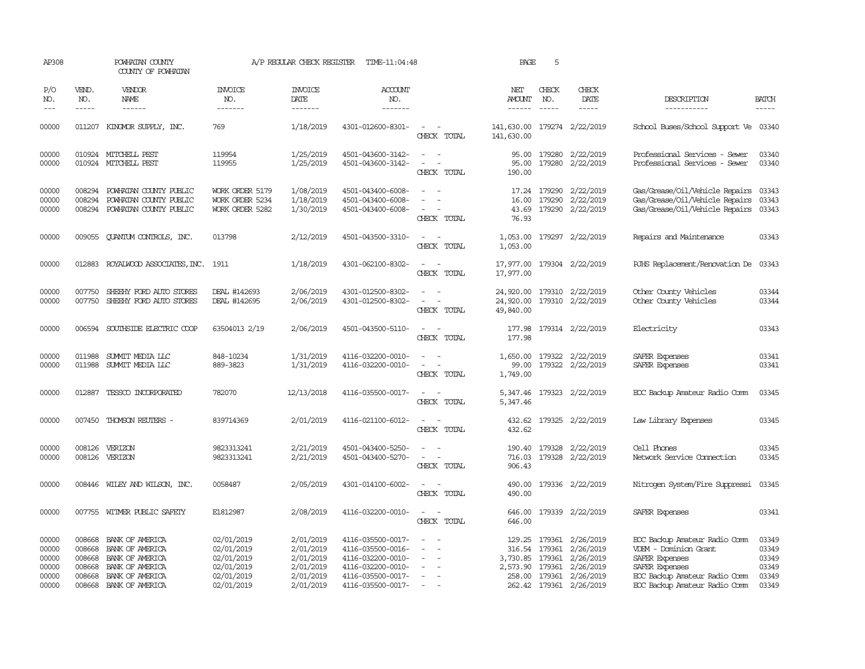| AP308                                              |                             | POWHATAN COUNTY<br>COUNTY OF POWHATAN                                                                                               |                                                                                  | A/P REGULAR CHECK REGISTER                                                 | TIME-11:04:48                                                                                                              |                                                                                                                                                         | PAGE                                      | 5                             |                                                                                                                                      |                                                                                                                                                              |                                                    |
|----------------------------------------------------|-----------------------------|-------------------------------------------------------------------------------------------------------------------------------------|----------------------------------------------------------------------------------|----------------------------------------------------------------------------|----------------------------------------------------------------------------------------------------------------------------|---------------------------------------------------------------------------------------------------------------------------------------------------------|-------------------------------------------|-------------------------------|--------------------------------------------------------------------------------------------------------------------------------------|--------------------------------------------------------------------------------------------------------------------------------------------------------------|----------------------------------------------------|
| P/O<br>NO.<br>$\frac{1}{2}$                        | VEND.<br>NO.<br>$- - - - -$ | VENDOR<br><b>NAME</b><br>$- - - - - -$                                                                                              | <b>INVOICE</b><br>NO.<br>-------                                                 | <b>INVOICE</b><br>DATE<br>-------                                          | <b>ACCOUNT</b><br>NO.<br>$- - - - - - -$                                                                                   |                                                                                                                                                         | NET<br>AMOUNT<br>------                   | CHECK<br>NO.<br>$\frac{1}{2}$ | CHECK<br>DATE<br>$- - - - -$                                                                                                         | DESCRIPTION<br>-----------                                                                                                                                   | <b>BATCH</b><br>-----                              |
| 00000                                              |                             | 011207 KINGMOR SUPPLY, INC.                                                                                                         | 769                                                                              | 1/18/2019                                                                  | 4301-012600-8301-                                                                                                          | $\sim$ $ \sim$<br>CHECK TOTAL                                                                                                                           | 141,630.00 179274 2/22/2019<br>141,630.00 |                               |                                                                                                                                      | School Buses/School Support Ve 03340                                                                                                                         |                                                    |
| 00000<br>00000                                     |                             | 010924 MITCHELL PEST<br>010924 MITCHELL PEST                                                                                        | 119954<br>119955                                                                 | 1/25/2019<br>1/25/2019                                                     | 4501-043600-3142-<br>4501-043600-3142-                                                                                     | $\sim$ 100 $\sim$<br>$\sim$ $ -$<br>CHECK TOTAL                                                                                                         | 95.00<br>190.00                           | 179280                        | 95.00 179280 2/22/2019<br>2/22/2019                                                                                                  | Professional Services - Sewer<br>Professional Services - Sewer                                                                                               | 03340<br>03340                                     |
| 00000<br>00000<br>00000                            | 008294<br>008294            | POWHATAN COUNTY PUBLIC<br>POWHATAN COUNTY PUBLIC<br>008294 POWHATAN COUNTY PUBLIC                                                   | WORK ORDER 5179<br>WORK ORDER 5234<br>WORK ORDER 5282                            | 1/08/2019<br>1/18/2019<br>1/30/2019                                        | 4501-043400-6008-<br>4501-043400-6008-<br>4501-043400-6008-                                                                | $\sim$ 100 $\mu$<br>CHECK TOTAL                                                                                                                         | 76.93                                     | 17.24 179290<br>16.00 179290  | 2/22/2019<br>2/22/2019<br>43.69 179290 2/22/2019                                                                                     | Gas/Grease/Oil/Vehicle Repairs<br>Gas/Grease/Oil/Vehicle Repairs<br>Gas/Grease/Oil/Vehicle Repairs                                                           | 03343<br>03343<br>03343                            |
| 00000                                              |                             | 009055 QUANTUM CONTROLS, INC.                                                                                                       | 013798                                                                           | 2/12/2019                                                                  | 4501-043500-3310-                                                                                                          | $\sim$ $\sim$<br>CHECK TOTAL                                                                                                                            | 1,053.00                                  |                               | 1,053.00 179297 2/22/2019                                                                                                            | Repairs and Maintenance                                                                                                                                      | 03343                                              |
| 00000                                              | 012883                      | ROYALWOOD ASSOCIATES, INC. 1911                                                                                                     |                                                                                  | 1/18/2019                                                                  | 4301-062100-8302-                                                                                                          | $\sim$ $ \sim$<br>CHECK TOTAL                                                                                                                           | 17,977.00                                 |                               | 17,977.00 179304 2/22/2019                                                                                                           | RJHS Replacement/Renovation De 03343                                                                                                                         |                                                    |
| 00000<br>00000                                     | 007750<br>007750            | SHEEHY FORD AUTO STORES<br>SHEEHY FORD AUTO STORES                                                                                  | DEAL #142693<br>DEAL #142695                                                     | 2/06/2019<br>2/06/2019                                                     | 4301-012500-8302-<br>4301-012500-8302-                                                                                     | CHECK TOTAL                                                                                                                                             | 24,920.00<br>24,920.00<br>49,840.00       |                               | 179310 2/22/2019<br>179310 2/22/2019                                                                                                 | Other County Vehicles<br>Other County Vehicles                                                                                                               | 03344<br>03344                                     |
| 00000                                              | 006594                      | SOUTHSIDE ELECTRIC COOP                                                                                                             | 63504013 2/19                                                                    | 2/06/2019                                                                  | 4501-043500-5110-                                                                                                          | $\sim$ $-$<br>CHECK TOTAL                                                                                                                               | 177.98                                    |                               | 177.98 179314 2/22/2019                                                                                                              | Electricity                                                                                                                                                  | 03343                                              |
| 00000<br>00000                                     | 011988<br>011988            | SUMMIT MEDIA LLC<br>SUMMIT MEDIA LLC                                                                                                | 848-10234<br>889-3823                                                            | 1/31/2019<br>1/31/2019                                                     | 4116-032200-0010-<br>4116-032200-0010-                                                                                     | $\overline{\phantom{a}}$<br>$\frac{1}{2} \left( \frac{1}{2} \right) \left( \frac{1}{2} \right) = \frac{1}{2} \left( \frac{1}{2} \right)$<br>CHECK TOTAL | 99.00<br>1,749.00                         |                               | 1,650.00 179322 2/22/2019<br>179322 2/22/2019                                                                                        | SAFER Expenses<br>SAFER Expenses                                                                                                                             | 03341<br>03341                                     |
| 00000                                              |                             | 012887 TESSCO INCORPORATED                                                                                                          | 782070                                                                           | 12/13/2018                                                                 | 4116-035500-0017-                                                                                                          | $\sim$ $ \sim$<br>CHECK TOTAL                                                                                                                           | 5,347.46                                  |                               | 5,347.46 179323 2/22/2019                                                                                                            | EOC Backup Amateur Radio Comm                                                                                                                                | 03345                                              |
| 00000                                              |                             | 007450 THOMSON REUTERS -                                                                                                            | 839714369                                                                        | 2/01/2019                                                                  | 4116-021100-6012-                                                                                                          | $\overline{\phantom{a}}$<br>CHECK TOTAL                                                                                                                 | 432.62                                    |                               | 432.62 179325 2/22/2019                                                                                                              | Law Library Expenses                                                                                                                                         | 03345                                              |
| 00000<br>00000                                     |                             | 008126 VERIZON<br>008126 VERIZON                                                                                                    | 9823313241<br>9823313241                                                         | 2/21/2019<br>2/21/2019                                                     | 4501-043400-5250-<br>4501-043400-5270-                                                                                     | CHECK TOTAL                                                                                                                                             | 190.40<br>906.43                          |                               | 179328 2/22/2019<br>716.03 179328 2/22/2019                                                                                          | Cell Phones<br>Network Service Cornection                                                                                                                    | 03345<br>03345                                     |
| 00000                                              |                             | 008446 WILEY AND WILSON, INC.                                                                                                       | 0058487                                                                          | 2/05/2019                                                                  | 4301-014100-6002-                                                                                                          | CHECK TOTAL                                                                                                                                             | 490.00<br>490.00                          |                               | 179336 2/22/2019                                                                                                                     | Nitrogen System/Fire Suppressi                                                                                                                               | 03345                                              |
| 00000                                              |                             | 007755 WITMER PUBLIC SAFETY                                                                                                         | E1812987                                                                         | 2/08/2019                                                                  | 4116-032200-0010-                                                                                                          | $\sim$<br>$\sim$<br>CHECK TOTAL                                                                                                                         | 646.00<br>646.00                          |                               | 179339 2/22/2019                                                                                                                     | SAFER Expenses                                                                                                                                               | 03341                                              |
| 00000<br>00000<br>00000<br>00000<br>00000<br>00000 | 008668<br>008668<br>008668  | 008668 BANK OF AMERICA<br>BANK OF AMERICA<br>BANK OF AMERICA<br>BANK OF AMERICA<br>008668 BANK OF AMERICA<br>008668 BANK OF AMERICA | 02/01/2019<br>02/01/2019<br>02/01/2019<br>02/01/2019<br>02/01/2019<br>02/01/2019 | 2/01/2019<br>2/01/2019<br>2/01/2019<br>2/01/2019<br>2/01/2019<br>2/01/2019 | 4116-035500-0017-<br>4116-035500-0016-<br>4116-032200-0010-<br>4116-032200-0010-<br>4116-035500-0017-<br>4116-035500-0017- | $\overline{\phantom{a}}$<br>$\sim$<br>$\sim$<br>$\sim$<br>$\sim$ $ \sim$                                                                                | 3,730.85 179361                           | 316.54 179361                 | 129.25 179361 2/26/2019<br>2/26/2019<br>2/26/2019<br>2,573.90 179361 2/26/2019<br>258.00 179361 2/26/2019<br>262.42 179361 2/26/2019 | EOC Backup Amateur Radio Comm<br>VDEM - Dominion Grant<br>SAFER Expenses<br>SAFER Expenses<br>EOC Backup Amateur Radio Comm<br>EOC Backup Amateur Radio Comm | 03349<br>03349<br>03349<br>03349<br>03349<br>03349 |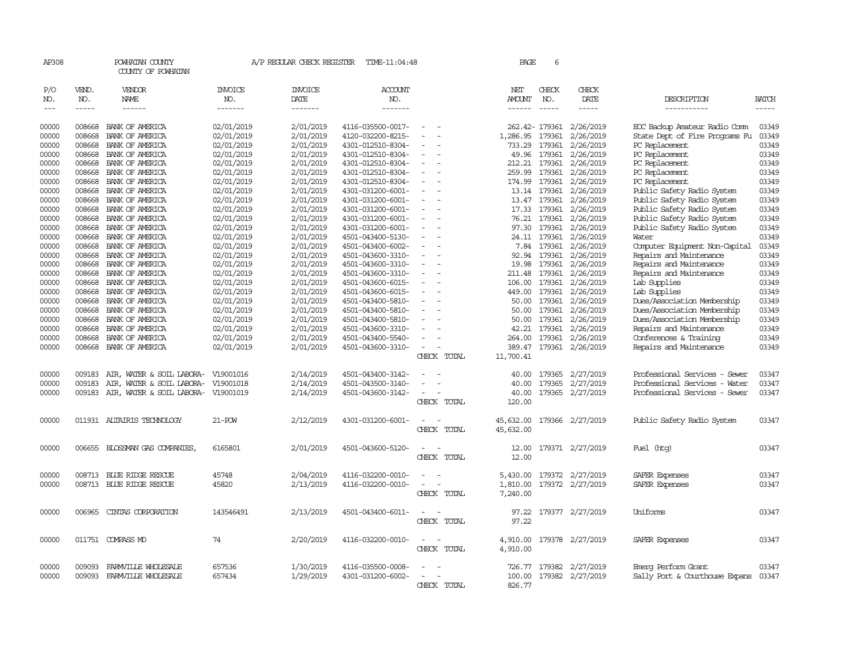| AP308      |              | POWHATAN COUNTY<br>COUNTY OF POWHATAN |                       | A/P REGULAR CHECK REGISTER | TIME-11:04:48         |                          |             | PAGE            | 6              |                         |                                |       |
|------------|--------------|---------------------------------------|-----------------------|----------------------------|-----------------------|--------------------------|-------------|-----------------|----------------|-------------------------|--------------------------------|-------|
| P/O<br>NO. | VEND.<br>NO. | <b>VENDOR</b><br>NAME                 | <b>INVOICE</b><br>NO. | <b>INVOICE</b><br>DATE     | <b>ACCOUNT</b><br>NO. |                          |             | NET<br>AMOUNT   | CHECK<br>NO.   | CHECK<br>DATE           | DESCRIPTION                    | BATCH |
| $---$      | -----        | ------                                | -------               | -------                    | -------               |                          |             | $- - - - - -$   | $- - - - -$    | $- - - - -$             | -----------                    | ----- |
| 00000      | 008668       | BANK OF AMERICA                       | 02/01/2019            | 2/01/2019                  | 4116-035500-0017-     | $\sim$                   |             |                 | 262.42- 179361 | 2/26/2019               | EOC Backup Amateur Radio Comm  | 03349 |
| 00000      | 008668       | BANK OF AMERICA                       | 02/01/2019            | 2/01/2019                  | 4120-032200-8215-     | $\equiv$                 |             | 1,286.95 179361 |                | 2/26/2019               | State Dept of Fire Programs Fu | 03349 |
| 00000      | 008668       | BANK OF AMERICA                       | 02/01/2019            | 2/01/2019                  | 4301-012510-8304-     |                          |             | 733.29          | 179361         | 2/26/2019               | PC Replacement                 | 03349 |
| 00000      | 008668       | BANK OF AMERICA                       | 02/01/2019            | 2/01/2019                  | 4301-012510-8304-     | $\equiv$                 |             |                 | 49.96 179361   | 2/26/2019               | PC Replacement                 | 03349 |
| 00000      | 008668       | BANK OF AMERICA                       | 02/01/2019            | 2/01/2019                  | 4301-012510-8304-     | $\overline{\phantom{a}}$ |             | 212.21          | 179361         | 2/26/2019               | PC Replacement                 | 03349 |
| 00000      | 008668       | BANK OF AMERICA                       | 02/01/2019            | 2/01/2019                  | 4301-012510-8304-     | $\equiv$                 |             | 259.99          | 179361         | 2/26/2019               | PC Replacement                 | 03349 |
| 00000      | 008668       | BANK OF AMERICA                       | 02/01/2019            | 2/01/2019                  | 4301-012510-8304-     |                          |             | 174.99 179361   |                | 2/26/2019               | PC Replacement                 | 03349 |
| 00000      | 008668       | BANK OF AMERICA                       | 02/01/2019            | 2/01/2019                  | 4301-031200-6001-     | $\equiv$                 |             |                 | 13.14 179361   | 2/26/2019               | Public Safety Radio System     | 03349 |
| 00000      | 008668       | BANK OF AMERICA                       | 02/01/2019            | 2/01/2019                  | 4301-031200-6001-     |                          |             |                 | 13.47 179361   | 2/26/2019               | Public Safety Radio System     | 03349 |
| 00000      | 008668       | BANK OF AMERICA                       | 02/01/2019            | 2/01/2019                  | 4301-031200-6001-     | $\overline{\phantom{a}}$ |             |                 | 17.33 179361   | 2/26/2019               | Public Safety Radio System     | 03349 |
| 00000      | 008668       | BANK OF AMERICA                       | 02/01/2019            | 2/01/2019                  | 4301-031200-6001-     |                          |             | 76.21           | 179361         | 2/26/2019               | Public Safety Radio System     | 03349 |
| 00000      | 008668       | BANK OF AMERICA                       | 02/01/2019            | 2/01/2019                  | 4301-031200-6001-     | $\overline{\phantom{a}}$ |             |                 |                | 97.30 179361 2/26/2019  | Public Safety Radio System     | 03349 |
| 00000      | 008668       | BANK OF AMERICA                       | 02/01/2019            | 2/01/2019                  | 4501-043400-5130-     | $\equiv$                 |             |                 | 24.11 179361   | 2/26/2019               | Water                          | 03349 |
| 00000      | 008668       | BANK OF AMERICA                       | 02/01/2019            | 2/01/2019                  | 4501-043400-6002-     |                          |             | 7.84            | 179361         | 2/26/2019               | Computer Equipment Non-Capital | 03349 |
| 00000      | 008668       | BANK OF AMERICA                       | 02/01/2019            | 2/01/2019                  | 4501-043600-3310-     | $\overline{\phantom{a}}$ |             |                 | 92.94 179361   | 2/26/2019               | Repairs and Maintenance        | 03349 |
| 00000      | 008668       | BANK OF AMERICA                       | 02/01/2019            | 2/01/2019                  | 4501-043600-3310-     | $\overline{\phantom{a}}$ |             | 19.98           | 179361         | 2/26/2019               | Repairs and Maintenance        | 03349 |
| 00000      | 008668       | BANK OF AMERICA                       | 02/01/2019            | 2/01/2019                  | 4501-043600-3310-     | $\equiv$                 |             | 211.48          | 179361         | 2/26/2019               | Repairs and Maintenance        | 03349 |
| 00000      | 008668       | BANK OF AMERICA                       | 02/01/2019            | 2/01/2019                  | 4501-043600-6015-     |                          |             | 106.00          | 179361         | 2/26/2019               | Lab Supplies                   | 03349 |
| 00000      | 008668       | BANK OF AMERICA                       | 02/01/2019            | 2/01/2019                  | 4501-043600-6015-     | $\equiv$                 |             |                 |                | 449.00 179361 2/26/2019 | Lab Supplies                   | 03349 |
| 00000      | 008668       | BANK OF AMERICA                       | 02/01/2019            | 2/01/2019                  | 4501-043400-5810-     |                          |             |                 |                | 50.00 179361 2/26/2019  | Dues/Association Membership    | 03349 |
| 00000      | 008668       | BANK OF AMERICA                       | 02/01/2019            | 2/01/2019                  | 4501-043400-5810-     |                          |             |                 |                | 50.00 179361 2/26/2019  | Dues/Association Membership    | 03349 |
| 00000      | 008668       | BANK OF AMERICA                       | 02/01/2019            | 2/01/2019                  | 4501-043400-5810-     |                          |             | 50.00           |                | 179361 2/26/2019        | Dues/Association Membership    | 03349 |
| 00000      | 008668       | BANK OF AMERICA                       | 02/01/2019            | 2/01/2019                  | 4501-043600-3310-     | $\equiv$                 |             | 42.21           |                | 179361 2/26/2019        | Repairs and Maintenance        | 03349 |
| 00000      | 008668       | BANK OF AMERICA                       | 02/01/2019            | 2/01/2019                  | 4501-043400-5540-     | $\equiv$                 |             | 264.00          | 179361         | 2/26/2019               | Conferences & Training         | 03349 |
| 00000      |              | 008668 BANK OF AMERICA                | 02/01/2019            | 2/01/2019                  | 4501-043600-3310-     | $\overline{\phantom{a}}$ |             |                 |                | 389.47 179361 2/26/2019 | Repairs and Maintenance        | 03349 |
|            |              |                                       |                       |                            |                       |                          | CHECK TOTAL | 11,700.41       |                |                         |                                |       |
|            |              |                                       |                       |                            |                       |                          |             |                 |                |                         |                                |       |
| 00000      | 009183       | AIR, WATER & SOIL LABORA-             | V19001016             | 2/14/2019                  | 4501-043400-3142-     |                          |             | 40.00           |                | 179365 2/27/2019        | Professional Services - Sewer  | 03347 |
| 00000      | 009183       | AIR, WATER & SOIL LABORA-             | V19001018             | 2/14/2019                  | 4501-043500-3140-     |                          |             | 40.00           | 179365         | 2/27/2019               | Professional Services - Water  | 03347 |
| 00000      | 009183       | AIR, WATER & SOIL LABORA-             | V19001019             | 2/14/2019                  | 4501-043600-3142-     | $\equiv$                 |             | 40.00           |                | 179365 2/27/2019        | Professional Services - Sewer  | 03347 |
|            |              |                                       |                       |                            |                       |                          | CHECK TOTAL | 120.00          |                |                         |                                |       |
| 00000      |              | 011931 ALTAIRIS TECHNOLOGY            | $21 - POW$            | 2/12/2019                  | 4301-031200-6001-     | $\sim$                   |             | 45,632.00       |                | 179366 2/27/2019        | Public Safety Radio System     | 03347 |
|            |              |                                       |                       |                            |                       |                          | CHECK TOTAL | 45,632.00       |                |                         |                                |       |
| 00000      |              | 006655 BLOSSMAN GAS COMPANIES,        | 6165801               | 2/01/2019                  | 4501-043600-5120-     |                          |             | 12.00           |                | 179371 2/27/2019        | Fuel (htg)                     | 03347 |
|            |              |                                       |                       |                            |                       |                          | CHECK TOTAL | 12.00           |                |                         |                                |       |
|            |              |                                       |                       |                            |                       |                          |             |                 |                |                         |                                |       |
| 00000      | 008713       | BLUE RIDGE RESCUE                     | 45748                 | 2/04/2019                  | 4116-032200-0010-     |                          |             | 5,430.00        |                | 179372 2/27/2019        | SAFER Expenses                 | 03347 |
| 00000      |              | 008713 BLUE RIDGE RESCUE              | 45820                 | 2/13/2019                  | 4116-032200-0010-     |                          |             | 1,810.00        |                | 179372 2/27/2019        | SAFER Expenses                 | 03347 |
|            |              |                                       |                       |                            |                       |                          | CHECK TOTAL | 7,240.00        |                |                         |                                |       |
| 00000      | 006965       | CINIAS CORPORATION                    | 143546491             | 2/13/2019                  | 4501-043400-6011-     |                          |             | 97.22           |                | 179377 2/27/2019        | Uniforms                       | 03347 |
|            |              |                                       |                       |                            |                       |                          | CHECK TOTAL | 97.22           |                |                         |                                |       |
|            |              |                                       |                       |                            |                       |                          |             |                 |                |                         |                                |       |
| 00000      |              | 011751 COMPASS MD                     | 74                    | 2/20/2019                  | 4116-032200-0010-     |                          |             | 4,910.00        |                | 179378 2/27/2019        | SAFER Expenses                 | 03347 |
|            |              |                                       |                       |                            |                       |                          | CHECK TOTAL | 4,910.00        |                |                         |                                |       |
| 00000      | 009093       | FARMVILLE WHOLESALE                   | 657536                | 1/30/2019                  | 4116-035500-0008-     |                          |             |                 |                | 726.77 179382 2/27/2019 | Emerg Perform Grant            | 03347 |
| 00000      | 009093       | FARMVILLE WHOLESALE                   | 657434                | 1/29/2019                  | 4301-031200-6002-     | $\equiv$                 |             |                 |                | 100.00 179382 2/27/2019 | Sally Port & Courthouse Expans | 03347 |
|            |              |                                       |                       |                            |                       |                          | CHECK TOTAL | 826.77          |                |                         |                                |       |